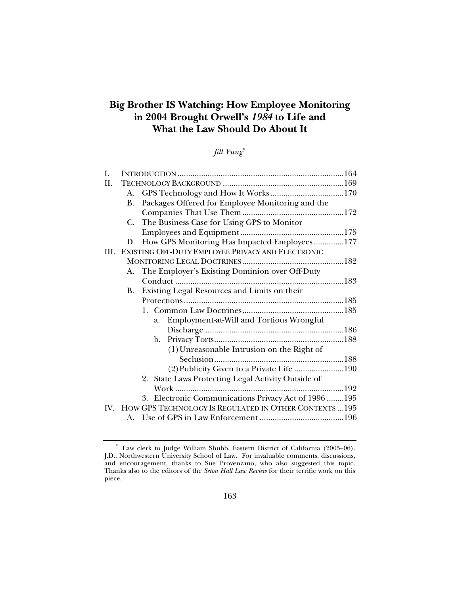# **Big Brother IS Watching: How Employee Monitoring in 2004 Brought Orwell's** *1984* **to Life and What the Law Should Do About It**

# *Jill Yung*[∗](#page-0-0)

| I.  |    |                                                            |  |
|-----|----|------------------------------------------------------------|--|
| H.  |    |                                                            |  |
|     | A. |                                                            |  |
|     | В. | Packages Offered for Employee Monitoring and the           |  |
|     |    |                                                            |  |
|     | C. | The Business Case for Using GPS to Monitor                 |  |
|     |    |                                                            |  |
|     | D. | How GPS Monitoring Has Impacted Employees177               |  |
| HL. |    | EXISTING OFF-DUTY EMPLOYEE PRIVACY AND ELECTRONIC          |  |
|     |    |                                                            |  |
|     |    | A. The Employer's Existing Dominion over Off-Duty          |  |
|     |    |                                                            |  |
|     | В. | Existing Legal Resources and Limits on their               |  |
|     |    |                                                            |  |
|     |    |                                                            |  |
|     |    | Employment-at-Will and Tortious Wrongful<br>a.             |  |
|     |    |                                                            |  |
|     |    |                                                            |  |
|     |    | (1) Unreasonable Intrusion on the Right of                 |  |
|     |    |                                                            |  |
|     |    | (2) Publicity Given to a Private Life 190                  |  |
|     |    | 2. State Laws Protecting Legal Activity Outside of         |  |
|     |    |                                                            |  |
|     |    | 3. Electronic Communications Privacy Act of 1996  195      |  |
|     |    | IV. HOW GPS TECHNOLOGY IS REGULATED IN OTHER CONTEXTS  195 |  |
|     |    |                                                            |  |

<span id="page-0-0"></span><sup>∗</sup> Law clerk to Judge William Shubb, Eastern District of California (2005–06). J.D., Northwestern University School of Law. For invaluable comments, discussions, and encouragement, thanks to Sue Provenzano, who also suggested this topic. Thanks also to the editors of the *Seton Hall Law Review* for their terrific work on this piece.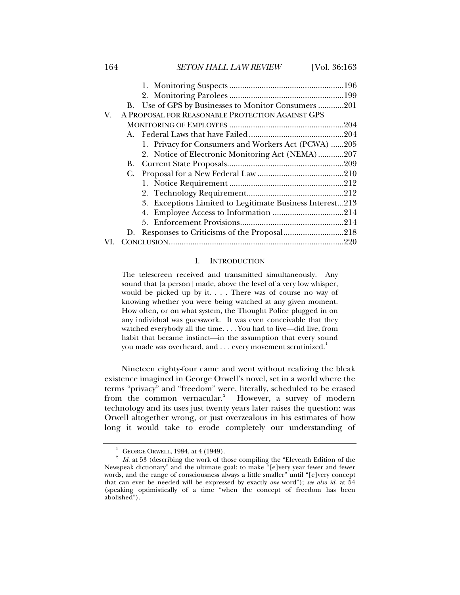<span id="page-1-0"></span>164 *SETON HALL LAW REVIEW* [Vol. 36:163

| 1. Privacy for Consumers and Workers Act (PCWA) 205      |                                                                                                                |
|----------------------------------------------------------|----------------------------------------------------------------------------------------------------------------|
| 2. Notice of Electronic Monitoring Act (NEMA)207         |                                                                                                                |
|                                                          |                                                                                                                |
|                                                          |                                                                                                                |
|                                                          |                                                                                                                |
|                                                          |                                                                                                                |
| 3. Exceptions Limited to Legitimate Business Interest213 |                                                                                                                |
|                                                          |                                                                                                                |
|                                                          |                                                                                                                |
|                                                          |                                                                                                                |
|                                                          |                                                                                                                |
|                                                          | B. Use of GPS by Businesses to Monitor Consumers 201<br>A PROPOSAL FOR REASONABLE PROTECTION AGAINST GPS<br>D. |

### I. INTRODUCTION

The telescreen received and transmitted simultaneously. Any sound that [a person] made, above the level of a very low whisper, would be picked up by it. . . . There was of course no way of knowing whether you were being watched at any given moment. How often, or on what system, the Thought Police plugged in on any individual was guesswork. It was even conceivable that they watched everybody all the time. . . . You had to live—did live, from habit that became instinct—in the assumption that every sound you made was overheard, and  $\ldots$  every movement scrutinized.<sup>[1](#page-1-1)</sup>

Nineteen eighty-four came and went without realizing the bleak existence imagined in George Orwell's novel, set in a world where the terms "privacy" and "freedom" were, literally, scheduled to be erased from the common vernacular.<sup>[2](#page-1-2)</sup> However, a survey of modern technology and its uses just twenty years later raises the question: was Orwell altogether wrong, or just overzealous in his estimates of how long it would take to erode completely our understanding of

<sup>1</sup>

<span id="page-1-2"></span><span id="page-1-1"></span><sup>&</sup>lt;sup>2</sup> GEORGE ORWELL, 1984, at 4 (1949).<br><sup>2</sup> Id. at 53 (describing the work of those compiling the "Eleventh Edition of the Newspeak dictionary" and the ultimate goal: to make "[e]very year fewer and fewer words, and the range of consciousness always a little smaller" until "[e]very concept that can ever be needed will be expressed by exactly *one* word"); *see also id.* at 54 (speaking optimistically of a time "when the concept of freedom has been abolished").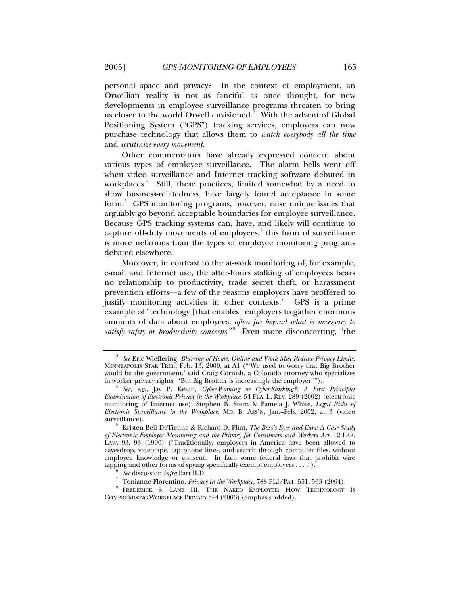personal space and privacy? In the context of employment, an Orwellian reality is not as fanciful as once thought, for new developments in employee surveillance programs threaten to bring us closer to the world Orwell envisioned.<sup>[3](#page-2-0)</sup> With the advent of Global Positioning System ("GPS") tracking services, employers can now purchase technology that allows them to *watch everybody all the time* and *scrutinize every movement*.

Other commentators have already expressed concern about various types of employee surveillance. The alarm bells went off when video surveillance and Internet tracking software debuted in workplaces.<sup>[4](#page-2-1)</sup> Still, these practices, limited somewhat by a need to show business-relatedness, have largely found acceptance in some form.<sup>[5](#page-2-2)</sup> GPS monitoring programs, however, raise unique issues that arguably go beyond acceptable boundaries for employee surveillance. Because GPS tracking systems can, have, and likely will continue to capture off-duty movements of employees,<sup>[6](#page-2-3)</sup> this form of surveillance is more nefarious than the types of employee monitoring programs debated elsewhere.

Moreover, in contrast to the at-work monitoring of, for example, e-mail and Internet use, the after-hours stalking of employees bears no relationship to productivity, trade secret theft, or harassment prevention efforts—a few of the reasons employers have proffered to justify monitoring activities in other contexts.<sup>[7](#page-2-4)</sup> GPS is a prime example of "technology [that enables] employers to gather enormous amounts of data about employees, *often far beyond what is necessary to satisfy safety or productivity concerns*."[8](#page-2-5) Even more disconcerting, "the

<span id="page-2-0"></span><sup>3</sup>  *See* Eric Wieffering, *Blurring of Home, Online and Work May Redraw Privacy Limits*, MINNEAPOLIS STAR TRIB., Feb. 13, 2000, at A1 ("'We used to worry that Big Brother would be the government,' said Craig Cornish, a Colorado attorney who specializes in worker privacy rights. 'But Big Brother is increasingly the employer.'").

<span id="page-2-1"></span>*See, e.g.*, Jay P. Kesan, *Cyber-Working or Cyber-Shirking?: A First Principles Examination of Electronic Privacy in the Workplace*, 54 FLA. L. REV. 289 (2002) (electronic monitoring of Internet use); Stephen B. Stern & Pamela J. White, *Legal Risks of Electronic Surveillance in the Workplace*, MD. B. ASS'N, Jan.–Feb. 2002, at 3 (video surveillance).

<span id="page-2-2"></span>Kristen Bell DeTienne & Richard D. Flint, *The Boss's Eyes and Ears: A Case Study of Electronic Employee Monitoring and the Privacy for Consumers and Workers Act*, 12 LAB. LAW. 93, 93 (1996) ("Traditionally, employers in America have been allowed to eavesdrop, videotape, tap phone lines, and search through computer files, without employee knowledge or consent. In fact, some federal laws that prohibit wire tapping and other forms of spying specifically exempt employers  $\dots$ .").

*See* discussion *infra* Part II.D. 7

Tonianne Florentino, *Privacy in the Workplace*, 788 PLI/PAT. 551, 563 (2004). 8

<span id="page-2-5"></span><span id="page-2-4"></span><span id="page-2-3"></span>FREDERICK S. LANE III, THE NAKED EMPLOYEE: HOW TECHNOLOGY IS COMPROMISING WORKPLACE PRIVACY 3–4 (2003) (emphasis added).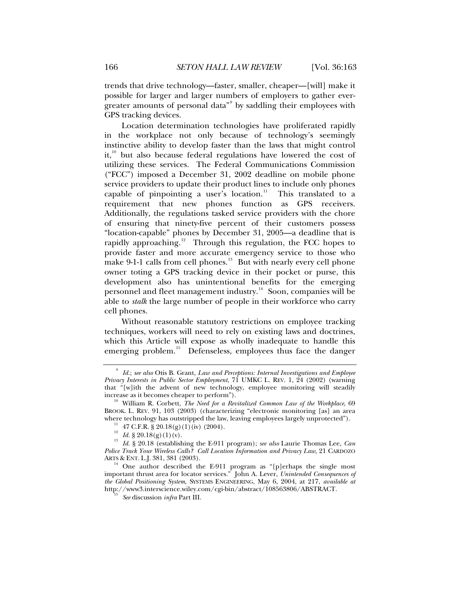trends that drive technology—faster, smaller, cheaper—[will] make it possible for larger and larger numbers of employers to gather ever-greater amounts of personal data"<sup>[9](#page-3-0)</sup> by saddling their employees with GPS tracking devices.

Location determination technologies have proliferated rapidly in the workplace not only because of technology's seemingly instinctive ability to develop faster than the laws that might control it,<sup>[10](#page-3-1)</sup> but also because federal regulations have lowered the cost of utilizing these services. The Federal Communications Commission ("FCC") imposed a December 31, 2002 deadline on mobile phone service providers to update their product lines to include only phones capable of pinpointing a user's location. $11$  This translated to a requirement that new phones function as GPS receivers. Additionally, the regulations tasked service providers with the chore of ensuring that ninety-five percent of their customers possess "location-capable" phones by December 31, 2005—a deadline that is rapidly approaching.<sup>[12](#page-3-3)</sup> Through this regulation, the FCC hopes to provide faster and more accurate emergency service to those who make 9-1-1 calls from cell phones. $13$  But with nearly every cell phone owner toting a GPS tracking device in their pocket or purse, this development also has unintentional benefits for the emerging personnel and fleet management industry.<sup>[14](#page-3-5)</sup> Soon, companies will be able to *stalk* the large number of people in their workforce who carry cell phones.

Without reasonable statutory restrictions on employee tracking techniques, workers will need to rely on existing laws and doctrines, which this Article will expose as wholly inadequate to handle this emerging problem.<sup>[15](#page-3-6)</sup> Defenseless, employees thus face the danger

<span id="page-3-0"></span><sup>9</sup>  *Id.*; *see also* Otis B. Grant, *Law and Perceptions: Internal Investigations and Employee Privacy Interests in Public Sector Employment*, 71 UMKC L. REV. 1, 24 (2002) (warning that "[w]ith the advent of new technology, employee monitoring will steadily increase as it becomes cheaper to perform").

<span id="page-3-1"></span><sup>&</sup>lt;sup>10</sup> William R. Corbett, *The Need for a Revitalized Common Law of the Workplace*, 69 BROOK. L. REV. 91, 103 (2003) (characterizing "electronic monitoring [as] an area where technology has outstripped the law, leaving employees largely unprotected").<br>
<sup>11</sup> 47 C.F.R. § 20.18(g)(1)(iv) (2004).<br>
<sup>12</sup> *Id.* § 20.18(g)(1)(v).

<span id="page-3-4"></span><span id="page-3-3"></span><span id="page-3-2"></span><sup>&</sup>lt;sup>13</sup> Id. § 20.18 (establishing the E-911 program); *see also* Laurie Thomas Lee, *Can Id.* § 20.18 (establishing the E-911 program); *Police Track Your Wireless Calls? Call Location Information and Privacy Law*, 21 CARDOZO

<span id="page-3-6"></span><span id="page-3-5"></span><sup>&</sup>lt;sup>14</sup> One author described the E-911 program as "[p]erhaps the single most important thrust area for locator services." John A. Lever, *Unintended Consequences of the Global Positioning System*, SYSTEMS ENGINEERING, May 6, 2004, at 217, *available at*  http://www3.interscience.wiley.com/cgi-bin/abstract/108563806/ABSTRACT. 15 *See* discussion *infra* Part III.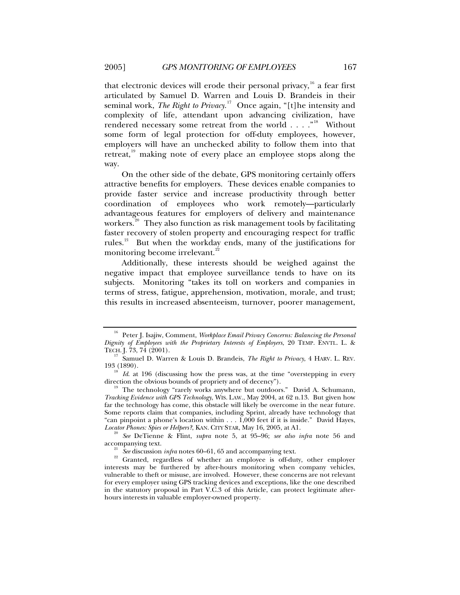that electronic devices will erode their personal privacy,  $^{16}$  $^{16}$  $^{16}$  a fear first articulated by Samuel D. Warren and Louis D. Brandeis in their seminal work, *The Right to Privacy*. [17](#page-4-1) Once again, "[t]he intensity and complexity of life, attendant upon advancing civilization, have rendered necessary some retreat from the world . . . ."<sup>[18](#page-4-2)</sup> Without some form of legal protection for off-duty employees, however, employers will have an unchecked ability to follow them into that retreat,<sup>[19](#page-4-3)</sup> making note of every place an employee stops along the way.

On the other side of the debate, GPS monitoring certainly offers attractive benefits for employers. These devices enable companies to provide faster service and increase productivity through better coordination of employees who work remotely—particularly advantageous features for employers of delivery and maintenance workers.<sup>[20](#page-4-4)</sup> They also function as risk management tools by facilitating faster recovery of stolen property and encouraging respect for traffic rules.<sup>[21](#page-4-5)</sup> But when the workday ends, many of the justifications for monitoring become irrelevant.<sup>[22](#page-4-6)</sup>

Additionally, these interests should be weighed against the negative impact that employee surveillance tends to have on its subjects. Monitoring "takes its toll on workers and companies in terms of stress, fatigue, apprehension, motivation, morale, and trust; this results in increased absenteeism, turnover, poorer management,

<span id="page-4-0"></span><sup>&</sup>lt;sup>16</sup> Peter J. Isajiw, Comment, *Workplace Email Privacy Concerns: Balancing the Personal Dignity of Employees with the Proprietary Interests of Employers*, 20 TEMP. ENVTL. L. &

<span id="page-4-1"></span><sup>&</sup>lt;sup>17</sup> Samuel D. Warren & Louis D. Brandeis, *The Right to Privacy*, 4 HARV. L. REV. 193 (1890).

<span id="page-4-2"></span><sup>&</sup>lt;sup>18</sup> *Id.* at 196 (discussing how the press was, at the time "overstepping in every direction the obvious bounds of propriety and of decency").

<span id="page-4-3"></span>The technology "rarely works anywhere but outdoors." David A. Schumann, *Tracking Evidence with GPS Technology*, WIS. LAW., May 2004, at 62 n.13. But given how far the technology has come, this obstacle will likely be overcome in the near future. Some reports claim that companies, including Sprint, already have technology that "can pinpoint a phone's location within . . . 1,000 feet if it is inside." David Hayes,

<span id="page-4-4"></span>*Locator Phones: Spies or Helpers?*, KAN. CITY STAR, May 16, 2005, at A1. 20 *See* DeTienne & Flint, *supra* note 5, at 95–96; *see also infra* note 56 and

<span id="page-4-6"></span><span id="page-4-5"></span>accompanying text.<br><sup>21</sup> *See* discussion *infra* notes 60–61, 65 and accompanying text.<br><sup>22</sup> Granted, regardless of whether an employee is off-duty, other employer interests may be furthered by after-hours monitoring when company vehicles, vulnerable to theft or misuse, are involved. However, these concerns are not relevant for every employer using GPS tracking devices and exceptions, like the one described in the statutory proposal in Part V.C.3 of this Article, can protect legitimate afterhours interests in valuable employer-owned property.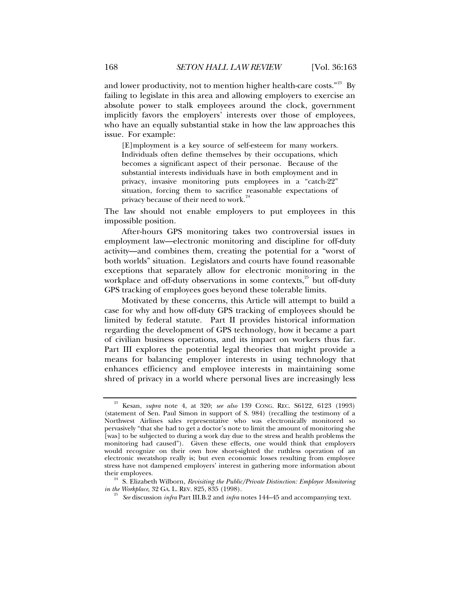and lower productivity, not to mention higher health-care costs."<sup>[23](#page-5-0)</sup> By failing to legislate in this area and allowing employers to exercise an absolute power to stalk employees around the clock, government implicitly favors the employers' interests over those of employees, who have an equally substantial stake in how the law approaches this issue. For example:

[E]mployment is a key source of self-esteem for many workers. Individuals often define themselves by their occupations, which becomes a significant aspect of their personae. Because of the substantial interests individuals have in both employment and in privacy, invasive monitoring puts employees in a "catch-22" situation, forcing them to sacrifice reasonable expectations of privacy because of their need to work.<sup>2</sup>

The law should not enable employers to put employees in this impossible position.

After-hours GPS monitoring takes two controversial issues in employment law—electronic monitoring and discipline for off-duty activity—and combines them, creating the potential for a "worst of both worlds" situation. Legislators and courts have found reasonable exceptions that separately allow for electronic monitoring in the workplace and off-duty observations in some contexts, $^{25}$  $^{25}$  $^{25}$  but off-duty GPS tracking of employees goes beyond these tolerable limits.

Motivated by these concerns, this Article will attempt to build a case for why and how off-duty GPS tracking of employees should be limited by federal statute. Part II provides historical information regarding the development of GPS technology, how it became a part of civilian business operations, and its impact on workers thus far. Part III explores the potential legal theories that might provide a means for balancing employer interests in using technology that enhances efficiency and employee interests in maintaining some shred of privacy in a world where personal lives are increasingly less

*See* discussion *infra* Part III.B.2 and *infra* notes 144–45 and accompanying text.

<span id="page-5-0"></span><sup>23</sup> Kesan, *supra* note 4, at 320; *see also* 139 CONG. REC. S6122, 6123 (1993) (statement of Sen. Paul Simon in support of S. 984) (recalling the testimony of a Northwest Airlines sales representative who was electronically monitored so pervasively "that she had to get a doctor's note to limit the amount of monitoring she [was] to be subjected to during a work day due to the stress and health problems the monitoring had caused"). Given these effects, one would think that employers would recognize on their own how short-sighted the ruthless operation of an electronic sweatshop really is; but even economic losses resulting from employee stress have not dampened employers' interest in gathering more information about

<span id="page-5-2"></span><span id="page-5-1"></span>their employees.<br><sup>24</sup> S. Elizabeth Wilborn, *Revisiting the Public/Private Distinction: Employee Monitoring in the Workplace, 32 GA. L. REV. 825, 835 (1998).*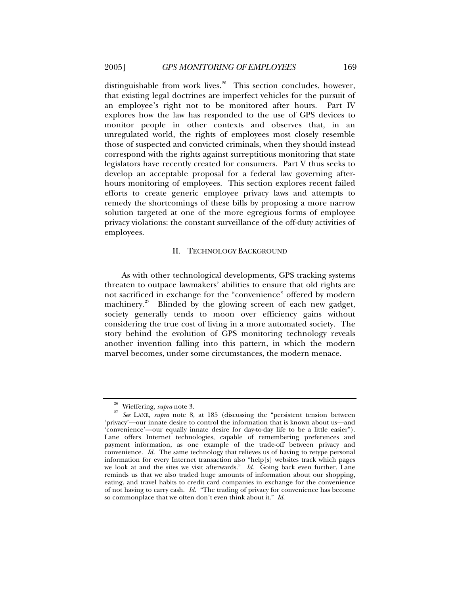<span id="page-6-0"></span>distinguishable from work lives.<sup>[26](#page-6-1)</sup> This section concludes, however, that existing legal doctrines are imperfect vehicles for the pursuit of an employee's right not to be monitored after hours. Part IV explores how the law has responded to the use of GPS devices to monitor people in other contexts and observes that, in an unregulated world, the rights of employees most closely resemble those of suspected and convicted criminals, when they should instead correspond with the rights against surreptitious monitoring that state legislators have recently created for consumers. Part V thus seeks to develop an acceptable proposal for a federal law governing afterhours monitoring of employees. This section explores recent failed efforts to create generic employee privacy laws and attempts to remedy the shortcomings of these bills by proposing a more narrow solution targeted at one of the more egregious forms of employee privacy violations: the constant surveillance of the off-duty activities of employees.

#### II. TECHNOLOGY BACKGROUND

As with other technological developments, GPS tracking systems threaten to outpace lawmakers' abilities to ensure that old rights are not sacrificed in exchange for the "convenience" offered by modern machinery. $27$  Blinded by the glowing screen of each new gadget, society generally tends to moon over efficiency gains without considering the true cost of living in a more automated society. The story behind the evolution of GPS monitoring technology reveals another invention falling into this pattern, in which the modern marvel becomes, under some circumstances, the modern menace.

<span id="page-6-2"></span><span id="page-6-1"></span><sup>26</sup> Wieffering, *supra* note 3. 27 *See* LANE, *supra* note 8, at 185 (discussing the "persistent tension between 'privacy'—our innate desire to control the information that is known about us—and 'convenience'—our equally innate desire for day-to-day life to be a little easier"). Lane offers Internet technologies, capable of remembering preferences and payment information, as one example of the trade-off between privacy and convenience. *Id.* The same technology that relieves us of having to retype personal information for every Internet transaction also "help[s] websites track which pages we look at and the sites we visit afterwards." *Id.* Going back even further, Lane reminds us that we also traded huge amounts of information about our shopping, eating, and travel habits to credit card companies in exchange for the convenience of not having to carry cash. *Id.* "The trading of privacy for convenience has become so commonplace that we often don't even think about it." *Id.*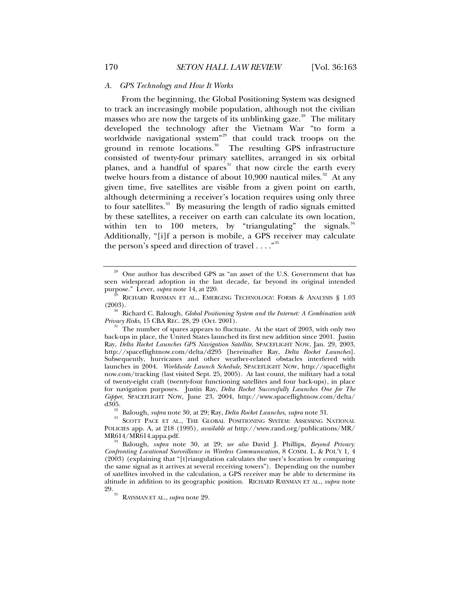#### *A. GPS Technology and How It Works*

From the beginning, the Global Positioning System was designed to track an increasingly mobile population, although not the civilian masses who are now the targets of its unblinking gaze.<sup>[28](#page-7-1)</sup> The military developed the technology after the Vietnam War "to form a worldwide navigational system"<sup>[29](#page-7-2)</sup> that could track troops on the ground in remote locations.<sup>[30](#page-7-3)</sup> The resulting GPS infrastructure consisted of twenty-four primary satellites, arranged in six orbital planes, and a handful of spares<sup>[31](#page-7-4)</sup> that now circle the earth every twelve hours from a distance of about  $10,900$  nautical miles.<sup>[32](#page-7-5)</sup> At any given time, five satellites are visible from a given point on earth, although determining a receiver's location requires using only three to four satellites. $33$  By measuring the length of radio signals emitted by these satellites, a receiver on earth can calculate its own location, within ten to  $100$  meters, by "triangulating" the signals. $34$ Additionally, "[i]f a person is mobile, a GPS receiver may calculate the person's speed and direction of travel  $\dots$ ."<sup>[35](#page-7-8)</sup>

<span id="page-7-3"></span><sup>30</sup> Richard C. Balough, *Global Positioning System and the Internet: A Combination with Privacy Risks*, 15 CBA REC. 28, 29 (Oct. 2001).

<span id="page-7-8"></span><span id="page-7-7"></span><sup>34</sup> Balough, *supra* note 30, at 29; *see also* David J. Phillips, *Beyond Privacy*: *Confronting Locational Surveillance in Wireless Communication*, 8 COMM. L. & POL'Y 1, 4 (2003) (explaining that "[t]riangulation calculates the user's location by comparing the same signal as it arrives at several receiving towers"). Depending on the number of satellites involved in the calculation, a GPS receiver may be able to determine its altitude in addition to its geographic position. RICHARD RAYSMAN ET AL., *supra* note 29. 35 RAYSMAN ET AL., *supra* note 29.

<span id="page-7-0"></span>

<span id="page-7-1"></span><sup>28</sup> One author has described GPS as "an asset of the U.S. Government that has seen widespread adoption in the last decade, far beyond its original intended purpose." Lever, *supra* note 14, at 220.

<span id="page-7-2"></span> $\stackrel{29}{\sim}$  RICHARD RAYSMAN ET AL., EMERGING TECHNOLOGY: FORMS & ANALYSIS § 1.03 (2003).

<span id="page-7-4"></span><sup>&</sup>lt;sup>31</sup> The number of spares appears to fluctuate. At the start of 2003, with only two back-ups in place, the United States launched its first new addition since 2001. Justin Ray, *Delta Rocket Launches GPS Navigation Satellite*, SPACEFLIGHT NOW, Jan. 29, 2003, http://spaceflightnow.com/delta/d295 [hereinafter Ray, *Delta Rocket Launches*]. Subsequently, hurricanes and other weather-related obstacles interfered with launches in 2004. *Worldwide Launch Schedule*, SPACEFLIGHT NOW, http://spaceflight now.com/tracking (last visited Sept. 25, 2005). At last count, the military had a total of twenty-eight craft (twenty-four functioning satellites and four back-ups), in place for navigation purposes. Justin Ray, *Delta Rocket Successfully Launches One for The Gipper*, SPACEFLIGHT NOW, June 23, 2004, http://www.spaceflightnow.com/delta/

<span id="page-7-6"></span><span id="page-7-5"></span><sup>&</sup>lt;sup>33</sup> Balough, *supra* note 30, at 29; Ray, *Delta Rocket Launches*, *supra* note 31.<br><sup>33</sup> SCOTT PACE ET AL., THE GLOBAL POSITIONING SYSTEM: ASSESSING NATIONAL POLICIES app. A, at 218 (1995), *available at* http://www.rand.org/publications/MR/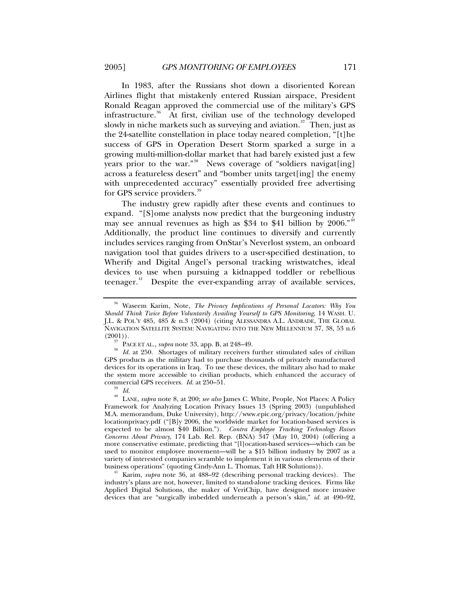In 1983, after the Russians shot down a disoriented Korean Airlines flight that mistakenly entered Russian airspace, President Ronald Reagan approved the commercial use of the military's GPS infrastructure.<sup>[36](#page-8-0)</sup> At first, civilian use of the technology developed slowly in niche markets such as surveying and aviation. $37$  Then, just as the 24-satellite constellation in place today neared completion, "[t]he success of GPS in Operation Desert Storm sparked a surge in a growing multi-million-dollar market that had barely existed just a few years prior to the war."<sup>[38](#page-8-2)</sup> News coverage of "soldiers navigat[ing] across a featureless desert" and "bomber units target[ing] the enemy with unprecedented accuracy" essentially provided free advertising for GPS service providers.<sup>[39](#page-8-3)</sup>

The industry grew rapidly after these events and continues to expand. "[S]ome analysts now predict that the burgeoning industry may see annual revenues as high as \$34 to \$41 billion by 2006."<sup>[40](#page-8-4)</sup> Additionally, the product line continues to diversify and currently includes services ranging from OnStar's Neverlost system, an onboard navigation tool that guides drivers to a user-specified destination, to Wherify and Digital Angel's personal tracking wristwatches, ideal devices to use when pursuing a kidnapped toddler or rebellious teenager.<sup>[41](#page-8-5)</sup> Despite the ever-expanding array of available services,

<span id="page-8-5"></span>Karim, *supra* note 36, at 488–92 (describing personal tracking devices). The industry's plans are not, however, limited to stand-alone tracking devices. Firms like Applied Digital Solutions, the maker of VeriChip, have designed more invasive devices that are "surgically imbedded underneath a person's skin," *id.* at 490–92,

<span id="page-8-0"></span><sup>36</sup> Waseem Karim, Note, *The Privacy Implications of Personal Locators: Why You Should Think Twice Before Voluntarily Availing Yourself to GPS Monitoring*, 14 WASH. U. J.L. & POL'Y 485, 485 & n.3 (2004) (citing ALESSANDRA A.L. ANDRADE, THE GLOBAL NAVIGATION SATELLITE SYSTEM: NAVIGATING INTO THE NEW MILLENNIUM 37, 38, 53 n.6 (2001)).

<span id="page-8-2"></span><span id="page-8-1"></span><sup>&</sup>lt;sup>37</sup> PACE ET AL., *supra* note 33, app. B, at 248–49.<br><sup>38</sup> *Id.* at 250. Shortages of military receivers further stimulated sales of civilian GPS products as the military had to purchase thousands of privately manufactured devices for its operations in Iraq. To use these devices, the military also had to make the system more accessible to civilian products, which enhanced the accuracy of commercial GPS receivers. *Id.* at 250–51. 39 *Id.*

<span id="page-8-4"></span><span id="page-8-3"></span><sup>40</sup> LANE, *supra* note 8, at 200; *see also* James C. White, People, Not Places: A Policy Framework for Analyzing Location Privacy Issues 13 (Spring 2003) (unpublished M.A. memorandum, Duke University), http://www.epic.org/privacy/location/jwhite locationprivacy.pdf ("[B]y 2006, the worldwide market for location-based services is expected to be almost \$40 Billion."). *Contra Employee Tracking Technology Raises Concerns About Privacy*, 174 Lab. Rel. Rep. (BNA) 347 (May 10, 2004) (offering a more conservative estimate, predicting that "[l]ocation-based services—which can be used to monitor employee movement—will be a \$15 billion industry by 2007 as a variety of interested companies scramble to implement it in various elements of their<br>business operations" (quoting Cindy-Ann L. Thomas, Taft HR Solutions)).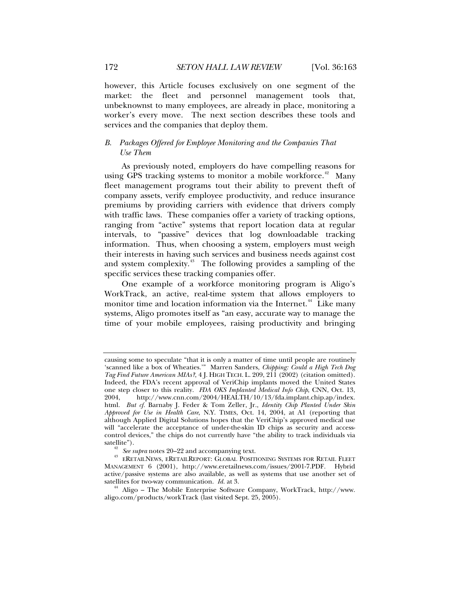<span id="page-9-0"></span>however, this Article focuses exclusively on one segment of the market: the fleet and personnel management tools that, unbeknownst to many employees, are already in place, monitoring a worker's every move. The next section describes these tools and services and the companies that deploy them.

# *B. Packages Offered for Employee Monitoring and the Companies That Use Them*

As previously noted, employers do have compelling reasons for using GPS tracking systems to monitor a mobile workforce.<sup>[42](#page-9-1)</sup> Many fleet management programs tout their ability to prevent theft of company assets, verify employee productivity, and reduce insurance premiums by providing carriers with evidence that drivers comply with traffic laws. These companies offer a variety of tracking options, ranging from "active" systems that report location data at regular intervals, to "passive" devices that log downloadable tracking information. Thus, when choosing a system, employers must weigh their interests in having such services and business needs against cost and system complexity.<sup>[43](#page-9-2)</sup> The following provides a sampling of the specific services these tracking companies offer.

One example of a workforce monitoring program is Aligo's WorkTrack, an active, real-time system that allows employers to monitor time and location information via the Internet.<sup>[44](#page-9-3)</sup> Like many systems, Aligo promotes itself as "an easy, accurate way to manage the time of your mobile employees, raising productivity and bringing

causing some to speculate "that it is only a matter of time until people are routinely 'scanned like a box of Wheaties.'" Marren Sanders, *Chipping: Could a High Tech Dog Tag Find Future American MIAs?*, 4 J. HIGH TECH. L. 209, 211 (2002) (citation omitted). Indeed, the FDA's recent approval of VeriChip implants moved the United States one step closer to this reality. *FDA OKS Implanted Medical Info Chip*, CNN, Oct. 13, 2004, http://www.cnn.com/2004/HEALTH/10/13/fda.implant.chip.ap/index. 2004, http://www.cnn.com/2004/HEALTH/10/13/fda.implant.chip.ap/index. html. *But cf.* Barnaby J. Feder & Tom Zeller, Jr., *Identity Chip Planted Under Skin Approved for Use in Health Care*, N.Y. TIMES, Oct. 14, 2004, at A1 (reporting that although Applied Digital Solutions hopes that the VeriChip's approved medical use will "accelerate the acceptance of under-the-skin ID chips as security and accesscontrol devices," the chips do not currently have "the ability to track individuals via

<span id="page-9-2"></span><span id="page-9-1"></span><sup>&</sup>lt;sup>42</sup> See supra notes 20–22 and accompanying text.<br><sup>43</sup> ERETAILNEWS, ERETAILREPORT: GLOBAL POSITIONING SYSTEMS FOR RETAIL FLEET MANAGEMENT 6 (2001), http://www.eretailnews.com/issues/2001-7.PDF. Hybrid active/passive systems are also available, as well as systems that use another set of satellites for two-way communication. *Id.* at 3.<br><sup>44</sup> Aligo – The Mobile Enterprise Software Company, WorkTrack, http://www.

<span id="page-9-3"></span>aligo.com/products/workTrack (last visited Sept. 25, 2005).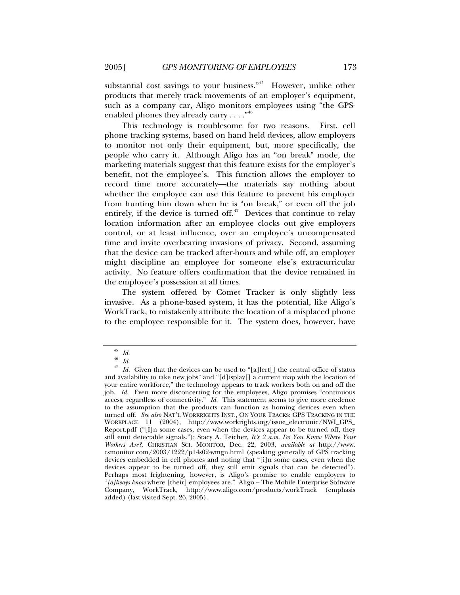substantial cost savings to your business."<sup>[45](#page-10-0)</sup> However, unlike other products that merely track movements of an employer's equipment, such as a company car, Aligo monitors employees using "the GPSenabled phones they already carry  $\dots$ ."<sup>[46](#page-10-1)</sup>

This technology is troublesome for two reasons. First, cell phone tracking systems, based on hand held devices, allow employers to monitor not only their equipment, but, more specifically, the people who carry it. Although Aligo has an "on break" mode, the marketing materials suggest that this feature exists for the employer's benefit, not the employee's. This function allows the employer to record time more accurately—the materials say nothing about whether the employee can use this feature to prevent his employer from hunting him down when he is "on break," or even off the job entirely, if the device is turned off. $47$  Devices that continue to relay location information after an employee clocks out give employers control, or at least influence, over an employee's uncompensated time and invite overbearing invasions of privacy. Second, assuming that the device can be tracked after-hours and while off, an employer might discipline an employee for someone else's extracurricular activity. No feature offers confirmation that the device remained in the employee's possession at all times.

The system offered by Comet Tracker is only slightly less invasive. As a phone-based system, it has the potential, like Aligo's WorkTrack, to mistakenly attribute the location of a misplaced phone to the employee responsible for it. The system does, however, have

 $rac{45}{46}$  *Id.* 

 $\frac{46}{47}$  *Id.* 

<span id="page-10-2"></span><span id="page-10-1"></span><span id="page-10-0"></span>Id. Given that the devices can be used to "[a]lert[] the central office of status and availability to take new jobs" and "[d]isplay[] a current map with the location of your entire workforce," the technology appears to track workers both on and off the job. *Id.* Even more disconcerting for the employees, Aligo promises "continuous access, regardless of connectivity." *Id.* This statement seems to give more credence to the assumption that the products can function as homing devices even when turned off. *See also* NAT'L WORKRIGHTS INST., ON YOUR TRACKS: GPS TRACKING IN THE WORKPLACE 11 (2004), http://www.workrights.org/issue\_electronic/NWI\_GPS\_ Report.pdf ("[I]n some cases, even when the devices appear to be turned off, they still emit detectable signals."); Stacy A. Teicher, *It's 2 a.m. Do You Know Where Your Workers Are?*, CHRISTIAN SCI. MONITOR, Dec. 22, 2003, *available at* http://www. csmonitor.com/2003/1222/p14s02-wmgn.html (speaking generally of GPS tracking devices embedded in cell phones and noting that "[i]n some cases, even when the devices appear to be turned off, they still emit signals that can be detected"). Perhaps most frightening, however, is Aligo's promise to enable employers to "*[a]lways know* where [their] employees are." Aligo – The Mobile Enterprise Software Company, WorkTrack, http://www.aligo.com/products/workTrack (emphasis added) (last visited Sept. 26, 2005).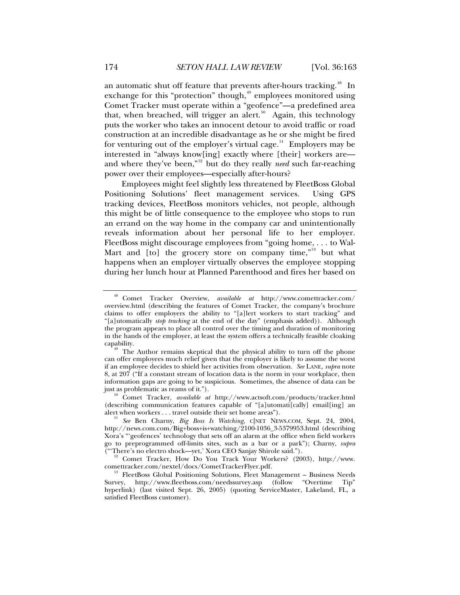an automatic shut off feature that prevents after-hours tracking.<sup>[48](#page-11-0)</sup> In exchange for this "protection" though,  $9$  employees monitored using Comet Tracker must operate within a "geofence"—a predefined area that, when breached, will trigger an alert.<sup>[50](#page-11-2)</sup> Again, this technology puts the worker who takes an innocent detour to avoid traffic or road construction at an incredible disadvantage as he or she might be fired for venturing out of the employer's virtual cage. $51$  Employers may be interested in "always know[ing] exactly where [their] workers are and where they've been,"[52](#page-11-4) but do they really *need* such far-reaching power over their employees—especially after-hours?

Employees might feel slightly less threatened by FleetBoss Global Positioning Solutions' fleet management services. Using GPS tracking devices, FleetBoss monitors vehicles, not people, although this might be of little consequence to the employee who stops to run an errand on the way home in the company car and unintentionally reveals information about her personal life to her employer. FleetBoss might discourage employees from "going home, . . . to Wal-Mart and  $[$ to $]$  the grocery store on company time, $^{553}$  $^{553}$  $^{553}$  but what happens when an employer virtually observes the employee stopping during her lunch hour at Planned Parenthood and fires her based on

<span id="page-11-0"></span><sup>48</sup> Comet Tracker Overview, *available at* http://www.comettracker.com/ overview.html (describing the features of Comet Tracker, the company's brochure claims to offer employers the ability to "[a]lert workers to start tracking" and "[a]utomatically *stop tracking* at the end of the day" (emphasis added)). Although the program appears to place all control over the timing and duration of monitoring in the hands of the employer, at least the system offers a technically feasible cloaking

<span id="page-11-1"></span>The Author remains skeptical that the physical ability to turn off the phone can offer employees much relief given that the employer is likely to assume the worst if an employee decides to shield her activities from observation. *See* LANE, *supra* note 8, at 207 ("If a constant stream of location data is the norm in your workplace, then information gaps are going to be suspicious. Sometimes, the absence of data can be just as problematic as reams of it."). 50 Comet Tracker, *available at* http://www.actsoft.com/products/tracker.html

<span id="page-11-2"></span><sup>(</sup>describing communication features capable of "[a]utomati[cally] email[ing] an alert when workers . . . travel outside their set home areas").

<span id="page-11-3"></span>See Ben Charny, *Big Boss Is Watching*, CNET NEWS.COM, Sept. 24, 2004, http://news.com.com/Big+boss+is+watching/2100-1036\_3-5379953.html (describing Xora's "'geofences' technology that sets off an alarm at the office when field workers go to preprogrammed off-limits sites, such as a bar or a park"); Charny, *supra*

<span id="page-11-4"></span> $52$  Comet Tracker, How Do You Track Your Workers? (2003), http://www.comettracker.com/nextel/docs/CometTrackerFlyer.pdf.

<span id="page-11-5"></span><sup>&</sup>lt;sup>53</sup> FleetBoss Global Positioning Solutions, Fleet Management – Business Needs Survey, http://www.fleetboss.com/needssurvey.asp (follow "Overtime Tip" hyperlink) (last visited Sept. 26, 2005) (quoting ServiceMaster, Lakeland, FL, a satisfied FleetBoss customer).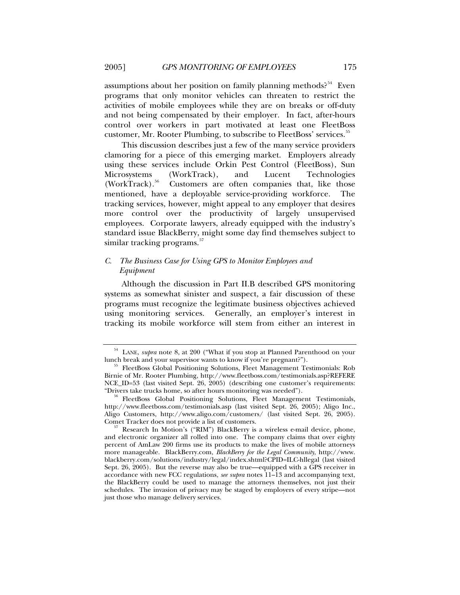<span id="page-12-0"></span>assumptions about her position on family planning methods?<sup>[54](#page-12-1)</sup> Even programs that only monitor vehicles can threaten to restrict the activities of mobile employees while they are on breaks or off-duty and not being compensated by their employer. In fact, after-hours control over workers in part motivated at least one FleetBoss customer, Mr. Rooter Plumbing, to subscribe to FleetBoss' services.<sup>[55](#page-12-2)</sup>

This discussion describes just a few of the many service providers clamoring for a piece of this emerging market. Employers already using these services include Orkin Pest Control (FleetBoss), Sun Microsystems (WorkTrack), and Lucent Technologies<br>(WorkTrack).<sup>56</sup> Customers are often companies that, like those Customers are often companies that, like those mentioned, have a deployable service-providing workforce. The tracking services, however, might appeal to any employer that desires more control over the productivity of largely unsupervised employees. Corporate lawyers, already equipped with the industry's standard issue BlackBerry, might some day find themselves subject to similar tracking programs.<sup>[57](#page-12-4)</sup>

# *C. The Business Case for Using GPS to Monitor Employees and Equipment*

Although the discussion in Part II.B described GPS monitoring systems as somewhat sinister and suspect, a fair discussion of these programs must recognize the legitimate business objectives achieved using monitoring services. Generally, an employer's interest in tracking its mobile workforce will stem from either an interest in

<span id="page-12-1"></span><sup>&</sup>lt;sup>54</sup> LANE, *supra* note 8, at 200 ("What if you stop at Planned Parenthood on your lunch break and your supervisor wants to know if you're pregnant?").

<span id="page-12-2"></span><sup>&</sup>lt;sup>55</sup> FleetBoss Global Positioning Solutions, Fleet Management Testimonials: Rob Birnie of Mr. Rooter Plumbing, http://www.fleetboss.com/testimonials.asp?REFERE NCE\_ID=53 (last visited Sept. 26, 2005) (describing one customer's requirements: "Drivers take trucks home, so after hours monitoring was needed").

<span id="page-12-3"></span><sup>&</sup>lt;sup>56</sup> FleetBoss Global Positioning Solutions, Fleet Management Testimonials, http://www.fleetboss.com/testimonials.asp (last visited Sept. 26, 2005); Aligo Inc., Aligo Customers, http://www.aligo.com/customers/ (last visited Sept. 26, 2005).

<span id="page-12-4"></span>Research In Motion's ("RIM") BlackBerry is a wireless e-mail device, phone, and electronic organizer all rolled into one. The company claims that over eighty percent of AmLaw 200 firms use its products to make the lives of mobile attorneys more manageable. BlackBerry.com, *BlackBerry for the Legal Community*, http://www. blackberry.com/solutions/industry/legal/index.shtml?CPID=ILC-hllegal (last visited Sept. 26, 2005). But the reverse may also be true—equipped with a GPS receiver in accordance with new FCC regulations, *see supra* notes 11–13 and accompanying text, the BlackBerry could be used to manage the attorneys themselves, not just their schedules. The invasion of privacy may be staged by employers of every stripe—not just those who manage delivery services.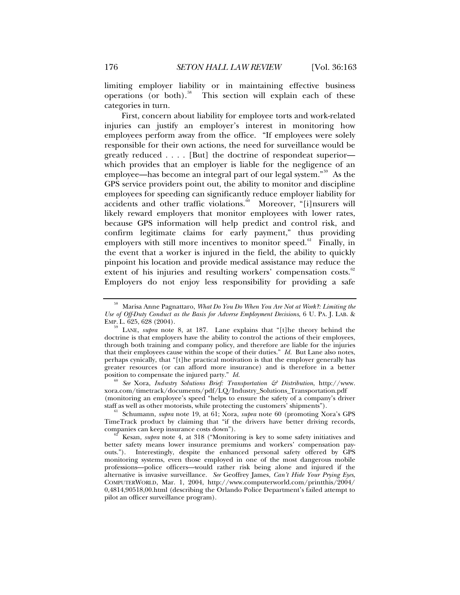limiting employer liability or in maintaining effective business operations (or both).<sup>[58](#page-13-0)</sup> This section will explain each of these categories in turn.

First, concern about liability for employee torts and work-related injuries can justify an employer's interest in monitoring how employees perform away from the office. "If employees were solely responsible for their own actions, the need for surveillance would be greatly reduced . . . . [But] the doctrine of respondeat superior which provides that an employer is liable for the negligence of an employee—has become an integral part of our legal system."[59](#page-13-1) As the GPS service providers point out, the ability to monitor and discipline employees for speeding can significantly reduce employer liability for accidents and other traffic violations.<sup>[60](#page-13-2)</sup> Moreover, "[i]nsurers will likely reward employers that monitor employees with lower rates, because GPS information will help predict and control risk, and confirm legitimate claims for early payment," thus providing employers with still more incentives to monitor speed. $61$  Finally, in the event that a worker is injured in the field, the ability to quickly pinpoint his location and provide medical assistance may reduce the extent of his injuries and resulting workers' compensation costs.<sup>[62](#page-13-4)</sup> Employers do not enjoy less responsibility for providing a safe

<span id="page-13-2"></span>position to compensate the injured party." *Id.* <sup>60</sup> *See* Xora, *Industry Solutions Brief: Transportation & Distribution*, http://www. xora.com/timetrack/documents/pdf/LQ/Industry\_Solutions\_Transportation.pdf (monitoring an employee's speed "helps to ensure the safety of a company's driver staff as well as other motorists, while protecting the customers' shipments").

<span id="page-13-3"></span>Schumann, *supra* note 19, at 61; Xora, *supra* note 60 (promoting Xora's GPS TimeTrack product by claiming that "if the drivers have better driving records, companies can keep insurance costs down").

<span id="page-13-0"></span><sup>58</sup> Marisa Anne Pagnattaro, *What Do You Do When You Are Not at Work?: Limiting the Use of Off-Duty Conduct as the Basis for Adverse Employment Decisions*, 6 U. PA. J. LAB. &

<span id="page-13-1"></span>LANE, *supra* note 8, at 187. Lane explains that "[t]he theory behind the doctrine is that employers have the ability to control the actions of their employees, through both training and company policy, and therefore are liable for the injuries that their employees cause within the scope of their duties." *Id.* But Lane also notes, perhaps cynically, that "[t]he practical motivation is that the employer generally has greater resources (or can afford more insurance) and is therefore in a better position to compensate the injured party."  $Id$ .

<span id="page-13-4"></span>Kesan, *supra* note 4, at 318 ("Monitoring is key to some safety initiatives and better safety means lower insurance premiums and workers' compensation payouts."). Interestingly, despite the enhanced personal safety offered by GPS monitoring systems, even those employed in one of the most dangerous mobile professions—police officers—would rather risk being alone and injured if the alternative is invasive surveillance. *See* Geoffrey James, *Can't Hide Your Prying Eyes*, COMPUTERWORLD, Mar. 1, 2004, http://www.computerworld.com/printthis/2004/ 0,4814,90518,00.html (describing the Orlando Police Department's failed attempt to pilot an officer surveillance program).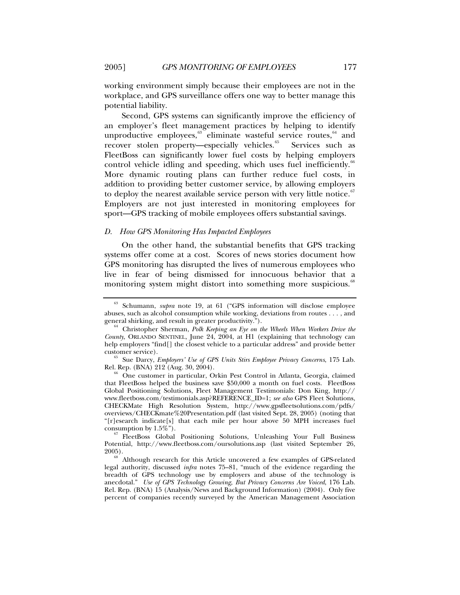working environment simply because their employees are not in the workplace, and GPS surveillance offers one way to better manage this potential liability.

Second, GPS systems can significantly improve the efficiency of an employer's fleet management practices by helping to identify unproductive employees,<sup>[63](#page-14-1)</sup> eliminate wasteful service routes,<sup>64</sup> and recover stolen property—especially vehicles.<sup>[65](#page-14-3)</sup> Services such as FleetBoss can significantly lower fuel costs by helping employers control vehicle idling and speeding, which uses fuel inefficiently.<sup>[66](#page-14-4)</sup> More dynamic routing plans can further reduce fuel costs, in addition to providing better customer service, by allowing employers to deploy the nearest available service person with very little notice. $67$ Employers are not just interested in monitoring employees for sport—GPS tracking of mobile employees offers substantial savings.

## *D. How GPS Monitoring Has Impacted Employees*

On the other hand, the substantial benefits that GPS tracking systems offer come at a cost. Scores of news stories document how GPS monitoring has disrupted the lives of numerous employees who live in fear of being dismissed for innocuous behavior that a monitoring system might distort into something more suspicious.<sup>[68](#page-14-6)</sup>

<span id="page-14-5"></span><sup>67</sup> FleetBoss Global Positioning Solutions, Unleashing Your Full Business Potential, http://www.fleetboss.com/oursolutions.asp (last visited September 26, 2005). 68 Although research for this Article uncovered a few examples of GPS-related

<span id="page-14-6"></span>legal authority, discussed *infra* notes 75–81, "much of the evidence regarding the breadth of GPS technology use by employers and abuse of the technology is anecdotal." *Use of GPS Technology Growing, But Privacy Concerns Are Voiced*, 176 Lab. Rel. Rep. (BNA) 15 (Analysis/News and Background Information) (2004). Only five percent of companies recently surveyed by the American Management Association

<span id="page-14-0"></span>

<span id="page-14-1"></span><sup>63</sup> Schumann, *supra* note 19, at 61 ("GPS information will disclose employee abuses, such as alcohol consumption while working, deviations from routes . . . , and general shirking, and result in greater productivity.").

<span id="page-14-2"></span><sup>&</sup>lt;sup>64</sup> Christopher Sherman, *Polk Keeping an Eye on the Wheels When Workers Drive the County*, ORLANDO SENTINEL, June 24, 2004, at H1 (explaining that technology can help employers "find[] the closest vehicle to a particular address" and provide better customer service).

<span id="page-14-3"></span><sup>&</sup>lt;sup>65</sup> Sue Darcy, *Employers' Use of GPS Units Stirs Employee Privacy Concerns*, 175 Lab. Rel. Rep. (BNA) 212 (Aug. 30, 2004).

<span id="page-14-4"></span><sup>&</sup>lt;sup>66</sup> One customer in particular, Orkin Pest Control in Atlanta, Georgia, claimed that FleetBoss helped the business save \$50,000 a month on fuel costs. FleetBoss Global Positioning Solutions, Fleet Management Testimonials: Don King, http:// www.fleetboss.com/testimonials.asp?REFERENCE\_ID=1; *see also* GPS Fleet Solutions, CHECKMate High Resolution System, http://www.gpsfleetsolutions.com/pdfs/ overviews/CHECKmate%20Presentation.pdf (last visited Sept. 28, 2005) (noting that "[r]esearch indicate[s] that each mile per hour above 50 MPH increases fuel consumption by  $1.5\%$ ").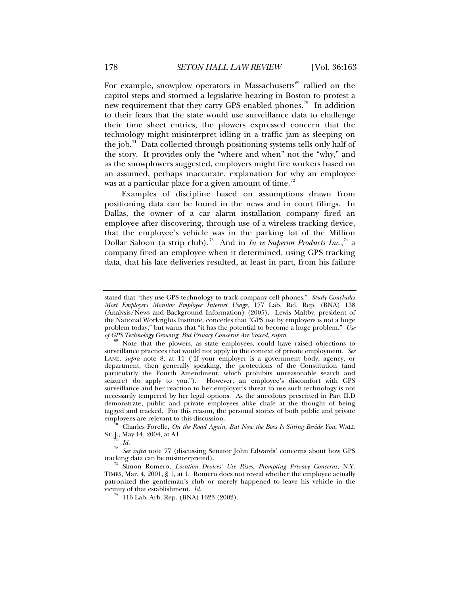For example, snowplow operators in Massachusetts<sup>[69](#page-15-0)</sup> rallied on the capitol steps and stormed a legislative hearing in Boston to protest a new requirement that they carry GPS enabled phones.<sup>[70](#page-15-1)</sup> In addition to their fears that the state would use surveillance data to challenge their time sheet entries, the plowers expressed concern that the technology might misinterpret idling in a traffic jam as sleeping on the job. $\frac{71}{10}$  $\frac{71}{10}$  $\frac{71}{10}$  Data collected through positioning systems tells only half of the story. It provides only the "where and when" not the "why," and as the snowplowers suggested, employers might fire workers based on

Examples of discipline based on assumptions drawn from positioning data can be found in the news and in court filings. In Dallas, the owner of a car alarm installation company fired an employee after discovering, through use of a wireless tracking device, that the employee's vehicle was in the parking lot of the Million Dollar Saloon (a strip club).<sup>[73](#page-15-4)</sup> And in *In re Superior Products Inc.*,<sup>[74](#page-15-5)</sup> a company fired an employee when it determined, using GPS tracking data, that his late deliveries resulted, at least in part, from his failure

an assumed, perhaps inaccurate, explanation for why an employee

was at a particular place for a given amount of time.<sup>[72](#page-15-3)</sup>

 $rac{71}{72}$  *Id.* 

stated that "they use GPS technology to track company cell phones." *Study Concludes Most Employers Monitor Employee Internet Usage*, 177 Lab. Rel. Rep. (BNA) 138 (Analysis/News and Background Information) (2005). Lewis Maltby, president of the National Workrights Institute, concedes that "GPS use by employers is not a huge problem today," but warns that "it has the potential to become a huge problem." *Use* 

<span id="page-15-0"></span><sup>&</sup>lt;sup>9</sup> Note that the plowers, as state employees, could have raised objections to surveillance practices that would not apply in the context of private employment. *See* LANE, *supra* note 8, at 11 ("If your employer is a government body, agency, or department, then generally speaking, the protections of the Constitution (and particularly the Fourth Amendment, which prohibits unreasonable search and seizure) do apply to you."). However, an employee's discomfort with GPS surveillance and her reaction to her employer's threat to use such technology is not necessarily tempered by her legal options. As the anecdotes presented in Part II.D demonstrate, public and private employees alike chafe at the thought of being tagged and tracked. For this reason, the personal stories of both public and private

<span id="page-15-1"></span>employees are relevant to this discussion. 70 Charles Forelle, *On the Road Again, But Now the Boss Is Sitting Beside You*, WALL ST.J., May 14, 2004, at A1.

<span id="page-15-3"></span><span id="page-15-2"></span><sup>&</sup>lt;sup>72</sup> See infra note 77 (discussing Senator John Edwards' concerns about how GPS tracking data can be misinterpreted).

<span id="page-15-5"></span><span id="page-15-4"></span><sup>&</sup>lt;sup>73</sup> Simon Romero, *Location Devices' Use Rises, Prompting Privacy Concerns*, N.Y. TIMES, Mar. 4, 2001, § 1, at 1. Romero does not reveal whether the employee actually patronized the gentleman's club or merely happened to leave his vehicle in the vicinity of that establishment. *Id.* <sup>74</sup> 116 Lab. Arb. Rep. (BNA) 1623 (2002).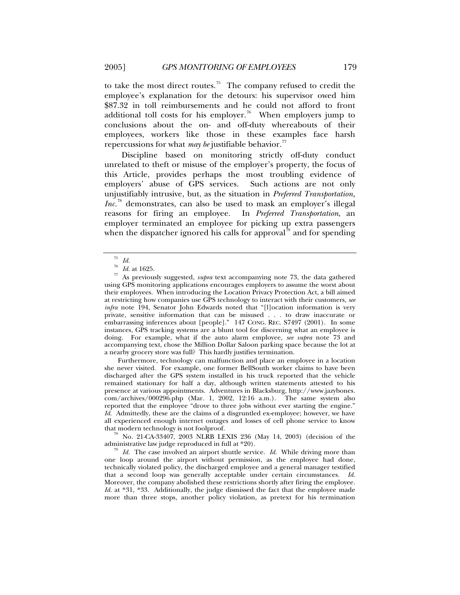to take the most direct routes.<sup>[75](#page-16-0)</sup> The company refused to credit the employee's explanation for the detours: his supervisor owed him \$87.32 in toll reimbursements and he could not afford to front additional toll costs for his employer.<sup>[76](#page-16-1)</sup> When employers jump to conclusions about the on- and off-duty whereabouts of their employees, workers like those in these examples face harsh repercussions for what *may be* justifiable behavior.<sup>[77](#page-16-2)</sup>

Discipline based on monitoring strictly off-duty conduct unrelated to theft or misuse of the employer's property, the focus of this Article, provides perhaps the most troubling evidence of employers' abuse of GPS services. Such actions are not only unjustifiably intrusive, but, as the situation in *Preferred Transportation, Inc.*[78](#page-16-3) demonstrates, can also be used to mask an employer's illegal reasons for firing an employee. In *Preferred Transportation*, an employer terminated an employee for picking up extra passengers when the dispatcher ignored his calls for approval<sup>[79](#page-16-4)</sup> and for spending

Furthermore, technology can malfunction and place an employee in a location she never visited. For example, one former BellSouth worker claims to have been discharged after the GPS system installed in his truck reported that the vehicle remained stationary for half a day, although written statements attested to his presence at various appointments. Adventures in Blacksburg, http://www.jazybones. com/archives/000296.php (Mar. 1, 2002, 12:16 a.m.). The same system also reported that the employee "drove to three jobs without ever starting the engine." *Id.* Admittedly, these are the claims of a disgruntled ex-employee; however, we have all experienced enough internet outages and losses of cell phone service to know

<span id="page-16-3"></span><sup>78</sup> No. 21-CA-33407, 2003 NLRB LEXIS 236 (May 14, 2003) (decision of the administrative law judge reproduced in full at  $*20$ ).

 $\frac{75}{76}$  *Id.* at 1625.

<span id="page-16-2"></span><span id="page-16-1"></span><span id="page-16-0"></span>As previously suggested, *supra* text accompanying note 73, the data gathered using GPS monitoring applications encourages employers to assume the worst about their employees. When introducing the Location Privacy Protection Act, a bill aimed at restricting how companies use GPS technology to interact with their customers, *see infra* note 194, Senator John Edwards noted that "[l]ocation information is very private, sensitive information that can be misused . . . to draw inaccurate or embarrassing inferences about [people]." 147 CONG. REC. S7497 (2001). In some instances, GPS tracking systems are a blunt tool for discerning what an employee is doing. For example, what if the auto alarm employee, *see supra* note 73 and accompanying text, chose the Million Dollar Saloon parking space because the lot at a nearby grocery store was full? This hardly justifies termination.

<span id="page-16-4"></span> $\frac{1}{2}$  *Id.* The case involved an airport shuttle service. *Id.* While driving more than one loop around the airport without permission, as the employee had done, technically violated policy, the discharged employee and a general manager testified that a second loop was generally acceptable under certain circumstances. *Id*. Moreover, the company abolished these restrictions shortly after firing the employee. *Id.* at \*31, \*33. Additionally, the judge dismissed the fact that the employee made more than three stops, another policy violation, as pretext for his termination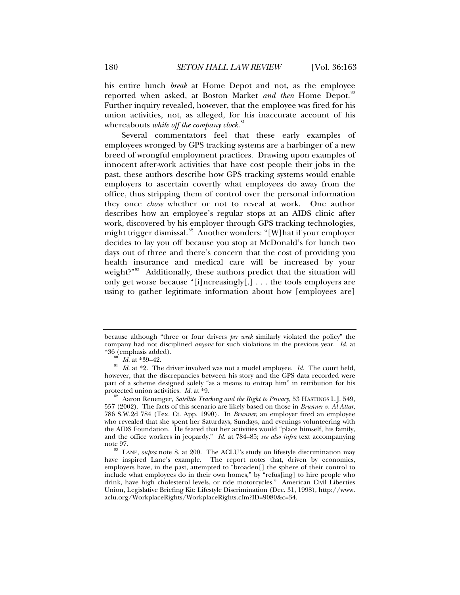his entire lunch *break* at Home Depot and not, as the employee reported when asked, at Boston Market *and then* Home Depot.<sup>[80](#page-17-0)</sup> Further inquiry revealed, however, that the employee was fired for his union activities, not, as alleged, for his inaccurate account of his whereabouts *while off the company clock*. [81](#page-17-1)

Several commentators feel that these early examples of employees wronged by GPS tracking systems are a harbinger of a new breed of wrongful employment practices. Drawing upon examples of innocent after-work activities that have cost people their jobs in the past, these authors describe how GPS tracking systems would enable employers to ascertain covertly what employees do away from the office, thus stripping them of control over the personal information they once *chose* whether or not to reveal at work. One author describes how an employee's regular stops at an AIDS clinic after work, discovered by his employer through GPS tracking technologies, might trigger dismissal.<sup>[82](#page-17-2)</sup> Another wonders: "[W] hat if your employer decides to lay you off because you stop at McDonald's for lunch two days out of three and there's concern that the cost of providing you health insurance and medical care will be increased by your weight?"<sup>[83](#page-17-3)</sup> Additionally, these authors predict that the situation will only get worse because "[i]ncreasingly[,] . . . the tools employers are using to gather legitimate information about how [employees are]

because although "three or four drivers *per week* similarly violated the policy" the company had not disciplined *anyone* for such violations in the previous year. *Id.* at

<span id="page-17-1"></span><span id="page-17-0"></span><sup>&</sup>lt;sup>80</sup> Id. at \*39–42.<br><sup>81</sup> Id. at \*2. The driver involved was not a model employee. Id. The court held, however, that the discrepancies between his story and the GPS data recorded were part of a scheme designed solely "as a means to entrap him" in retribution for his protected union activities. *Id.* at  $*9$ .

<span id="page-17-2"></span>Aaron Renenger, *Satellite Tracking and the Right to Privacy*, 53 HASTINGS L.J. 549, 557 (2002). The facts of this scenario are likely based on those in *Brunner v. Al Attar*, 786 S.W.2d 784 (Tex. Ct. App. 1990). In *Brunner*, an employer fired an employee who revealed that she spent her Saturdays, Sundays, and evenings volunteering with the AIDS Foundation. He feared that her activities would "place himself, his family, and the office workers in jeopardy." *Id.* at 784–85; *see also infra* text accompanying note 97.<br><sup>83</sup> LANE, *supra* note 8, at 200. The ACLU's study on lifestyle discrimination may

<span id="page-17-3"></span>have inspired Lane's example. The report notes that, driven by economics, employers have, in the past, attempted to "broaden[] the sphere of their control to include what employees do in their own homes," by "refus[ing] to hire people who drink, have high cholesterol levels, or ride motorcycles." American Civil Liberties Union, Legislative Briefing Kit: Lifestyle Discrimination (Dec. 31, 1998), http://www. aclu.org/WorkplaceRights/WorkplaceRights.cfm?ID=9080&c=34.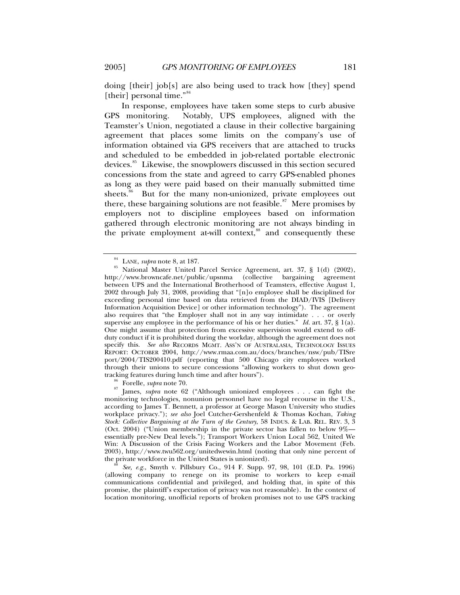doing [their] job[s] are also being used to track how [they] spend [their] personal time."<sup>[84](#page-18-0)</sup>

In response, employees have taken some steps to curb abusive GPS monitoring. Notably, UPS employees, aligned with the Teamster's Union, negotiated a clause in their collective bargaining agreement that places some limits on the company's use of information obtained via GPS receivers that are attached to trucks and scheduled to be embedded in job-related portable electronic devices.<sup>[85](#page-18-1)</sup> Likewise, the snowplowers discussed in this section secured concessions from the state and agreed to carry GPS-enabled phones as long as they were paid based on their manually submitted time sheets.<sup>[86](#page-18-2)</sup> But for the many non-unionized, private employees out there, these bargaining solutions are not feasible.<sup>[87](#page-18-3)</sup> Mere promises by employers not to discipline employees based on information gathered through electronic monitoring are not always binding in the private employment at-will context,<sup>[88](#page-18-4)</sup> and consequently these

<span id="page-18-3"></span><span id="page-18-2"></span><sup>86</sup> Forelle, *supra* note 70. 87 James, *supra* note 62 ("Although unionized employees . . . can fight the monitoring technologies, nonunion personnel have no legal recourse in the U.S., according to James T. Bennett, a professor at George Mason University who studies workplace privacy."); *see also* Joel Cutcher-Gershenfeld & Thomas Kochan, *Taking Stock: Collective Bargaining at the Turn of the Century*, 58 INDUS. & LAB. REL. REV. 3, 3 (Oct. 2004) ("Union membership in the private sector has fallen to below 9% essentially pre-New Deal levels."); Transport Workers Union Local 562, United We Win: A Discussion of the Crisis Facing Workers and the Labor Movement (Feb. 2003), http://www.twu562.org/unitedwewin.html (noting that only nine percent of the private workforce in the United States is unionized). <sup>88</sup> *See, e.g.*, Smyth v. Pillsbury Co., 914 F. Supp. 97, 98, 101 (E.D. Pa. 1996)

<span id="page-18-4"></span>(allowing company to renege on its promise to workers to keep e-mail communications confidential and privileged, and holding that, in spite of this promise, the plaintiff's expectation of privacy was not reasonable). In the context of location monitoring, unofficial reports of broken promises not to use GPS tracking

<span id="page-18-1"></span><span id="page-18-0"></span><sup>&</sup>lt;sup>84</sup> LANE, *supra* note 8, at 187.<br><sup>85</sup> National Master United Parcel Service Agreement, art. 37, § 1(d) (2002), http://www.browncafe.net/public/upsnma (collective bargaining agreement between UPS and the International Brotherhood of Teamsters, effective August 1, 2002 through July 31, 2008, providing that "[n]o employee shall be disciplined for exceeding personal time based on data retrieved from the DIAD/IVIS [Delivery Information Acquisition Device] or other information technology"). The agreement also requires that "the Employer shall not in any way intimidate . . . or overly supervise any employee in the performance of his or her duties." *Id.* art. 37, § 1(a). One might assume that protection from excessive supervision would extend to offduty conduct if it is prohibited during the workday, although the agreement does not specify this. *See also* RECORDS MGMT. ASS'N OF AUSTRALASIA, TECHNOLOGY ISSUES REPORT: OCTOBER 2004, http://www.rmaa.com.au/docs/branches/nsw/pub/TISre port/2004/TIS200410.pdf (reporting that 500 Chicago city employees worked through their unions to secure concessions "allowing workers to shut down geotracking features during lunch time and after hours").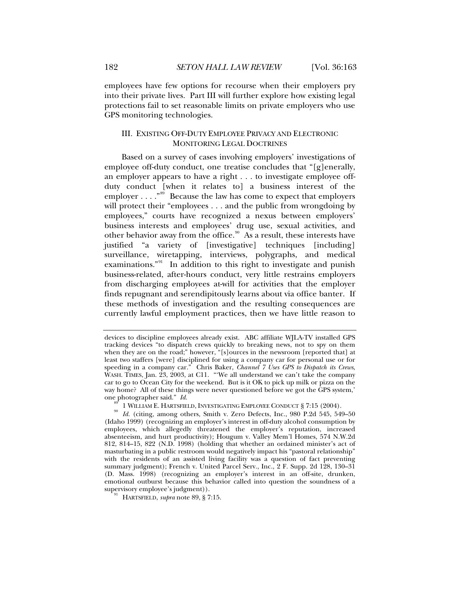<span id="page-19-0"></span>employees have few options for recourse when their employers pry into their private lives. Part III will further explore how existing legal protections fail to set reasonable limits on private employers who use GPS monitoring technologies.

# III. EXISTING OFF-DUTY EMPLOYEE PRIVACY AND ELECTRONIC MONITORING LEGAL DOCTRINES

Based on a survey of cases involving employers' investigations of employee off-duty conduct, one treatise concludes that "[g]enerally, an employer appears to have a right . . . to investigate employee offduty conduct [when it relates to] a business interest of the employer  $\dots$ ."<sup>[89](#page-19-1)</sup> Because the law has come to expect that employers will protect their "employees . . . and the public from wrongdoing by employees," courts have recognized a nexus between employers' business interests and employees' drug use, sexual activities, and other behavior away from the office.<sup>[90](#page-19-2)</sup> As a result, these interests have justified "a variety of [investigative] techniques [including] surveillance, wiretapping, interviews, polygraphs, and medical examinations."<sup>[91](#page-19-3)</sup> In addition to this right to investigate and punish business-related, after-hours conduct, very little restrains employers from discharging employees at-will for activities that the employer finds repugnant and serendipitously learns about via office banter. If these methods of investigation and the resulting consequences are currently lawful employment practices, then we have little reason to

devices to discipline employees already exist. ABC affiliate WJLA-TV installed GPS tracking devices "to dispatch crews quickly to breaking news, not to spy on them when they are on the road;" however, "[s]ources in the newsroom [reported that] at least two staffers [were] disciplined for using a company car for personal use or for speeding in a company car." Chris Baker, *Channel 7 Uses GPS to Dispatch its Crews*, WASH. TIMES, Jan. 23, 2003, at C11. "We all understand we can't take the company car to go to Ocean City for the weekend. But is it OK to pick up milk or pizza on the way home? All of these things were never questioned before we got the GPS system,' one photographer said."  $Id$ .

<span id="page-19-2"></span><span id="page-19-1"></span><sup>1</sup> WILLIAM E. HARTSFIELD, INVESTIGATING EMPLOYEE CONDUCT § 7:15 (2004).<br>*Id.* (citing, among others, Smith v. Zero Defects, Inc., 980 P.2d 545, 549–50 (Idaho 1999) (recognizing an employer's interest in off-duty alcohol consumption by employees, which allegedly threatened the employer's reputation, increased absenteeism, and hurt productivity); Hougum v. Valley Mem'l Homes, 574 N.W.2d 812, 814–15, 822 (N.D. 1998) (holding that whether an ordained minister's act of masturbating in a public restroom would negatively impact his "pastoral relationship" with the residents of an assisted living facility was a question of fact preventing summary judgment); French v. United Parcel Serv., Inc., 2 F. Supp. 2d 128, 130–31 (D. Mass. 1998) (recognizing an employer's interest in an off-site, drunken, emotional outburst because this behavior called into question the soundness of a

<span id="page-19-3"></span>HARTSFIELD, *supra* note 89, § 7:15.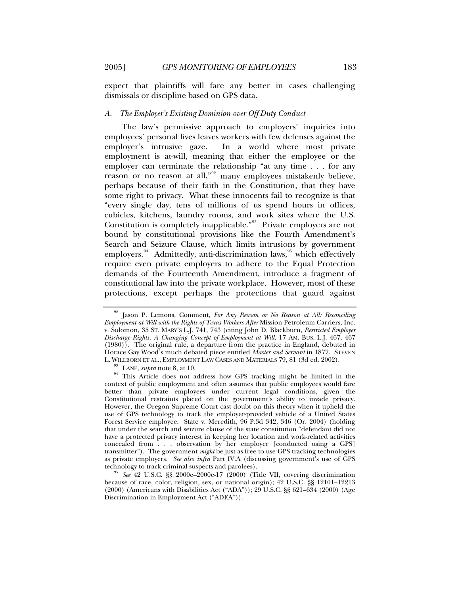<span id="page-20-0"></span>expect that plaintiffs will fare any better in cases challenging dismissals or discipline based on GPS data.

### *A. The Employer's Existing Dominion over Off-Duty Conduct*

The law's permissive approach to employers' inquiries into employees' personal lives leaves workers with few defenses against the employer's intrusive gaze. In a world where most private employment is at-will, meaning that either the employee or the employer can terminate the relationship "at any time . . . for any reason or no reason at all,"<sup>[92](#page-20-1)</sup> many employees mistakenly believe, perhaps because of their faith in the Constitution, that they have some right to privacy. What these innocents fail to recognize is that "every single day, tens of millions of us spend hours in offices, cubicles, kitchens, laundry rooms, and work sites where the U.S. Constitution is completely inapplicable."<sup>[93](#page-20-2)</sup> Private employers are not bound by constitutional provisions like the Fourth Amendment's Search and Seizure Clause, which limits intrusions by government employers. $94$  Admittedly, anti-discrimination laws,  $95$  which effectively require even private employers to adhere to the Equal Protection demands of the Fourteenth Amendment, introduce a fragment of constitutional law into the private workplace. However, most of these protections, except perhaps the protections that guard against

<span id="page-20-1"></span><sup>92</sup> Jason P. Lemons, Comment, *For Any Reason or No Reason at All: Reconciling Employment at Will with the Rights of Texas Workers After* Mission Petroleum Carriers, Inc. v. Solomon, 35 ST. MARY'S L.J. 741, 743 (citing John D. Blackburn, *Restricted Employer Discharge Rights: A Changing Concept of Employment at Will*, 17 AM. BUS. L.J. 467, 467 (1980)). The original rule, a departure from the practice in England, debuted in Horace Gay Wood's much debated piece entitled *Master and Servant* in 1877. STEVEN

<span id="page-20-3"></span><span id="page-20-2"></span><sup>&</sup>lt;sup>93</sup> LANE, *supra* note 8, at 10.  $\frac{94}{94}$  This Article does not address how GPS tracking might be limited in the context of public employment and often assumes that public employees would fare better than private employees under current legal conditions, given the Constitutional restraints placed on the government's ability to invade privacy. However, the Oregon Supreme Court cast doubt on this theory when it upheld the use of GPS technology to track the employer-provided vehicle of a United States Forest Service employee. State v. Meredith, 96 P.3d 342, 346 (Or. 2004) (holding that under the search and seizure clause of the state constitution "defendant did not have a protected privacy interest in keeping her location and work-related activities concealed from . . . observation by her employer [conducted using a GPS] transmitter"). The government *might* be just as free to use GPS tracking technologies as private employers. *See also infra* Part IV.A (discussing government's use of GPS

<span id="page-20-4"></span>See 42 U.S.C. §§ 2000e–2000e-17 (2000) (Title VII, covering discrimination because of race, color, religion, sex, or national origin); 42 U.S.C. §§ 12101–12213 (2000) (Americans with Disabilities Act ("ADA")); 29 U.S.C. §§ 621–634 (2000) (Age Discrimination in Employment Act ("ADEA")).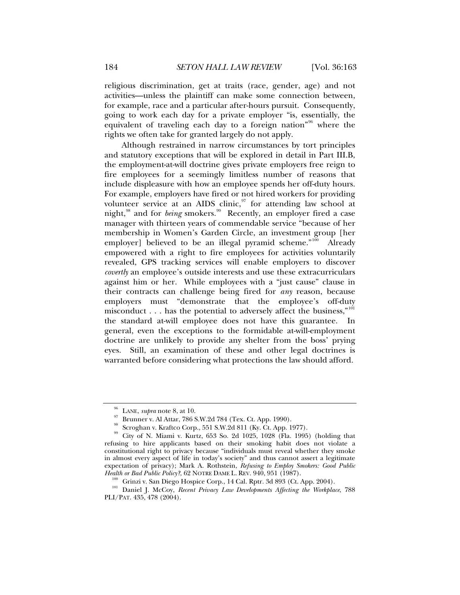religious discrimination, get at traits (race, gender, age) and not activities—unless the plaintiff can make some connection between, for example, race and a particular after-hours pursuit. Consequently, going to work each day for a private employer "is, essentially, the equivalent of traveling each day to a foreign nation"[96](#page-21-0) where the rights we often take for granted largely do not apply.

Although restrained in narrow circumstances by tort principles and statutory exceptions that will be explored in detail in Part III.B, the employment-at-will doctrine gives private employers free reign to fire employees for a seemingly limitless number of reasons that include displeasure with how an employee spends her off-duty hours. For example, employers have fired or not hired workers for providing volunteer service at an AIDS clinic,  $\frac{97}{7}$  $\frac{97}{7}$  $\frac{97}{7}$  for attending law school at night,<sup>[98](#page-21-2)</sup> and for *being* smokers.<sup>[99](#page-21-3)</sup> Recently, an employer fired a case manager with thirteen years of commendable service "because of her membership in Women's Garden Circle, an investment group [her employer] believed to be an illegal pyramid scheme."<sup>[100](#page-21-4)</sup> Already empowered with a right to fire employees for activities voluntarily revealed, GPS tracking services will enable employers to discover *covertly* an employee's outside interests and use these extracurriculars against him or her. While employees with a "just cause" clause in their contracts can challenge being fired for *any* reason, because employers must "demonstrate that the employee's off-duty misconduct . . . has the potential to adversely affect the business," $101$ the standard at-will employee does not have this guarantee. In general, even the exceptions to the formidable at-will-employment doctrine are unlikely to provide any shelter from the boss' prying eyes. Still, an examination of these and other legal doctrines is warranted before considering what protections the law should afford.

<sup>&</sup>lt;sup>96</sup> LANE, *supra* note 8, at 10.<br><sup>97</sup> Brunner v. Al Attar, 786 S.W.2d 784 (Tex. Ct. App. 1990).

Scroghan v. Kraftco Corp., 551 S.W.2d 811 (Ky. Ct. App. 1977).

<span id="page-21-3"></span><span id="page-21-2"></span><span id="page-21-1"></span><span id="page-21-0"></span><sup>&</sup>lt;sup>99</sup> City of N. Miami v. Kurtz, 653 So. 2d 1025, 1028 (Fla. 1995) (holding that refusing to hire applicants based on their smoking habit does not violate a constitutional right to privacy because "individuals must reveal whether they smoke in almost every aspect of life in today's society" and thus cannot assert a legitimate expectation of privacy); Mark A. Rothstein, *Refusing to Employ Smokers: Good Public* 

<span id="page-21-5"></span><span id="page-21-4"></span><sup>&</sup>lt;sup>100</sup> Grinzi v. San Diego Hospice Corp., 14 Cal. Rptr. 3d 893 (Ct. App. 2004).<br><sup>101</sup> Daniel J. McCoy, *Recent Privacy Law Developments Affecting the Workplace*, 788 PLI/PAT. 435, 478 (2004).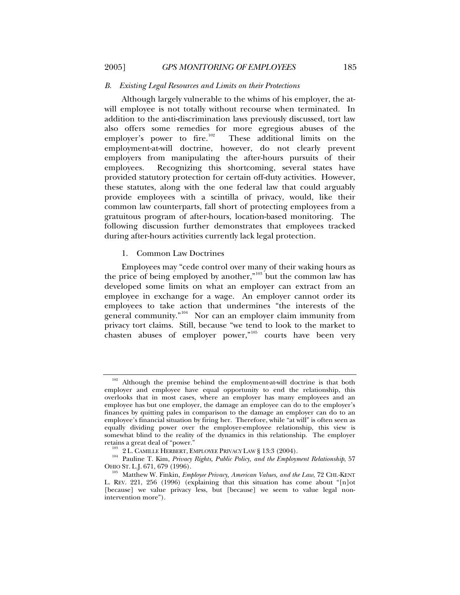#### *B. Existing Legal Resources and Limits on their Protections*

Although largely vulnerable to the whims of his employer, the atwill employee is not totally without recourse when terminated. In addition to the anti-discrimination laws previously discussed, tort law also offers some remedies for more egregious abuses of the employer's power to fire.<sup>102</sup> These additional limits on the These additional limits on the employment-at-will doctrine, however, do not clearly prevent employers from manipulating the after-hours pursuits of their employees. Recognizing this shortcoming, several states have provided statutory protection for certain off-duty activities. However, these statutes, along with the one federal law that could arguably provide employees with a scintilla of privacy, would, like their common law counterparts, fall short of protecting employees from a gratuitous program of after-hours, location-based monitoring. The following discussion further demonstrates that employees tracked during after-hours activities currently lack legal protection.

1. Common Law Doctrines

Employees may "cede control over many of their waking hours as the price of being employed by another," $103$  but the common law has developed some limits on what an employer can extract from an employee in exchange for a wage. An employer cannot order its employees to take action that undermines "the interests of the general community."<sup>[104](#page-22-3)</sup> Nor can an employer claim immunity from privacy tort claims. Still, because "we tend to look to the market to  $\frac{1}{x}$  chasten abuses of employer power,"<sup>[105](#page-22-4)</sup> courts have been very

<span id="page-22-0"></span>

<span id="page-22-1"></span>Although the premise behind the employment-at-will doctrine is that both employer and employee have equal opportunity to end the relationship, this overlooks that in most cases, where an employer has many employees and an employee has but one employer, the damage an employee can do to the employer's finances by quitting pales in comparison to the damage an employer can do to an employee's financial situation by firing her. Therefore, while "at will" is often seen as equally dividing power over the employer-employee relationship, this view is somewhat blind to the reality of the dynamics in this relationship. The employer retains a great deal of "power."

<span id="page-22-3"></span><span id="page-22-2"></span><sup>&</sup>lt;sup>103</sup> 2 L. CAMILLE HERBERT, EMPLOYEE PRIVACY LAW § 13:3 (2004).<br><sup>104</sup> Pauline T. Kim, *Privacy Rights, Public Policy, and the Employment Relationship*, 57<br>OHIO ST. L.J. 671, 679 (1996).

<span id="page-22-4"></span><sup>&</sup>lt;sup>105</sup> Matthew W. Finkin, *Employee Privacy, American Values, and the Law*, 72 CHI.-KENT L. REV. 221, 256 (1996) (explaining that this situation has come about "[n]ot [because] we value privacy less, but [because] we seem to value legal nonintervention more").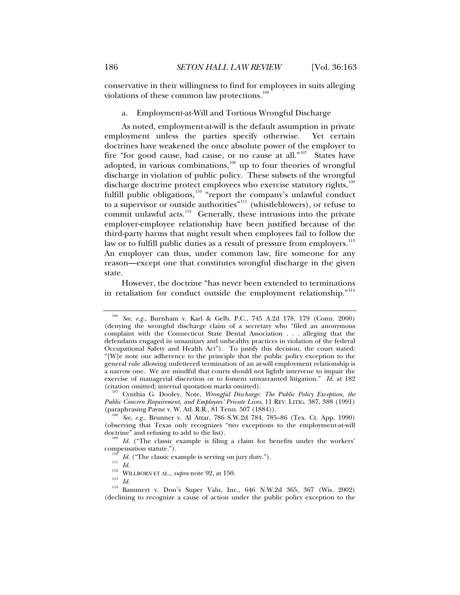<span id="page-23-0"></span>conservative in their willingness to find for employees in suits alleging violations of these common law protections.<sup>[106](#page-23-1)</sup>

#### a. Employment-at-Will and Tortious Wrongful Discharge

As noted, employment-at-will is the default assumption in private employment unless the parties specify otherwise. Yet certain doctrines have weakened the once absolute power of the employer to fire "for good cause, bad cause, or no cause at all."<sup>[107](#page-23-2)</sup> States have adopted, in various combinations, $108$  up to four theories of wrongful discharge in violation of public policy. These subsets of the wrongful discharge doctrine protect employees who exercise statutory rights,<sup>1</sup> fulfill public obligations,<sup>[110](#page-23-5)</sup> "report the company's unlawful conduct to a supervisor or outside authorities"[111](#page-23-6) (whistleblowers), or refuse to commit unlawful acts.<sup>[112](#page-23-7)</sup> Generally, these intrusions into the private employer-employee relationship have been justified because of the third-party harms that might result when employees fail to follow the law or to fulfill public duties as a result of pressure from employers.<sup>[113](#page-23-8)</sup> An employer can thus, under common law, fire someone for any reason—except one that constitutes wrongful discharge in the given state.

However, the doctrine "has never been extended to terminations in retaliation for conduct outside the employment relationship."<sup>[114](#page-23-9)</sup>

<span id="page-23-1"></span><sup>106</sup> *See, e.g.*, Burnham v. Karl & Gelb, P.C., 745 A.2d 178, 179 (Conn. 2000) (denying the wrongful discharge claim of a secretary who "filed an anonymous complaint with the Connecticut State Dental Association . . . alleging that the defendants engaged in unsanitary and unhealthy practices in violation of the federal Occupational Safety and Health Act"). To justify this decision, the court stated: "[W]e note our adherence to the principle that the public policy exception to the general rule allowing unfettered termination of an at-will employment relationship is a narrow one. We are mindful that courts should not lightly intervene to impair the exercise of managerial discretion or to foment unwarranted litigation." *Id.* at 182 (citation omitted; internal quotation marks omitted). 107 Cynthia G. Dooley, Note, *Wrongful Discharge: The Public Policy Exception, the* 

<span id="page-23-2"></span>*Public Concern Requirement, and Employees' Private Lives*, 11 REV. LITIG. 387, 388 (1991)

<span id="page-23-3"></span>See, e.g., Brunner v. Al Attar, 786 S.W.2d 784, 785–86 (Tex. Ct. App. 1990). (observing that Texas only recognizes "two exceptions to the employment-at-will doctrine" and refusing to add to the list).

<span id="page-23-4"></span><sup>&</sup>lt;sup>109</sup> *Id.* ("The classic example is filing a claim for benefits under the workers' compensation statute.").

<span id="page-23-9"></span><span id="page-23-8"></span><span id="page-23-7"></span><span id="page-23-6"></span><span id="page-23-5"></span><sup>&</sup>lt;sup>110</sup> *Id.* ("The classic example is serving on jury duty.").<br>
<sup>112</sup> *Id.*<br>
<sup>112</sup> WILLBORN ET AL., *supra* note 92, at 150.<br>
<sup>113</sup> *Id.*<br>
<sup>114</sup> Bammert v. Don's Super Valu, Inc., 646 N.W.2d 365, 367 (Wis. 2002) (declining to recognize a cause of action under the public policy exception to the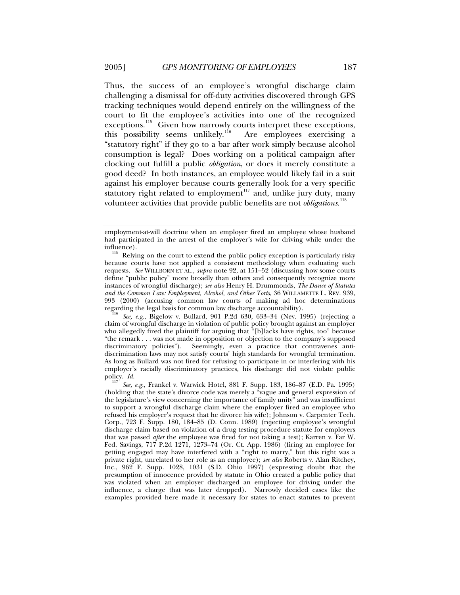Thus, the success of an employee's wrongful discharge claim challenging a dismissal for off-duty activities discovered through GPS tracking techniques would depend entirely on the willingness of the court to fit the employee's activities into one of the recognized exceptions.<sup>[115](#page-24-0)</sup> Given how narrowly courts interpret these exceptions, this possibility seems unlikely.<sup>[116](#page-24-1)</sup> Are employees exercising a "statutory right" if they go to a bar after work simply because alcohol consumption is legal? Does working on a political campaign after clocking out fulfill a public *obligation*, or does it merely constitute a good deed? In both instances, an employee would likely fail in a suit against his employer because courts generally look for a very specific statutory right related to employment<sup>[117](#page-24-2)</sup> and, unlike jury duty, many volunteer activities that provide public benefits are not *obligations*. [118](#page-24-3)

employment-at-will doctrine when an employer fired an employee whose husband had participated in the arrest of the employer's wife for driving while under the

<span id="page-24-0"></span>influence).<br><sup>115</sup> Relying on the court to extend the public policy exception is particularly risky because courts have not applied a consistent methodology when evaluating such requests. *See* WILLBORN ET AL., *supra* note 92, at 151–52 (discussing how some courts define "public policy" more broadly than others and consequently recognize more instances of wrongful discharge); *see also* Henry H. Drummonds, *The Dance of Statutes and the Common Law: Employment, Alcohol, and Other Torts*, 36 WILLAMETTE L. REV. 939, 993 (2000) (accusing common law courts of making ad hoc determinations regarding the legal basis for common law discharge accountability). 116 *See, e.g.*, Bigelow v. Bullard, 901 P.2d 630, 633–34 (Nev. 1995) (rejecting a

<span id="page-24-1"></span>claim of wrongful discharge in violation of public policy brought against an employer who allegedly fired the plaintiff for arguing that "[b]lacks have rights, too" because "the remark . . . was not made in opposition or objection to the company's supposed discriminatory policies"). Seemingly, even a practice that contravenes antidiscrimination laws may not satisfy courts' high standards for wrongful termination. As long as Bullard was not fired for refusing to participate in or interfering with his employer's racially discriminatory practices, his discharge did not violate public policy. *Id.* 

<span id="page-24-3"></span><span id="page-24-2"></span>policy. *Id.* <sup>117</sup> *See, e.g.*, Frankel v. Warwick Hotel, 881 F. Supp. 183, 186–87 (E.D. Pa. 1995) (holding that the state's divorce code was merely a "vague and general expression of the legislature's view concerning the importance of family unity" and was insufficient to support a wrongful discharge claim where the employer fired an employee who refused his employer's request that he divorce his wife); Johnson v. Carpenter Tech. Corp., 723 F. Supp. 180, 184–85 (D. Conn. 1989) (rejecting employee's wrongful discharge claim based on violation of a drug testing procedure statute for employers that was passed *after* the employee was fired for not taking a test); Karren v. Far W. Fed. Savings, 717 P.2d 1271, 1273–74 (Or. Ct. App. 1986) (firing an employee for getting engaged may have interfered with a "right to marry," but this right was a private right, unrelated to her role as an employee); *see also* Roberts v. Alan Ritchey, Inc., 962 F. Supp. 1028, 1031 (S.D. Ohio 1997) (expressing doubt that the presumption of innocence provided by statute in Ohio created a public policy that was violated when an employer discharged an employee for driving under the influence, a charge that was later dropped). Narrowly decided cases like the examples provided here made it necessary for states to enact statutes to prevent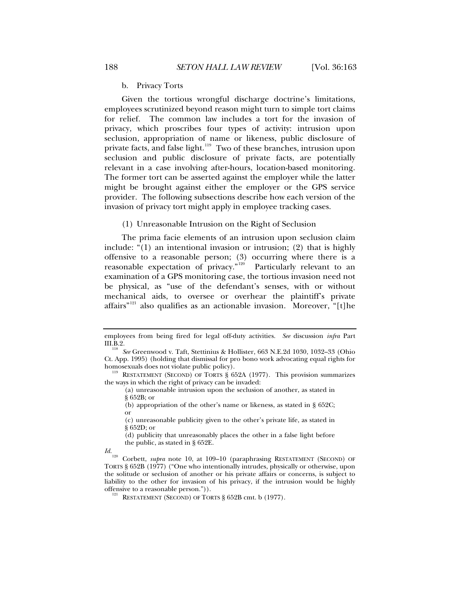b. Privacy Torts

<span id="page-25-0"></span>Given the tortious wrongful discharge doctrine's limitations, employees scrutinized beyond reason might turn to simple tort claims for relief. The common law includes a tort for the invasion of privacy, which proscribes four types of activity: intrusion upon seclusion, appropriation of name or likeness, public disclosure of private facts, and false light.<sup>[119](#page-25-1)</sup> Two of these branches, intrusion upon seclusion and public disclosure of private facts, are potentially relevant in a case involving after-hours, location-based monitoring. The former tort can be asserted against the employer while the latter might be brought against either the employer or the GPS service provider. The following subsections describe how each version of the invasion of privacy tort might apply in employee tracking cases.

(1) Unreasonable Intrusion on the Right of Seclusion

The prima facie elements of an intrusion upon seclusion claim include: "(1) an intentional invasion or intrusion; (2) that is highly offensive to a reasonable person; (3) occurring where there is a reasonable expectation of privacy."<sup>[120](#page-25-2)</sup> Particularly relevant to an examination of a GPS monitoring case, the tortious invasion need not be physical, as "use of the defendant's senses, with or without mechanical aids, to oversee or overhear the plaintiff's private affairs"<sup>[121](#page-25-3)</sup> also qualifies as an actionable invasion. Moreover, "[t]he

(a) unreasonable intrusion upon the seclusion of another, as stated in § 652B; or

(b) appropriation of the other's name or likeness, as stated in § 652C; or

(c) unreasonable publicity given to the other's private life, as stated in § 652D; or

(d) publicity that unreasonably places the other in a false light before the public, as stated in § 652E.

employees from being fired for legal off-duty activities. *See* discussion *infra* Part

<sup>&</sup>lt;sup>118</sup> See Greenwood v. Taft, Stettinius & Hollister, 663 N.E.2d 1030, 1032–33 (Ohio Ct. App. 1995) (holding that dismissal for pro bono work advocating equal rights for

<span id="page-25-1"></span> $\frac{119}{119}$  RESTATEMENT (SECOND) OF TORTS § 652A (1977). This provision summarizes the ways in which the right of privacy can be invaded:

<span id="page-25-2"></span>*Id.*<br><sup>120</sup> Corbett, *supra* note 10, at 109–10 (paraphrasing RESTATEMENT (SECOND) OF TORTS § 652B (1977) ("One who intentionally intrudes, physically or otherwise, upon the solitude or seclusion of another or his private affairs or concerns, is subject to liability to the other for invasion of his privacy, if the intrusion would be highly offensive to a reasonable person.")).

<span id="page-25-3"></span><sup>&</sup>lt;sup>121</sup> RESTATEMENT (SECOND) OF TORTS § 652B cmt. b (1977).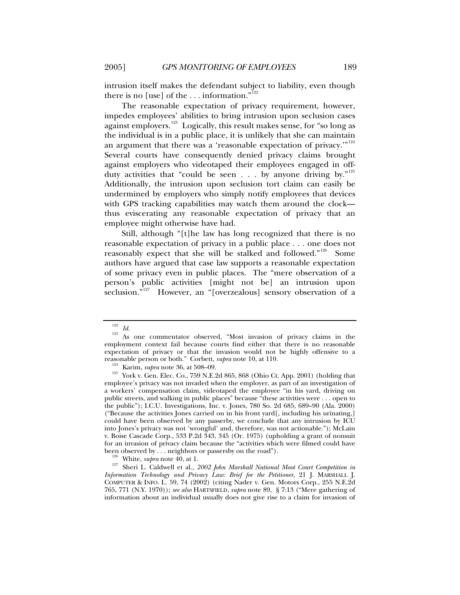intrusion itself makes the defendant subject to liability, even though there is no [use] of the  $\dots$  information."<sup>[122](#page-26-0)</sup>

The reasonable expectation of privacy requirement, however, impedes employees' abilities to bring intrusion upon seclusion cases against employers.<sup>[123](#page-26-1)</sup> Logically, this result makes sense, for "so long as the individual is in a public place, it is unlikely that she can maintain an argument that there was a 'reasonable expectation of privacy.'"<sup>[124](#page-26-2)</sup> Several courts have consequently denied privacy claims brought against employers who videotaped their employees engaged in offduty activities that "could be seen . . . by anyone driving by." $125$ Additionally, the intrusion upon seclusion tort claim can easily be undermined by employers who simply notify employees that devices with GPS tracking capabilities may watch them around the clock thus eviscerating any reasonable expectation of privacy that an employee might otherwise have had.

Still, although "[t]he law has long recognized that there is no reasonable expectation of privacy in a public place . . . one does not reasonably expect that she will be stalked and followed."<sup>[126](#page-26-4)</sup> Some authors have argued that case law supports a reasonable expectation of some privacy even in public places. The "mere observation of a person's public activities [might not be] an intrusion upon seclusion."<sup>[127](#page-26-5)</sup> However, an "[overzealous] sensory observation of a

<span id="page-26-1"></span><span id="page-26-0"></span><sup>&</sup>lt;sup>122</sup> *Id.*<br><sup>123</sup> As one commentator observed, "Most invasion of privacy claims in the employment context fail because courts find either that there is no reasonable expectation of privacy or that the invasion would not be highly offensive to a reasonable person or both." Corbett,  $\textit{supra}$  note 10, at 110.

<span id="page-26-3"></span><span id="page-26-2"></span><sup>&</sup>lt;sup>124</sup> Karim, *supra* note 36, at 508–09.<br><sup>125</sup> York v. Gen. Elec. Co., 759 N.E.2d 865, 868 (Ohio Ct. App. 2001) (holding that employee's privacy was not invaded when the employer, as part of an investigation of a workers' compensation claim, videotaped the employee "in his yard, driving on public streets, and walking in public places" because "these activities were . . . open to the public"); I.C.U. Investigations, Inc. v. Jones, 780 So. 2d 685, 689–90 (Ala. 2000) ("Because the activities Jones carried on in his front yard[, including his urinating,] could have been observed by any passerby, we conclude that any intrusion by ICU into Jones's privacy was not 'wrongful' and, therefore, was not actionable."); McLain v. Boise Cascade Corp., 533 P.2d 343, 345 (Or. 1975) (upholding a grant of nonsuit for an invasion of privacy claim because the "activities which were filmed could have been observed by . . . neighbors or passersby on the road").

<span id="page-26-5"></span><span id="page-26-4"></span><sup>&</sup>lt;sup>126</sup> White, *supra* note 40, at 1.<br><sup>127</sup> Sheri L. Caldwell et al., *2002 John Marshall National Moot Court Competition in Information Technology and Privacy Law: Brief for the Petitioner*, 21 J. MARSHALL J. COMPUTER & INFO. L. 59, 74 (2002) (citing Nader v. Gen. Motors Corp., 255 N.E.2d 765, 771 (N.Y. 1970)); *see also* HARTSFIELD, *supra* note 89, § 7:13 ("Mere gathering of information about an individual usually does not give rise to a claim for invasion of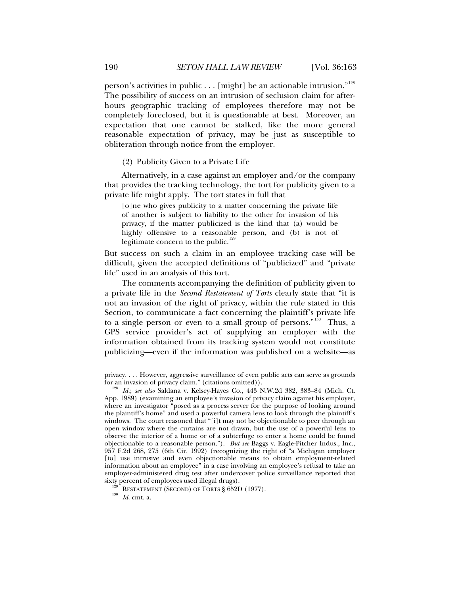<span id="page-27-0"></span>person's activities in public . . . [might] be an actionable intrusion."<sup>[128](#page-27-1)</sup> The possibility of success on an intrusion of seclusion claim for afterhours geographic tracking of employees therefore may not be completely foreclosed, but it is questionable at best. Moreover, an expectation that one cannot be stalked, like the more general reasonable expectation of privacy, may be just as susceptible to obliteration through notice from the employer.

(2) Publicity Given to a Private Life

Alternatively, in a case against an employer and/or the company that provides the tracking technology, the tort for publicity given to a private life might apply. The tort states in full that

[o]ne who gives publicity to a matter concerning the private life of another is subject to liability to the other for invasion of his privacy, if the matter publicized is the kind that (a) would be highly offensive to a reasonable person, and (b) is not of legitimate concern to the public.<sup>[129](#page-27-2)</sup>

But success on such a claim in an employee tracking case will be difficult, given the accepted definitions of "publicized" and "private life" used in an analysis of this tort.

The comments accompanying the definition of publicity given to a private life in the *Second Restatement of Torts* clearly state that "it is not an invasion of the right of privacy, within the rule stated in this Section, to communicate a fact concerning the plaintiff's private life to a single person or even to a small group of persons."<sup>[130](#page-27-3)</sup> Thus, a GPS service provider's act of supplying an employer with the information obtained from its tracking system would not constitute publicizing—even if the information was published on a website—as

privacy. . . . However, aggressive surveillance of even public acts can serve as grounds for an invasion of privacy claim." (citations omitted)). 128 *Id.*; *see also* Saldana v. Kelsey-Hayes Co., 443 N.W.2d 382, 383–84 (Mich. Ct.

<span id="page-27-1"></span>App. 1989) (examining an employee's invasion of privacy claim against his employer, where an investigator "posed as a process server for the purpose of looking around the plaintiff's home" and used a powerful camera lens to look through the plaintiff's windows. The court reasoned that "[i]t may not be objectionable to peer through an open window where the curtains are not drawn, but the use of a powerful lens to observe the interior of a home or of a subterfuge to enter a home could be found objectionable to a reasonable person."). *But see* Baggs v. Eagle-Pitcher Indus., Inc., 957 F.2d 268, 275 (6th Cir. 1992) (recognizing the right of "a Michigan employer [to] use intrusive and even objectionable means to obtain employment-related information about an employee" in a case involving an employee's refusal to take an employer-administered drug test after undercover police surveillance reported that sixty percent of employees used illegal drugs).<br><sup>129</sup> RESTATEMENT (SECOND) OF TORTS § 652D (1977).<br><sup>130</sup> *Id.* cmt. a.

<span id="page-27-3"></span><span id="page-27-2"></span>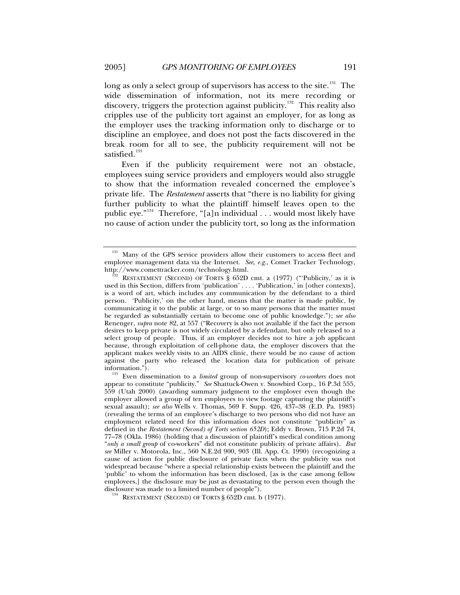long as only a select group of supervisors has access to the site.<sup>[131](#page-28-0)</sup> The wide dissemination of information, not its mere recording or discovery, triggers the protection against publicity.<sup>[132](#page-28-1)</sup> This reality also cripples use of the publicity tort against an employer, for as long as the employer uses the tracking information only to discharge or to discipline an employee, and does not post the facts discovered in the break room for all to see, the publicity requirement will not be satisfied.<sup>[133](#page-28-2)</sup>

Even if the publicity requirement were not an obstacle, employees suing service providers and employers would also struggle to show that the information revealed concerned the employee's private life. The *Restatement* asserts that "there is no liability for giving further publicity to what the plaintiff himself leaves open to the public eye."<sup>[134](#page-28-3)</sup> Therefore, "[a]n individual  $\ldots$  would most likely have no cause of action under the publicity tort, so long as the information

<span id="page-28-0"></span>Many of the GPS service providers allow their customers to access fleet and employee management data via the Internet. *See, e.g.*, Comet Tracker Technology, http://www.comettracker.com/technology.html.<br><sup>132</sup> RESTATEMENT (SECOND) OF TORTS § 652D cmt. a (1977) ("'Publicity,' as it is

<span id="page-28-1"></span>used in this Section, differs from 'publication' . . . . 'Publication,' in [other contexts], is a word of art, which includes any communication by the defendant to a third person. 'Publicity,' on the other hand, means that the matter is made public, by communicating it to the public at large, or to so many persons that the matter must be regarded as substantially certain to become one of public knowledge."); *see also*  Renenger, *supra* note 82, at 557 ("Recovery is also not available if the fact the person desires to keep private is not widely circulated by a defendant, but only released to a select group of people. Thus, if an employer decides not to hire a job applicant because, through exploitation of cell-phone data, the employer discovers that the applicant makes weekly visits to an AIDS clinic, there would be no cause of action against the party who released the location data for publication of private

<span id="page-28-2"></span><sup>&</sup>lt;sup>133</sup> Even dissemination to a *limited* group of non-supervisory *co-workers* does not appear to constitute "publicity." *See* Shattuck-Owen v. Snowbird Corp., 16 P.3d 555, 559 (Utah 2000) (awarding summary judgment to the employer even though the employer allowed a group of ten employees to view footage capturing the plaintiff's sexual assault); *see also* Wells v. Thomas, 569 F. Supp. 426, 437–38 (E.D. Pa. 1983) (revealing the terms of an employee's discharge to two persons who did not have an employment related need for this information does not constitute "publicity" as defined in the *Restatement (Second) of Torts section 652D*); Eddy v. Brown, 715 P.2d 74, 77–78 (Okla. 1986) (holding that a discussion of plaintiff's medical condition among "*only a small group* of co-workers" did not constitute publicity of private affairs). *But see* Miller v. Motorola, Inc., 560 N.E.2d 900, 903 (Ill. App. Ct. 1990) (recognizing a cause of action for public disclosure of private facts when the publicity was not widespread because "where a special relationship exists between the plaintiff and the 'public' to whom the information has been disclosed, [as is the case among fellow employees,] the disclosure may be just as devastating to the person even though the

<span id="page-28-3"></span> $134$  RESTATEMENT (SECOND) OF TORTS § 652D cmt. b (1977).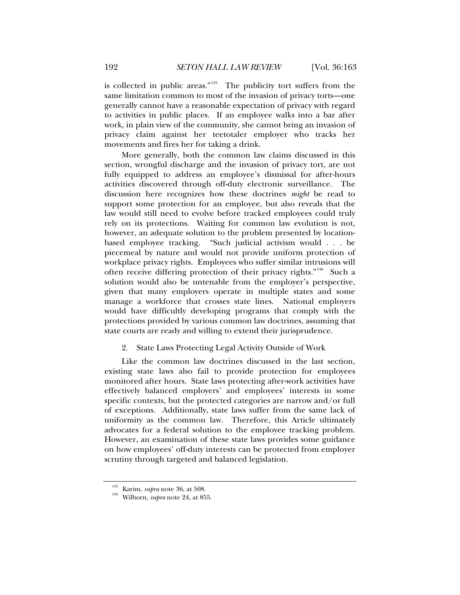<span id="page-29-0"></span>is collected in public areas."<sup>[135](#page-29-1)</sup> The publicity tort suffers from the same limitation common to most of the invasion of privacy torts—one generally cannot have a reasonable expectation of privacy with regard to activities in public places. If an employee walks into a bar after work, in plain view of the community, she cannot bring an invasion of privacy claim against her teetotaler employer who tracks her movements and fires her for taking a drink.

More generally, both the common law claims discussed in this section, wrongful discharge and the invasion of privacy tort, are not fully equipped to address an employee's dismissal for after-hours activities discovered through off-duty electronic surveillance. The discussion here recognizes how these doctrines *might* be read to support some protection for an employee, but also reveals that the law would still need to evolve before tracked employees could truly rely on its protections. Waiting for common law evolution is not, however, an adequate solution to the problem presented by locationbased employee tracking. "Such judicial activism would . . . be piecemeal by nature and would not provide uniform protection of workplace privacy rights. Employees who suffer similar intrusions will often receive differing protection of their privacy rights."<sup>[136](#page-29-2)</sup> Such a solution would also be untenable from the employer's perspective, given that many employers operate in multiple states and some manage a workforce that crosses state lines. National employers would have difficultly developing programs that comply with the protections provided by various common law doctrines, assuming that state courts are ready and willing to extend their jurisprudence.

# 2. State Laws Protecting Legal Activity Outside of Work

Like the common law doctrines discussed in the last section, existing state laws also fail to provide protection for employees monitored after hours. State laws protecting after-work activities have effectively balanced employers' and employees' interests in some specific contexts, but the protected categories are narrow and/or full of exceptions. Additionally, state laws suffer from the same lack of uniformity as the common law. Therefore, this Article ultimately advocates for a federal solution to the employee tracking problem. However, an examination of these state laws provides some guidance on how employees' off-duty interests can be protected from employer scrutiny through targeted and balanced legislation.

<span id="page-29-2"></span><span id="page-29-1"></span><sup>135</sup> Karim, *supra* note 36, at 508. 136 Wilborn, *supra* note 24, at 855.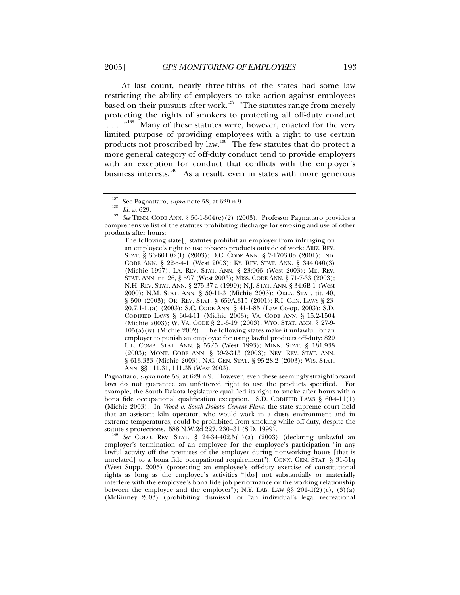At last count, nearly three-fifths of the states had some law restricting the ability of employers to take action against employees based on their pursuits after work.<sup>[137](#page-30-0)</sup> "The statutes range from merely protecting the rights of smokers to protecting all off-duty conduct . . . . "<sup>[138](#page-30-1)</sup> Many of these statutes were, however, enacted for the very limited purpose of providing employees with a right to use certain products not proscribed by law.<sup>[139](#page-30-2)</sup> The few statutes that do protect a more general category of off-duty conduct tend to provide employers with an exception for conduct that conflicts with the employer's business interests.<sup>[140](#page-30-3)</sup> As a result, even in states with more generous

The following state[] statutes prohibit an employer from infringing on an employee's right to use tobacco products outside of work: ARIZ. REV. STAT. § 36-601.02(f) (2003); D.C. CODE ANN. § 7-1703.03 (2001); IND. CODE ANN. § 22-5-4-1 (West 2003); KY. REV. STAT. ANN. § 344.040(3) (Michie 1997); LA. REV. STAT. ANN. § 23:966 (West 2003); ME. REV. STAT. ANN. tit. 26, § 597 (West 2003); MISS. CODE ANN. § 71-7-33 (2003); N.H. REV. STAT. ANN. § 275:37-a (1999); N.J. STAT. ANN. § 34:6B-1 (West 2000); N.M. STAT. ANN. § 50-11-3 (Michie 2003); OKLA. STAT. tit. 40, § 500 (2003); OR. REV. STAT. § 659A.315 (2001); R.I. GEN. LAWS § 23- 20.7.1-1.(a) (2003); S.C. CODE ANN. § 41-1-85 (Law Co-op. 2003); S.D. CODIFIED LAWS § 60-4-11 (Michie 2003); VA. CODE ANN. § 15.2-1504 (Michie 2003); W. VA. CODE § 21-3-19 (2003); WYO. STAT. ANN. § 27-9- 105(a)(iv) (Michie 2002). The following states make it unlawful for an employer to punish an employee for using lawful products off-duty: 820 ILL. COMP. STAT. ANN. § 55/5 (West 1993); MINN. STAT. § 181.938 (2003); MONT. CODE ANN. § 39-2-313 (2003); NEV. REV. STAT. ANN. § 613.333 (Michie 2003); N.C. GEN. STAT. § 95-28.2 (2003); WIS. STAT. ANN. §§ 111.31, 111.35 (West 2003).

Pagnattaro, *supra* note 58, at 629 n.9. However, even these seemingly straightforward laws do not guarantee an unfettered right to use the products specified. For example, the South Dakota legislature qualified its right to smoke after hours with a bona fide occupational qualification exception. S.D. CODIFIED LAWS  $\S$  60-4-11(1) (Michie 2003). In *Wood v. South Dakota Cement Plant*, the state supreme court held that an assistant kiln operator, who would work in a dusty environment and in extreme temperatures, could be prohibited from smoking while off-duty, despite the statute's protections. 588 N.W.2d 227, 230-31 (S.D. 1999).

<span id="page-30-3"></span><sup>140</sup> See COLO. REV. STAT. § 24-34-402.5(1)(a) (2003) (declaring unlawful an employer's termination of an employee for the employee's participation "in any lawful activity off the premises of the employer during nonworking hours [that is unrelated] to a bona fide occupational requirement"); CONN. GEN. STAT. § 31-51q (West Supp. 2005) (protecting an employee's off-duty exercise of constitutional rights as long as the employee's activities "[do] not substantially or materially interfere with the employee's bona fide job performance or the working relationship between the employee and the employer"); N.Y. LAB. LAW  $\S$ § 201-d(2)(c), (3)(a) (McKinney 2003) (prohibiting dismissal for "an individual's legal recreational

<span id="page-30-2"></span><span id="page-30-1"></span><span id="page-30-0"></span><sup>&</sup>lt;sup>137</sup> See Pagnattaro, *supra* note 58, at 629 n.9.<br>
<sup>138</sup> *Id.* at 629.<br>
<sup>139</sup> See TENN. CODE ANN. § 50-1-304(e)(2) (2003). Professor Pagnattaro provides a comprehensive list of the statutes prohibiting discharge for smoking and use of other products after hours: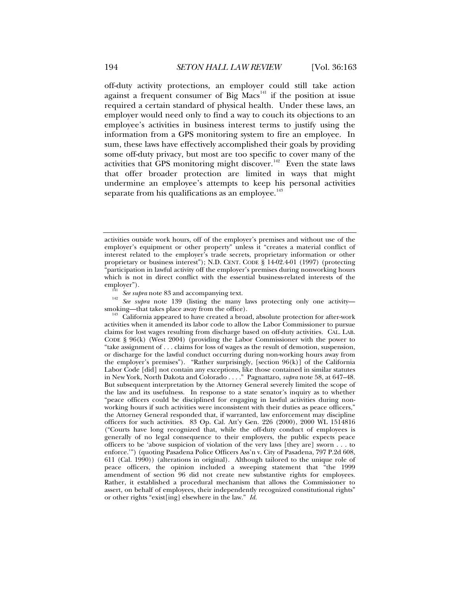off-duty activity protections, an employer could still take action against a frequent consumer of Big  $Macs<sup>141</sup>$  $Macs<sup>141</sup>$  $Macs<sup>141</sup>$  if the position at issue required a certain standard of physical health. Under these laws, an employer would need only to find a way to couch its objections to an employee's activities in business interest terms to justify using the information from a GPS monitoring system to fire an employee. In sum, these laws have effectively accomplished their goals by providing some off-duty privacy, but most are too specific to cover many of the activities that GPS monitoring might discover.<sup>[142](#page-31-1)</sup> Even the state laws that offer broader protection are limited in ways that might undermine an employee's attempts to keep his personal activities separate from his qualifications as an employee. $143$ 

<span id="page-31-1"></span><span id="page-31-0"></span> $\frac{1}{42}$  See supra note 8 and accompany in  $\frac{1}{42}$  See supra note 139 (listing the many laws protecting only one activity—smoking—that takes place away from the office).

activities outside work hours, off of the employer's premises and without use of the employer's equipment or other property" unless it "creates a material conflict of interest related to the employer's trade secrets, proprietary information or other proprietary or business interest"); N.D. CENT. CODE § 14-02.4-01 (1997) (protecting "participation in lawful activity off the employer's premises during nonworking hours which is not in direct conflict with the essential business-related interests of the employer").<br>  $\frac{141}{14}$  See supra note 83 and accompanying text.

<span id="page-31-2"></span> $^{143}$  California appeared to have created a broad, absolute protection for after-work activities when it amended its labor code to allow the Labor Commissioner to pursue claims for lost wages resulting from discharge based on off-duty activities. CAL. LAB. CODE § 96(k) (West 2004) (providing the Labor Commissioner with the power to "take assignment of . . . claims for loss of wages as the result of demotion, suspension, or discharge for the lawful conduct occurring during non-working hours away from the employer's premises"). "Rather surprisingly, [section  $96(k)$ ] of the California Labor Code [did] not contain any exceptions, like those contained in similar statutes in New York, North Dakota and Colorado . . . ." Pagnattaro, *supra* note 58, at 647–48. But subsequent interpretation by the Attorney General severely limited the scope of the law and its usefulness. In response to a state senator's inquiry as to whether "peace officers could be disciplined for engaging in lawful activities during nonworking hours if such activities were inconsistent with their duties as peace officers," the Attorney General responded that, if warranted, law enforcement may discipline officers for such activities. 83 Op. Cal. Att'y Gen. 226 (2000), 2000 WL 1514816 ("Courts have long recognized that, while the off-duty conduct of employees is generally of no legal consequence to their employers, the public expects peace officers to be 'above suspicion of violation of the very laws [they are] sworn . . . to enforce.'") (quoting Pasadena Police Officers Ass'n v. City of Pasadena, 797 P.2d 608, 611 (Cal. 1990)) (alterations in original). Although tailored to the unique role of peace officers, the opinion included a sweeping statement that "the 1999 amendment of section 96 did not create new substantive rights for employees. Rather, it established a procedural mechanism that allows the Commissioner to assert, on behalf of employees, their independently recognized constitutional rights" or other rights "exist[ing] elsewhere in the law." *Id.*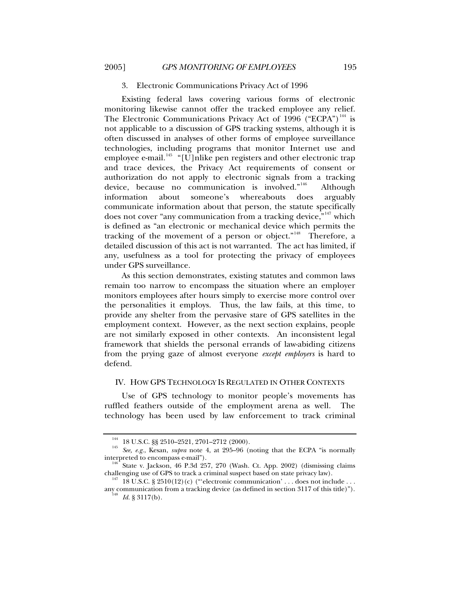## 3. Electronic Communications Privacy Act of 1996

<span id="page-32-0"></span>Existing federal laws covering various forms of electronic monitoring likewise cannot offer the tracked employee any relief. The Electronic Communications Privacy Act of 1996 ("ECPA")<sup>[144](#page-32-1)</sup> is not applicable to a discussion of GPS tracking systems, although it is often discussed in analyses of other forms of employee surveillance technologies, including programs that monitor Internet use and employee e-mail.<sup>[145](#page-32-2)</sup> "[U]nlike pen registers and other electronic trap and trace devices, the Privacy Act requirements of consent or authorization do not apply to electronic signals from a tracking device, because no communication is involved."<sup>[146](#page-32-3)</sup> Although information about someone's whereabouts does arguably communicate information about that person, the statute specifically does not cover "any communication from a tracking device,"<sup>[147](#page-32-4)</sup> which is defined as "an electronic or mechanical device which permits the tracking of the movement of a person or object."<sup>[148](#page-32-5)</sup> Therefore, a detailed discussion of this act is not warranted. The act has limited, if any, usefulness as a tool for protecting the privacy of employees under GPS surveillance.

As this section demonstrates, existing statutes and common laws remain too narrow to encompass the situation where an employer monitors employees after hours simply to exercise more control over the personalities it employs. Thus, the law fails, at this time, to provide any shelter from the pervasive stare of GPS satellites in the employment context. However, as the next section explains, people are not similarly exposed in other contexts. An inconsistent legal framework that shields the personal errands of law-abiding citizens from the prying gaze of almost everyone *except employers* is hard to defend.

### IV. HOW GPS TECHNOLOGY IS REGULATED IN OTHER CONTEXTS

Use of GPS technology to monitor people's movements has ruffled feathers outside of the employment arena as well. The technology has been used by law enforcement to track criminal

<span id="page-32-2"></span><span id="page-32-1"></span><sup>&</sup>lt;sup>144</sup> 18 U.S.C. §§ 2510–2521, 2701–2712 (2000).<br><sup>145</sup> *See, e.g.*, Kesan, *supra* note 4, at 295–96 (noting that the ECPA "is normally interpreted to encompass e-mail").

<span id="page-32-3"></span>State v. Jackson, 46 P.3d 257, 270 (Wash. Ct. App. 2002) (dismissing claims challenging use of GPS to track a criminal suspect based on state privacy law).<br><sup>147</sup> 18 U.S.C. § 2510(12)(c) ("'electronic communication' . . . does not include . . .

<span id="page-32-5"></span><span id="page-32-4"></span>any communication from a tracking device (as defined in section 3117 of this title)").<br><sup>148</sup> Id. § 3117(b).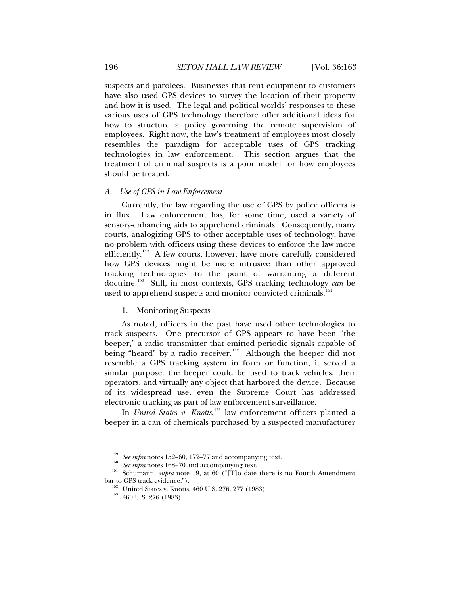<span id="page-33-0"></span>suspects and parolees. Businesses that rent equipment to customers have also used GPS devices to survey the location of their property and how it is used. The legal and political worlds' responses to these various uses of GPS technology therefore offer additional ideas for how to structure a policy governing the remote supervision of employees. Right now, the law's treatment of employees most closely resembles the paradigm for acceptable uses of GPS tracking technologies in law enforcement. This section argues that the treatment of criminal suspects is a poor model for how employees should be treated.

#### *A. Use of GPS in Law Enforcement*

Currently, the law regarding the use of GPS by police officers is in flux. Law enforcement has, for some time, used a variety of sensory-enhancing aids to apprehend criminals. Consequently, many courts, analogizing GPS to other acceptable uses of technology, have no problem with officers using these devices to enforce the law more efficiently.<sup>[149](#page-33-1)</sup> A few courts, however, have more carefully considered how GPS devices might be more intrusive than other approved tracking technologies—to the point of warranting a different doctrine.[150](#page-33-2) Still, in most contexts, GPS tracking technology *can* be used to apprehend suspects and monitor convicted criminals.<sup>1</sup>

#### 1. Monitoring Suspects

As noted, officers in the past have used other technologies to track suspects. One precursor of GPS appears to have been "the beeper," a radio transmitter that emitted periodic signals capable of being "heard" by a radio receiver.<sup>[152](#page-33-4)</sup> Although the beeper did not resemble a GPS tracking system in form or function, it served a similar purpose: the beeper could be used to track vehicles, their operators, and virtually any object that harbored the device. Because of its widespread use, even the Supreme Court has addressed electronic tracking as part of law enforcement surveillance.

In *United States v. Knotts*, [153](#page-33-5) law enforcement officers planted a beeper in a can of chemicals purchased by a suspected manufacturer

<span id="page-33-5"></span><span id="page-33-4"></span><span id="page-33-3"></span><span id="page-33-2"></span><span id="page-33-1"></span><sup>&</sup>lt;sup>149</sup> See infra notes 152–60, 172–77 and accompanying text.<br>
<sup>150</sup> See infra notes 168–70 and accompanying text.<br>
<sup>151</sup> Schumann, *supra* note 19, at 60 ("[T]o date there is no Fourth Amendment<br>
bar to GPS track evidence."

<sup>&</sup>lt;sup>152</sup> United States v. Knotts, 460 U.S. 276, 277 (1983). 460 U.S. 276 (1983).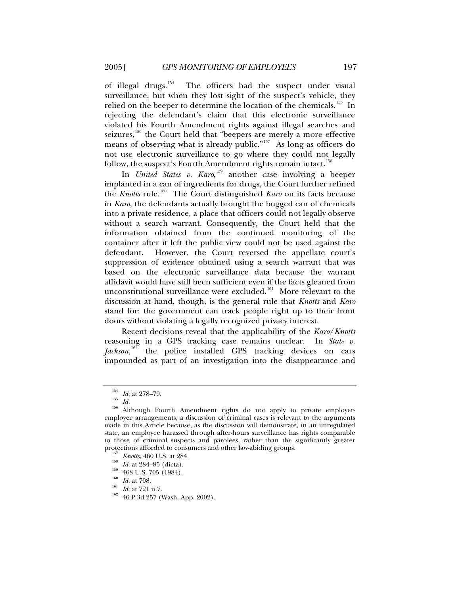of illegal drugs.<sup>[154](#page-34-0)</sup> The officers had the suspect under visual surveillance, but when they lost sight of the suspect's vehicle, they relied on the beeper to determine the location of the chemicals.<sup>[155](#page-34-1)</sup> In rejecting the defendant's claim that this electronic surveillance violated his Fourth Amendment rights against illegal searches and seizures,  $156$  the Court held that "beepers are merely a more effective means of observing what is already public."[157](#page-34-3) As long as officers do not use electronic surveillance to go where they could not legally follow, the suspect's Fourth Amendment rights remain intact.<sup>[158](#page-34-4)</sup>

In *United States v. Karo*, [159](#page-34-5) another case involving a beeper implanted in a can of ingredients for drugs, the Court further refined the *Knotts* rule.<sup>[160](#page-34-6)</sup> The Court distinguished *Karo* on its facts because in *Karo*, the defendants actually brought the bugged can of chemicals into a private residence, a place that officers could not legally observe without a search warrant. Consequently, the Court held that the information obtained from the continued monitoring of the container after it left the public view could not be used against the defendant. However, the Court reversed the appellate court's suppression of evidence obtained using a search warrant that was based on the electronic surveillance data because the warrant affidavit would have still been sufficient even if the facts gleaned from unconstitutional surveillance were excluded.<sup>[161](#page-34-7)</sup> More relevant to the discussion at hand, though, is the general rule that *Knotts* and *Karo* stand for: the government can track people right up to their front doors without violating a legally recognized privacy interest.

Recent decisions reveal that the applicability of the *Karo*/*Knotts* reasoning in a GPS tracking case remains unclear. In *State v.*  Jackson,<sup>[162](#page-34-8)</sup> the police installed GPS tracking devices on cars impounded as part of an investigation into the disappearance and

<span id="page-34-7"></span>

<span id="page-34-2"></span><span id="page-34-1"></span><span id="page-34-0"></span><sup>&</sup>lt;sup>154</sup> *Id.* at 278–79.<br><sup>155</sup> *Id.* 156 *Id.* 156 Although Fourth Amendment rights do not apply to private employeremployee arrangements, a discussion of criminal cases is relevant to the arguments made in this Article because, as the discussion will demonstrate, in an unregulated state, an employee harassed through after-hours surveillance has rights comparable to those of criminal suspects and parolees, rather than the significantly greater protections afforded to consumers and other law-abiding groups.

<span id="page-34-6"></span><span id="page-34-5"></span>

<span id="page-34-8"></span>

<span id="page-34-4"></span><span id="page-34-3"></span><sup>&</sup>lt;sup>157</sup> *Knotts*, 460 U.S. at 284.<br>
<sup>158</sup> *Id.* at 284–85 (dicta).<br>
<sup>159</sup> 468 U.S. 705 (1984).<br>
<sup>160</sup> *Id.* at 708.<br>
<sup>161</sup> *Id.* at 721 n.7.<br>
<sup>162</sup> 46 P.3d 257 (Wash. App. 2002).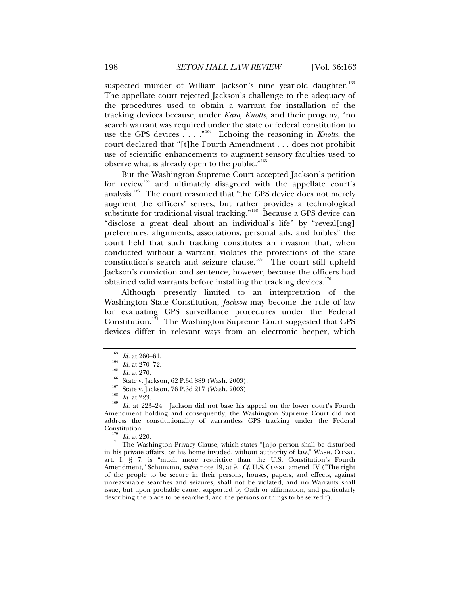suspected murder of William Jackson's nine year-old daughter.<sup>[163](#page-35-0)</sup> The appellate court rejected Jackson's challenge to the adequacy of the procedures used to obtain a warrant for installation of the tracking devices because, under *Karo*, *Knotts*, and their progeny, "no search warrant was required under the state or federal constitution to use the GPS devices . . . .<sup>"[164](#page-35-1)</sup> Echoing the reasoning in *Knotts*, the court declared that "[t]he Fourth Amendment . . . does not prohibit use of scientific enhancements to augment sensory faculties used to observe what is already open to the public."<sup>[165](#page-35-2)</sup>

But the Washington Supreme Court accepted Jackson's petition for review<sup>[166](#page-35-3)</sup> and ultimately disagreed with the appellate court's analysis.<sup>[167](#page-35-4)</sup> The court reasoned that "the GPS device does not merely augment the officers' senses, but rather provides a technological substitute for traditional visual tracking."<sup>[168](#page-35-5)</sup> Because a GPS device can "disclose a great deal about an individual's life" by "reveal[ing] preferences, alignments, associations, personal ails, and foibles" the court held that such tracking constitutes an invasion that, when conducted without a warrant, violates the protections of the state constitution's search and seizure clause.<sup>[169](#page-35-6)</sup> The court still upheld Jackson's conviction and sentence, however, because the officers had obtained valid warrants before installing the tracking devices.<sup>[170](#page-35-7)</sup>

Although presently limited to an interpretation of the Washington State Constitution, *Jackson* may become the rule of law for evaluating GPS surveillance procedures under the Federal Constitution.<sup>[171](#page-35-8)</sup> The Washington Supreme Court suggested that GPS devices differ in relevant ways from an electronic beeper, which

<span id="page-35-8"></span><span id="page-35-7"></span><span id="page-35-6"></span> $\frac{170}{171}$  *Id.* at 220. 171 The Washington Privacy Clause, which states "[n]o person shall be disturbed in his private affairs, or his home invaded, without authority of law," WASH. CONST. art. I, § 7, is "much more restrictive than the U.S. Constitution's Fourth Amendment," Schumann, *supra* note 19, at 9. *Cf.* U.S. CONST. amend. IV ("The right of the people to be secure in their persons, houses, papers, and effects, against unreasonable searches and seizures, shall not be violated, and no Warrants shall issue, but upon probable cause, supported by Oath or affirmation, and particularly describing the place to be searched, and the persons or things to be seized.").

<span id="page-35-5"></span>

<span id="page-35-4"></span><span id="page-35-3"></span><span id="page-35-2"></span><span id="page-35-1"></span><span id="page-35-0"></span><sup>&</sup>lt;sup>163</sup> *Id.* at 260–61.<br>
<sup>164</sup> *Id.* at 270–72.<br>
<sup>165</sup> *Id.* at 270.<br>
<sup>165</sup> State v. Jackson, 62 P.3d 889 (Wash. 2003).<br>
<sup>167</sup> State v. Jackson, 76 P.3d 217 (Wash. 2003).<br>
<sup>167</sup> State v. Jackson, 76 P.3d 217 (Wash. 2003).<br> Amendment holding and consequently, the Washington Supreme Court did not address the constitutionality of warrantless GPS tracking under the Federal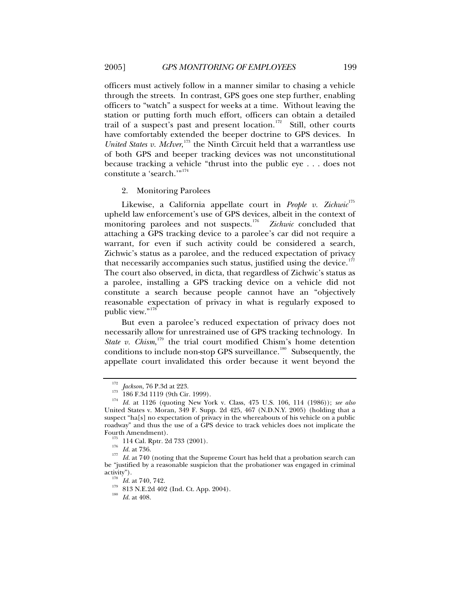<span id="page-36-0"></span>officers must actively follow in a manner similar to chasing a vehicle through the streets. In contrast, GPS goes one step further, enabling officers to "watch" a suspect for weeks at a time. Without leaving the station or putting forth much effort, officers can obtain a detailed trail of a suspect's past and present location.<sup>[172](#page-36-1)</sup> Still, other courts have comfortably extended the beeper doctrine to GPS devices. In United States v. McIver,<sup>[173](#page-36-2)</sup> the Ninth Circuit held that a warrantless use of both GPS and beeper tracking devices was not unconstitutional because tracking a vehicle "thrust into the public eye . . . does not constitute a 'search."<sup>[174](#page-36-3)</sup>

2. Monitoring Parolees

Likewise, a California appellate court in *People v. Zichwic*<sup>[175](#page-36-4)</sup> upheld law enforcement's use of GPS devices, albeit in the context of monitoring parolees and not suspects. $176$  *Zichwic* concluded that attaching a GPS tracking device to a parolee's car did not require a warrant, for even if such activity could be considered a search, Zichwic's status as a parolee, and the reduced expectation of privacy that necessarily accompanies such status, justified using the device.<sup>[177](#page-36-6)</sup> The court also observed, in dicta, that regardless of Zichwic's status as a parolee, installing a GPS tracking device on a vehicle did not constitute a search because people cannot have an "objectively reasonable expectation of privacy in what is regularly exposed to public view."<sup>[178](#page-36-7)</sup>

But even a parolee's reduced expectation of privacy does not necessarily allow for unrestrained use of GPS tracking technology. In State v. Chism,<sup>[179](#page-36-8)</sup> the trial court modified Chism's home detention conditions to include non-stop GPS surveillance.<sup>[180](#page-36-9)</sup> Subsequently, the appellate court invalidated this order because it went beyond the

<span id="page-36-3"></span><span id="page-36-2"></span><span id="page-36-1"></span><sup>172</sup> *Jackson*, 76 P.3d at 223. 173 186 F.3d 1119 (9th Cir. 1999). 174 *Id.* at 1126 (quoting New York v. Class, 475 U.S. 106, 114 (1986)); *see also* United States v. Moran, 349 F. Supp. 2d 425, 467 (N.D.N.Y. 2005) (holding that a suspect "ha[s] no expectation of privacy in the whereabouts of his vehicle on a public roadway" and thus the use of a GPS device to track vehicles does not implicate the

<span id="page-36-6"></span><span id="page-36-5"></span><span id="page-36-4"></span>Fourth Americans. 114 Cal. Rptr. 2d 733 (2001).<br>
<sup>176</sup> Id. at 736.<br>
<sup>177</sup> Id. at 740 (noting that the Supreme Court has held that a probation search can be "justified by a reasonable suspicion that the probationer was engaged in criminal activity").<br><sup>178</sup> *Id.* at 740, 742.<br><sup>179</sup> 813 N.E.2d 402 (Ind. Ct. App. 2004).<br><sup>180</sup> *Id.* at 408.

<span id="page-36-9"></span><span id="page-36-8"></span><span id="page-36-7"></span>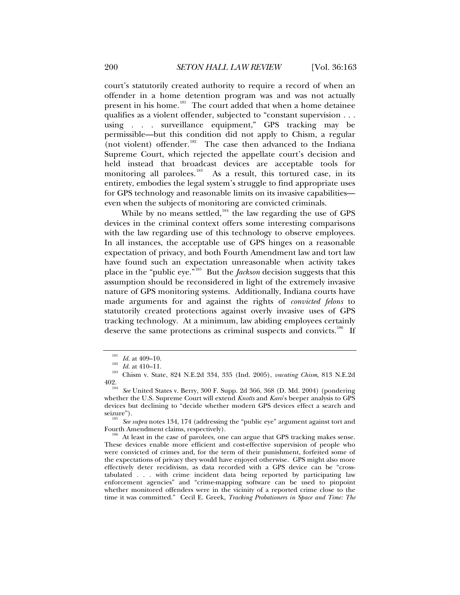court's statutorily created authority to require a record of when an offender in a home detention program was and was not actually present in his home.<sup>[181](#page-37-0)</sup> The court added that when a home detainee qualifies as a violent offender, subjected to "constant supervision . . . using . . . surveillance equipment," GPS tracking may be permissible—but this condition did not apply to Chism, a regular (not violent) offender.<sup>[182](#page-37-1)</sup> The case then advanced to the Indiana Supreme Court, which rejected the appellate court's decision and held instead that broadcast devices are acceptable tools for monitoring all parolees.<sup>183</sup> As a result, this tortured case, in its As a result, this tortured case, in its entirety, embodies the legal system's struggle to find appropriate uses for GPS technology and reasonable limits on its invasive capabilities even when the subjects of monitoring are convicted criminals.

While by no means settled, $184$  the law regarding the use of GPS devices in the criminal context offers some interesting comparisons with the law regarding use of this technology to observe employees. In all instances, the acceptable use of GPS hinges on a reasonable expectation of privacy, and both Fourth Amendment law and tort law have found such an expectation unreasonable when activity takes place in the "public eye."[185](#page-37-4) But the *Jackson* decision suggests that this assumption should be reconsidered in light of the extremely invasive nature of GPS monitoring systems. Additionally, Indiana courts have made arguments for and against the rights of *convicted felons* to statutorily created protections against overly invasive uses of GPS tracking technology. At a minimum, law abiding employees certainly deserve the same protections as criminal suspects and convicts.<sup>[186](#page-37-5)</sup> If

<span id="page-37-1"></span><span id="page-37-0"></span><sup>181</sup> *Id.* at 409–10.<br><sup>182</sup> *Id.* at 410–11.<br><sup>183</sup> Chism v. State, 824 N.E.2d 334, 335 (Ind. 2005), *vacating Chism*, 813 N.E.2d

<span id="page-37-3"></span><span id="page-37-2"></span><sup>402. 184</sup> *See* United States v. Berry, 300 F. Supp. 2d 366, 368 (D. Md. 2004) (pondering whether the U.S. Supreme Court will extend *Knotts* and *Karo*'s beeper analysis to GPS devices but declining to "decide whether modern GPS devices effect a search and

<span id="page-37-4"></span><sup>&</sup>lt;sup>185</sup> See *supra* notes 134, 174 (addressing the "public eye" argument against tort and Fourth Amendment claims, respectively).

<span id="page-37-5"></span>At least in the case of parolees, one can argue that GPS tracking makes sense. These devices enable more efficient and cost-effective supervision of people who were convicted of crimes and, for the term of their punishment, forfeited some of the expectations of privacy they would have enjoyed otherwise. GPS might also more effectively deter recidivism, as data recorded with a GPS device can be "crosstabulated . . . with crime incident data being reported by participating law enforcement agencies" and "crime-mapping software can be used to pinpoint whether monitored offenders were in the vicinity of a reported crime close to the time it was committed." Cecil E. Greek, *Tracking Probationers in Space and Time: The*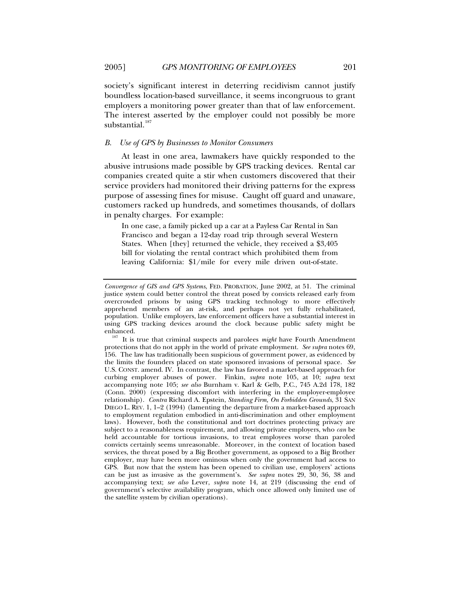<span id="page-38-0"></span>society's significant interest in deterring recidivism cannot justify boundless location-based surveillance, it seems incongruous to grant employers a monitoring power greater than that of law enforcement. The interest asserted by the employer could not possibly be more substantial.<sup>[187](#page-38-1)</sup>

#### *B. Use of GPS by Businesses to Monitor Consumers*

At least in one area, lawmakers have quickly responded to the abusive intrusions made possible by GPS tracking devices. Rental car companies created quite a stir when customers discovered that their service providers had monitored their driving patterns for the express purpose of assessing fines for misuse. Caught off guard and unaware, customers racked up hundreds, and sometimes thousands, of dollars in penalty charges. For example:

In one case, a family picked up a car at a Payless Car Rental in San Francisco and began a 12-day road trip through several Western States. When [they] returned the vehicle, they received a \$3,405 bill for violating the rental contract which prohibited them from leaving California: \$1/mile for every mile driven out-of-state.

*Convergence of GIS and GPS Systems*, FED. PROBATION, June 2002, at 51. The criminal justice system could better control the threat posed by convicts released early from overcrowded prisons by using GPS tracking technology to more effectively apprehend members of an at-risk, and perhaps not yet fully rehabilitated, population. Unlike employers, law enforcement officers have a substantial interest in using GPS tracking devices around the clock because public safety might be

<span id="page-38-1"></span>It is true that criminal suspects and parolees *might* have Fourth Amendment protections that do not apply in the world of private employment. *See supra* notes 69, 156. The law has traditionally been suspicious of government power, as evidenced by the limits the founders placed on state sponsored invasions of personal space. *See*  U.S. CONST. amend. IV. In contrast, the law has favored a market-based approach for curbing employer abuses of power. Finkin, *supra* note 105, at 10; *supra* text accompanying note 105; *see also* Burnham v. Karl & Gelb, P.C., 745 A.2d 178, 182 (Conn. 2000) (expressing discomfort with interfering in the employer-employee relationship). *Contra* Richard A. Epstein, *Standing Firm, On Forbidden Grounds*, 31 SAN DIEGO L. REV. 1, 1–2 (1994) (lamenting the departure from a market-based approach to employment regulation embodied in anti-discrimination and other employment laws). However, both the constitutional and tort doctrines protecting privacy are subject to a reasonableness requirement, and allowing private employers, who *can* be held accountable for tortious invasions, to treat employees worse than paroled convicts certainly seems unreasonable. Moreover, in the context of location based services, the threat posed by a Big Brother government, as opposed to a Big Brother employer, may have been more ominous when only the government had access to GPS. But now that the system has been opened to civilian use, employers' actions can be just as invasive as the government's. *See supra* notes 29, 30, 36, 38 and accompanying text; *see also* Lever, *supra* note 14, at 219 (discussing the end of government's selective availability program, which once allowed only limited use of the satellite system by civilian operations).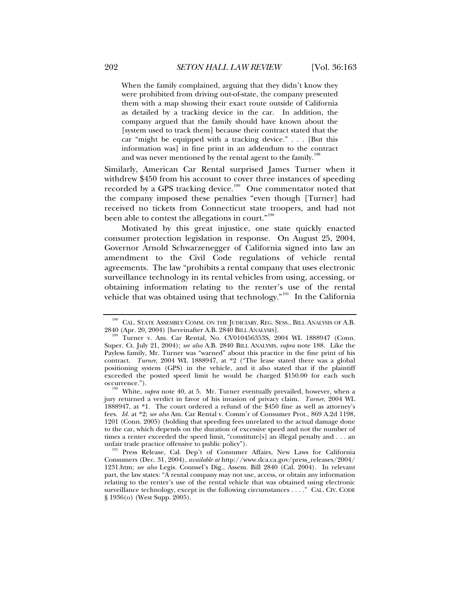When the family complained, arguing that they didn't know they were prohibited from driving out-of-state, the company presented them with a map showing their exact route outside of California as detailed by a tracking device in the car. In addition, the company argued that the family should have known about the [system used to track them] because their contract stated that the car "might be equipped with a tracking device." . . . [But this information was] in fine print in an addendum to the contract and was never mentioned by the rental agent to the family.<sup>1</sup>

Similarly, American Car Rental surprised James Turner when it withdrew \$450 from his account to cover three instances of speeding recorded by a GPS tracking device.<sup>[189](#page-39-1)</sup> One commentator noted that the company imposed these penalties "even though [Turner] had received no tickets from Connecticut state troopers, and had not been able to contest the allegations in court."<sup>[190](#page-39-2)</sup>

Motivated by this great injustice, one state quickly enacted consumer protection legislation in response. On August 25, 2004, Governor Arnold Schwarzenegger of California signed into law an amendment to the Civil Code regulations of vehicle rental agreements. The law "prohibits a rental company that uses electronic surveillance technology in its rental vehicles from using, accessing, or obtaining information relating to the renter's use of the rental vehicle that was obtained using that technology."<sup>[191](#page-39-3)</sup> In the California

<span id="page-39-0"></span><sup>&</sup>lt;sup>188</sup> CAL. STATE ASSEMBLY COMM. ON THE JUDICIARY, REG. SESS., BILL ANALYSIS OF A.B.<br>2840 (Apr. 20, 2004) [hereinafter A.B. 2840 BILL ANALYSIS].

<span id="page-39-1"></span><sup>&</sup>lt;sup>189</sup> Turner v. Am. Car Rental, No. CV010456353S, 2004 WL 1888947 (Conn. Super. Ct. July 21, 2004); *see also* A.B. 2840 BILL ANALYSIS, *supra* note 188. Like the Payless family, Mr. Turner was "warned" about this practice in the fine print of his contract. *Turner*, 2004 WL 1888947, at \*2 ("The lease stated there was a global positioning system (GPS) in the vehicle, and it also stated that if the plaintiff exceeded the posted speed limit he would be charged \$150.00 for each such occurrence.").

<span id="page-39-2"></span><sup>&</sup>lt;sup>190</sup> White, *supra* note 40, at 5. Mr. Turner eventually prevailed, however, when a jury returned a verdict in favor of his invasion of privacy claim. *Turner*, 2004 WL 1888947, at \*1. The court ordered a refund of the \$450 fine as well as attorney's fees. *Id.* at \*2; *see also* Am. Car Rental v. Comm'r of Consumer Prot., 869 A.2d 1198, 1201 (Conn. 2005) (holding that speeding fees unrelated to the actual damage done to the car, which depends on the duration of excessive speed and not the number of times a renter exceeded the speed limit, "constitute[s] an illegal penalty and . . . an unfair trade practice offensive to public policy").

<span id="page-39-3"></span><sup>&</sup>lt;sup>191</sup> Press Release, Cal. Dep't of Consumer Affairs, New Laws for California Consumers (Dec. 31, 2004), *available at* http://www.dca.ca.gov/press\_releases/2004/ 1231.htm; *see also* Legis. Counsel's Dig., Assem. Bill 2840 (Cal. 2004). In relevant part, the law states: "A rental company may not use, access, or obtain any information relating to the renter's use of the rental vehicle that was obtained using electronic surveillance technology, except in the following circumstances . . . ." CAL. CIV. CODE § 1936(o) (West Supp. 2005).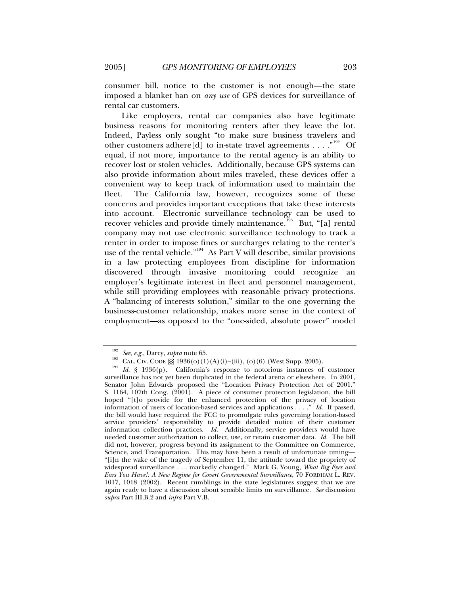consumer bill, notice to the customer is not enough—the state imposed a blanket ban on *any use* of GPS devices for surveillance of rental car customers.

Like employers, rental car companies also have legitimate business reasons for monitoring renters after they leave the lot. Indeed, Payless only sought "to make sure business travelers and other customers adhere[d] to in-state travel agreements . . . . "<sup>[192](#page-40-0)</sup> Of equal, if not more, importance to the rental agency is an ability to recover lost or stolen vehicles. Additionally, because GPS systems can also provide information about miles traveled, these devices offer a convenient way to keep track of information used to maintain the fleet. The California law, however, recognizes some of these concerns and provides important exceptions that take these interests into account. Electronic surveillance technology can be used to recover vehicles and provide timely maintenance.<sup>[193](#page-40-1)</sup> But, "[a] rental company may not use electronic surveillance technology to track a renter in order to impose fines or surcharges relating to the renter's use of the rental vehicle."<sup>[194](#page-40-2)</sup> As Part V will describe, similar provisions in a law protecting employees from discipline for information discovered through invasive monitoring could recognize an employer's legitimate interest in fleet and personnel management, while still providing employees with reasonable privacy protections. A "balancing of interests solution," similar to the one governing the business-customer relationship, makes more sense in the context of employment—as opposed to the "one-sided, absolute power" model

<span id="page-40-2"></span><span id="page-40-1"></span><span id="page-40-0"></span><sup>&</sup>lt;sup>192</sup> See, e.g., Darcy, *supra* note 65.<br><sup>193</sup> CAL. CIV. CODE §§ 1936(o)(1)(A)(i)–(iii), (o)(6) (West Supp. 2005).<br><sup>194</sup> *Id.* § 1936(p). California's response to notorious instances of customer surveillance has not yet been duplicated in the federal arena or elsewhere. In 2001, Senator John Edwards proposed the "Location Privacy Protection Act of 2001." S. 1164, 107th Cong. (2001). A piece of consumer protection legislation, the bill hoped "[t]o provide for the enhanced protection of the privacy of location information of users of location-based services and applications . . . ." *Id.* If passed, the bill would have required the FCC to promulgate rules governing location-based service providers' responsibility to provide detailed notice of their customer information collection practices. *Id.* Additionally, service providers would have needed customer authorization to collect, use, or retain customer data. *Id.* The bill did not, however, progress beyond its assignment to the Committee on Commerce, Science, and Transportation. This may have been a result of unfortunate timing— "[i]n the wake of the tragedy of September 11, the attitude toward the propriety of widespread surveillance . . . markedly changed." Mark G. Young, *What Big Eyes and Ears You Have!: A New Regime for Covert Governmental Surveillance*, 70 FORDHAM L. REV. 1017, 1018 (2002). Recent rumblings in the state legislatures suggest that we are again ready to have a discussion about sensible limits on surveillance. *See* discussion *supra* Part III.B.2 and *infra* Part V.B.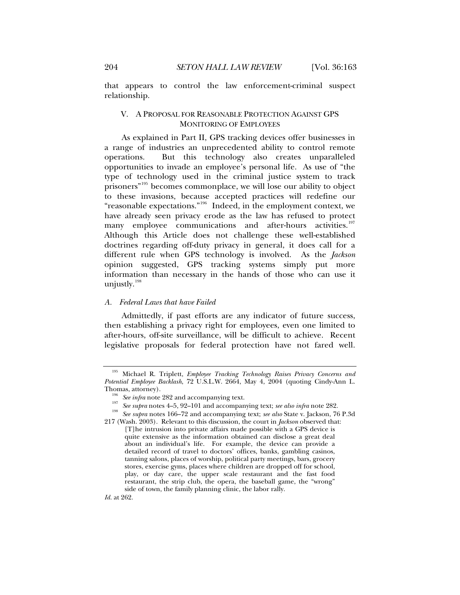<span id="page-41-0"></span>that appears to control the law enforcement-criminal suspect relationship.

## V. A PROPOSAL FOR REASONABLE PROTECTION AGAINST GPS MONITORING OF EMPLOYEES

As explained in Part II, GPS tracking devices offer businesses in a range of industries an unprecedented ability to control remote operations. But this technology also creates unparalleled opportunities to invade an employee's personal life. As use of "the type of technology used in the criminal justice system to track prisoners"[195](#page-41-1) becomes commonplace, we will lose our ability to object to these invasions, because accepted practices will redefine our "reasonable expectations."[196](#page-41-2) Indeed, in the employment context, we have already seen privacy erode as the law has refused to protect many employee communications and after-hours activities.<sup>[197](#page-41-3)</sup> Although this Article does not challenge these well-established doctrines regarding off-duty privacy in general, it does call for a different rule when GPS technology is involved. As the *Jackson* opinion suggested, GPS tracking systems simply put more information than necessary in the hands of those who can use it unjustly.<sup>[198](#page-41-4)</sup>

## *A. Federal Laws that have Failed*

Admittedly, if past efforts are any indicator of future success, then establishing a privacy right for employees, even one limited to after-hours, off-site surveillance, will be difficult to achieve. Recent legislative proposals for federal protection have not fared well.

- 
- <span id="page-41-4"></span><span id="page-41-3"></span><span id="page-41-2"></span>Thomas, attorney).<br><sup>196</sup> See infra note 282 and accompanying text.<br><sup>197</sup> See supra notes 4–5, 92–101 and accompanying text; see also infra note 282.<br><sup>198</sup> See supra notes 166–72 and accompanying text; see also State v. Ja 217 (Wash. 2003). Relevant to this discussion, the court in *Jackson* observed that:

*Id.* at 262.

<span id="page-41-1"></span><sup>195</sup> Michael R. Triplett, *Employee Tracking Technology Raises Privacy Concerns and Potential Employee Backlash*, 72 U.S.L.W. 2664, May 4, 2004 (quoting Cindy-Ann L.

<sup>[</sup>T]he intrusion into private affairs made possible with a GPS device is quite extensive as the information obtained can disclose a great deal about an individual's life. For example, the device can provide a detailed record of travel to doctors' offices, banks, gambling casinos, tanning salons, places of worship, political party meetings, bars, grocery stores, exercise gyms, places where children are dropped off for school, play, or day care, the upper scale restaurant and the fast food restaurant, the strip club, the opera, the baseball game, the "wrong" side of town, the family planning clinic, the labor rally.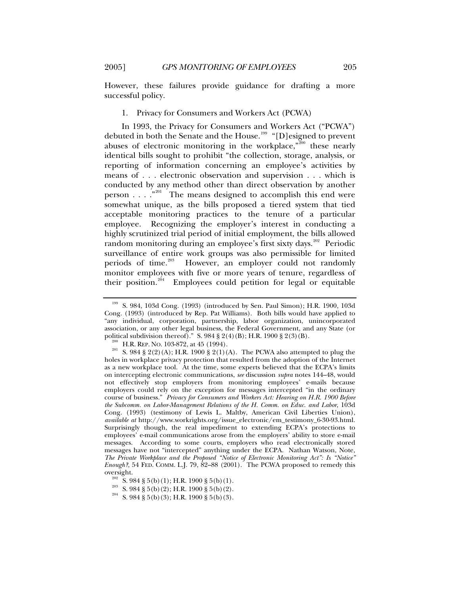However, these failures provide guidance for drafting a more successful policy.

1. Privacy for Consumers and Workers Act (PCWA)

In 1993, the Privacy for Consumers and Workers Act ("PCWA") debuted in both the Senate and the House.<sup>[199](#page-42-1)</sup> "[D]esigned to prevent abuses of electronic monitoring in the workplace, $\sum_{n=0}^{\infty}$  these nearly identical bills sought to prohibit "the collection, storage, analysis, or reporting of information concerning an employee's activities by means of . . . electronic observation and supervision . . . which is conducted by any method other than direct observation by another person  $\dots$   $\cdot$  <sup>[201](#page-42-3)</sup> The means designed to accomplish this end were somewhat unique, as the bills proposed a tiered system that tied acceptable monitoring practices to the tenure of a particular employee. Recognizing the employer's interest in conducting a highly scrutinized trial period of initial employment, the bills allowed random monitoring during an employee's first sixty days.<sup>[202](#page-42-4)</sup> Periodic surveillance of entire work groups was also permissible for limited periods of time.<sup>[203](#page-42-5)</sup> However, an employer could not randomly monitor employees with five or more years of tenure, regardless of their position.<sup>[204](#page-42-6)</sup> Employees could petition for legal or equitable

<span id="page-42-0"></span>

<span id="page-42-1"></span><sup>199</sup> S. 984, 103d Cong. (1993) (introduced by Sen. Paul Simon); H.R. 1900, 103d Cong. (1993) (introduced by Rep. Pat Williams). Both bills would have applied to "any individual, corporation, partnership, labor organization, unincorporated association, or any other legal business, the Federal Government, and any State (or political subdivision thereof)." S.  $984 \frac{8}{2}(4)(B)$ ; H.R.  $1900 \frac{8}{2}(3)(B)$ .

<span id="page-42-3"></span><span id="page-42-2"></span><sup>&</sup>lt;sup>200</sup> H.R. REP. NO. 103-872, at 45 (1994).<br><sup>201</sup> S. 984 § 2(2)(A); H.R. 1900 § 2(1)(A). The PCWA also attempted to plug the holes in workplace privacy protection that resulted from the adoption of the Internet as a new workplace tool. At the time, some experts believed that the ECPA's limits on intercepting electronic communications, *see* discussion *supra* notes 144–48, would not effectively stop employers from monitoring employees' e-mails because employers could rely on the exception for messages intercepted "in the ordinary course of business." *Privacy for Consumers and Workers Act: Hearing on H.R. 1900 Before the Subcomm. on Labor-Management Relations of the H. Comm. on Educ. and Labor*, 103d Cong. (1993) (testimony of Lewis L. Maltby, American Civil Liberties Union), *available at* http://www.workrights.org/issue\_electronic/em\_testimony\_6-30-93.html. Surprisingly though, the real impediment to extending ECPA's protections to employees' e-mail communications arose from the employers' ability to store e-mail messages. According to some courts, employers who read electronically stored messages have not "intercepted" anything under the ECPA. Nathan Watson, Note, *The Private Workplace and the Proposed "Notice of Electronic Monitoring Act": Is "Notice" Enough?*, 54 FED. COMM. L.J. 79, 82–88 (2001). The PCWA proposed to remedy this

<span id="page-42-6"></span><span id="page-42-5"></span><span id="page-42-4"></span>oversight.<br><sup>202</sup> S. 984 § 5(b)(1); H.R. 1900 § 5(b)(1).<br><sup>203</sup> S. 984 § 5(b)(2); H.R. 1900 § 5(b)(2).<br>S. 984 § 5(b)(3); H.R. 1900 § 5(b)(3).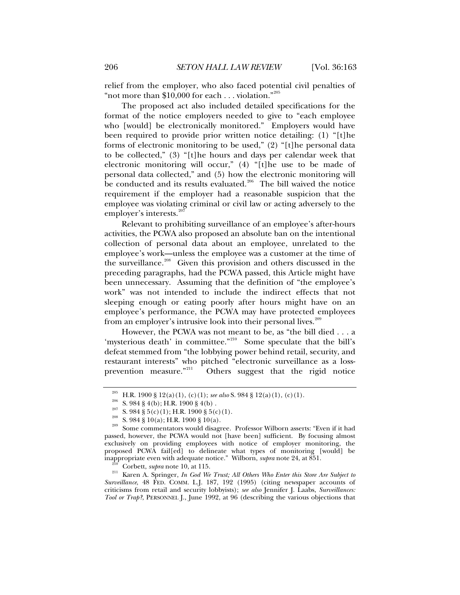relief from the employer, who also faced potential civil penalties of "not more than  $$10,000$  for each . . . violation."<sup>[205](#page-43-0)</sup>

The proposed act also included detailed specifications for the format of the notice employers needed to give to "each employee who [would] be electronically monitored." Employers would have been required to provide prior written notice detailing: (1) "[t]he forms of electronic monitoring to be used," (2) "[t]he personal data to be collected," (3) "[t]he hours and days per calendar week that electronic monitoring will occur," (4) "[t]he use to be made of personal data collected," and (5) how the electronic monitoring will be conducted and its results evaluated.<sup>[206](#page-43-1)</sup> The bill waived the notice requirement if the employer had a reasonable suspicion that the employee was violating criminal or civil law or acting adversely to the employer's interests.<sup>[207](#page-43-2)</sup>

Relevant to prohibiting surveillance of an employee's after-hours activities, the PCWA also proposed an absolute ban on the intentional collection of personal data about an employee, unrelated to the employee's work—unless the employee was a customer at the time of the surveillance.<sup>[208](#page-43-3)</sup> Given this provision and others discussed in the preceding paragraphs, had the PCWA passed, this Article might have been unnecessary. Assuming that the definition of "the employee's work" was not intended to include the indirect effects that not sleeping enough or eating poorly after hours might have on an employee's performance, the PCWA may have protected employees from an employer's intrusive look into their personal lives.<sup>[209](#page-43-4)</sup>

However, the PCWA was not meant to be, as "the bill died . . . a 'mysterious death' in committee."<sup>[210](#page-43-5)</sup> Some speculate that the bill's defeat stemmed from "the lobbying power behind retail, security, and restaurant interests" who pitched "electronic surveillance as a loss-<br>prevention measure."<sup>211</sup> Others suggest that the rigid notice Others suggest that the rigid notice

<span id="page-43-4"></span><span id="page-43-3"></span><span id="page-43-2"></span><span id="page-43-1"></span><span id="page-43-0"></span><sup>&</sup>lt;sup>205</sup> H.R. 1900 § 12(a)(1), (c)(1); *see also* S. 984 § 12(a)(1), (c)(1).<br><sup>206</sup> S. 984 § 4(b); H.R. 1900 § 4(b).<br><sup>207</sup> S. 984 § 5(c)(1); H.R. 1900 § 5(c)(1).<br><sup>208</sup> S. 984 § 10(a); H.R. 1900 § 10(a).<br>Some commentators woul passed, however, the PCWA would not [have been] sufficient. By focusing almost exclusively on providing employees with notice of employer monitoring, the proposed PCWA fail[ed] to delineate what types of monitoring [would] be inappropriate even with adequate notice." Wilborn, *supra* note 24, at 851.

<span id="page-43-6"></span><span id="page-43-5"></span><sup>&</sup>lt;sup>210</sup> Corbett, *supra* note 10, at 115.<br><sup>211</sup> Karen A. Springer, *In God We Trust; All Others Who Enter this Store Are Subject to Surveillance*, 48 FED. COMM. L.J. 187, 192 (1995) (citing newspaper accounts of criticisms from retail and security lobbyists); *see also* Jennifer J. Laabs, *Surveillances: Tool or Trap?*, PERSONNEL J., June 1992, at 96 (describing the various objections that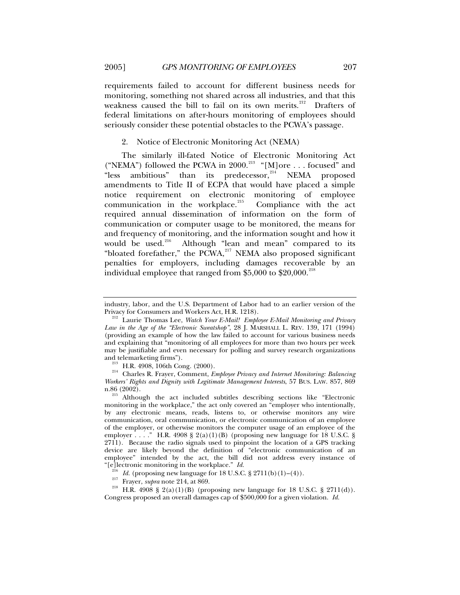<span id="page-44-0"></span>requirements failed to account for different business needs for monitoring, something not shared across all industries, and that this weakness caused the bill to fail on its own merits.<sup>[212](#page-44-1)</sup> Drafters of federal limitations on after-hours monitoring of employees should seriously consider these potential obstacles to the PCWA's passage.

#### 2. Notice of Electronic Monitoring Act (NEMA)

The similarly ill-fated Notice of Electronic Monitoring Act ("NEMA") followed the PCWA in 2000.[213](#page-44-2) "[M]ore . . . focused" and "less ambitious" than its predecessor, $214$  NEMA proposed amendments to Title II of ECPA that would have placed a simple notice requirement on electronic monitoring of employee communication in the workplace. $215$  Compliance with the act required annual dissemination of information on the form of communication or computer usage to be monitored, the means for and frequency of monitoring, and the information sought and how it would be used.<sup>216</sup> Although "lean and mean" compared to its Although "lean and mean" compared to its "bloated forefather," the  $P\text{CWA}$ , $^{217}$  $^{217}$  $^{217}$  NEMA also proposed significant penalties for employers, including damages recoverable by an individual employee that ranged from  $$5,000$  to  $$20,000$ .<sup>[218](#page-44-7)</sup>

<span id="page-44-3"></span><span id="page-44-2"></span>and telemarketing firms").<br><sup>213</sup> H.R. 4908, 106th Cong. (2000).<br><sup>214</sup> Charles R. Frayer, Comment, *Employee Privacy and Internet Monitoring: Balancing Workers' Rights and Dignity with Legitimate Management Interests*, 57 BUS. LAW. 857, 869 n.86 (2002).<br><sup>215</sup> Although the act included subtitles describing sections like "Electronic

<span id="page-44-4"></span>monitoring in the workplace," the act only covered an "employer who intentionally, by any electronic means, reads, listens to, or otherwise monitors any wire communication, oral communication, or electronic communication of an employee of the employer, or otherwise monitors the computer usage of an employee of the employer  $\ldots$ ." H.R. 4908 § 2(a)(1)(B) (proposing new language for 18 U.S.C. § 2711). Because the radio signals used to pinpoint the location of a GPS tracking device are likely beyond the definition of "electronic communication of an employee" intended by the act, the bill did not address every instance of "[e]lectronic monitoring in the workplace."  $Id$ .

<span id="page-44-7"></span><span id="page-44-6"></span><span id="page-44-5"></span><sup>216</sup> *Id.* (proposing new language for 18 U.S.C. § 2711(b)(1)–(4)).<br><sup>217</sup> Frayer, *supra* note 214, at 869.<br><sup>218</sup> H.R. 4908 § 2(a)(1)(B) (proposing new language for 18 U.S.C. § 2711(d)).

industry, labor, and the U.S. Department of Labor had to an earlier version of the

<span id="page-44-1"></span><sup>&</sup>lt;sup>212</sup> Laurie Thomas Lee, Watch Your E-Mail! Employee E-Mail Monitoring and Privacy *Law in the Age of the "Electronic Sweatshop"*, 28 J. MARSHALL L. REV. 139, 171 (1994) (providing an example of how the law failed to account for various business needs and explaining that "monitoring of all employees for more than two hours per week may be justifiable and even necessary for polling and survey research organizations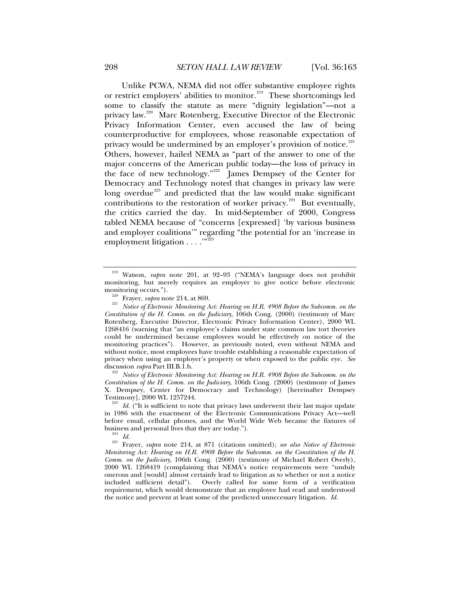Unlike PCWA, NEMA did not offer substantive employee rights or restrict employers' abilities to monitor.<sup>[219](#page-45-0)</sup> These shortcomings led some to classify the statute as mere "dignity legislation"—not a privacy law.<sup>[220](#page-45-1)</sup> Marc Rotenberg, Executive Director of the Electronic Privacy Information Center, even accused the law of being counterproductive for employees, whose reasonable expectation of privacy would be undermined by an employer's provision of notice.<sup>[221](#page-45-2)</sup> Others, however, hailed NEMA as "part of the answer to one of the major concerns of the American public today—the loss of privacy in the face of new technology."<sup>[222](#page-45-3)</sup> James Dempsey of the Center for Democracy and Technology noted that changes in privacy law were long overdue<sup>[223](#page-45-4)</sup> and predicted that the law would make significant contributions to the restoration of worker privacy.<sup>[224](#page-45-5)</sup> But eventually, the critics carried the day. In mid-September of 2000, Congress tabled NEMA because of "concerns [expressed] 'by various business and employer coalitions'" regarding "the potential for an 'increase in employment litigation . . . . "<sup>[225](#page-45-6)</sup>

<span id="page-45-3"></span>discussion *supra* Part III.B.1.b.<br><sup>222</sup> Notice of Electronic Monitoring Act: Hearing on H.R. 4908 Before the Subcomm. on the *Constitution of the H. Comm. on the Judiciary*, 106th Cong. (2000) (testimony of James X. Dempsey, Center for Democracy and Technology) [hereinafter Dempsey

<span id="page-45-4"></span><sup>223</sup> Id. ("It is sufficient to note that privacy laws underwent their last major update in 1986 with the enactment of the Electronic Communications Privacy Act—well before email, cellular phones, and the World Wide Web became the fixtures of business and personal lives that they are today.").

<span id="page-45-6"></span><span id="page-45-5"></span>business and personal lives that they are today."). 224 *Id.* 225 Frayer, *supra* note 214, at 871 (citations omitted); *see also Notice of Electronic Monitoring Act: Hearing on H.R. 4908 Before the Subcomm. on the Constitution of the H. Comm. on the Judiciary*, 106th Cong. (2000) (testimony of Michael Robert Overly), 2000 WL 1268419 (complaining that NEMA's notice requirements were "unduly onerous and [would] almost certainly lead to litigation as to whether or not a notice included sufficient detail"). Overly called for some form of a verification requirement, which would demonstrate that an employee had read and understood the notice and prevent at least some of the predicted unnecessary litigation. *Id.*

<span id="page-45-0"></span><sup>219</sup> Watson, *supra* note 201, at 92–93 ("NEMA's language does not prohibit monitoring, but merely requires an employer to give notice before electronic

<span id="page-45-2"></span><span id="page-45-1"></span><sup>&</sup>lt;sup>220</sup> Frayer, *supra* note 214, at 869.<br><sup>221</sup> Notice of Electronic Monitoring Act: Hearing on H.R. 4908 Before the Subcomm. on the *Constitution of the H. Comm. on the Judiciary*, 106th Cong. (2000) (testimony of Marc Rotenberg, Executive Director, Electronic Privacy Information Center), 2000 WL 1268416 (warning that "an employee's claims under state common law tort theories could be undermined because employees would be effectively on notice of the monitoring practices"). However, as previously noted, even without NEMA and without notice, most employees have trouble establishing a reasonable expectation of privacy when using an employer's property or when exposed to the public eye. *See*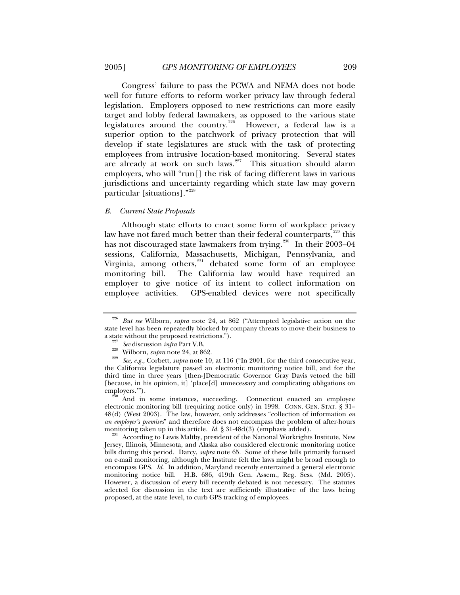<span id="page-46-0"></span>Congress' failure to pass the PCWA and NEMA does not bode well for future efforts to reform worker privacy law through federal legislation. Employers opposed to new restrictions can more easily target and lobby federal lawmakers, as opposed to the various state legislatures around the country.<sup>[226](#page-46-1)</sup> However, a federal law is a superior option to the patchwork of privacy protection that will develop if state legislatures are stuck with the task of protecting employees from intrusive location-based monitoring. Several states are already at work on such laws.<sup> $227$ </sup> This situation should alarm employers, who will "run[] the risk of facing different laws in various jurisdictions and uncertainty regarding which state law may govern particular [situations]."[228](#page-46-3)

#### *B. Current State Proposals*

Although state efforts to enact some form of workplace privacy law have not fared much better than their federal counterparts,<sup>[229](#page-46-4)</sup> this has not discouraged state lawmakers from trying.<sup>[230](#page-46-5)</sup> In their 2003–04 sessions, California, Massachusetts, Michigan, Pennsylvania, and Virginia, among others, $^{231}$  $^{231}$  $^{231}$  debated some form of an employee monitoring bill. The California law would have required an employer to give notice of its intent to collect information on employee activities. GPS-enabled devices were not specifically

<span id="page-46-1"></span><sup>226</sup> *But see* Wilborn, *supra* note 24, at 862 ("Attempted legislative action on the state level has been repeatedly blocked by company threats to move their business to a state without the proposed restrictions.").

<span id="page-46-4"></span><span id="page-46-3"></span><span id="page-46-2"></span><sup>&</sup>lt;sup>227</sup> See discussion infra Part V.B.<br><sup>228</sup> Wilborn, *supra* note 24, at 862.<br><sup>229</sup> See, e.g., Corbett, *supra* note 10, at 116 ("In 2001, for the third consecutive year, the California legislature passed an electronic monitoring notice bill, and for the third time in three years [then-]Democratic Governor Gray Davis vetoed the bill [because, in his opinion, it] 'place[d] unnecessary and complicating obligations on employers.'"). 230 And in some instances, succeeding. Connecticut enacted an employee

<span id="page-46-5"></span>electronic monitoring bill (requiring notice only) in 1998. CONN. GEN. STAT. § 31– 48(d) (West 2003). The law, however, only addresses "collection of information *on an employer's premises*" and therefore does not encompass the problem of after-hours

<span id="page-46-6"></span>According to Lewis Maltby, president of the National Workrights Institute, New Jersey, Illinois, Minnesota, and Alaska also considered electronic monitoring notice bills during this period. Darcy, *supra* note 65. Some of these bills primarily focused on e-mail monitoring, although the Institute felt the laws might be broad enough to encompass GPS. *Id.* In addition, Maryland recently entertained a general electronic monitoring notice bill. H.B. 686, 419th Gen. Assem., Reg. Sess. (Md. 2005). However, a discussion of every bill recently debated is not necessary. The statutes selected for discussion in the text are sufficiently illustrative of the laws being proposed, at the state level, to curb GPS tracking of employees.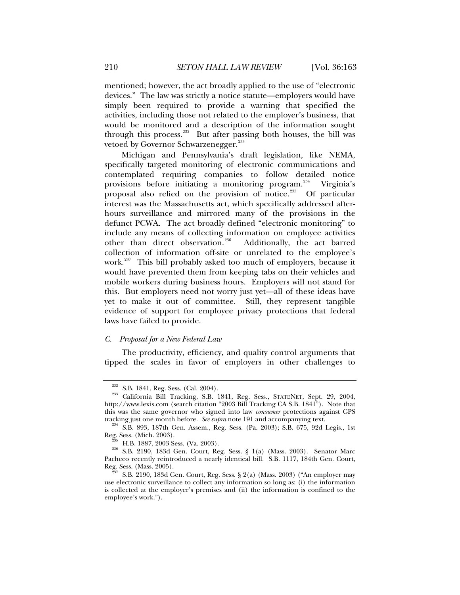<span id="page-47-0"></span>mentioned; however, the act broadly applied to the use of "electronic devices." The law was strictly a notice statute—employers would have simply been required to provide a warning that specified the activities, including those not related to the employer's business, that would be monitored and a description of the information sought through this process.<sup>[232](#page-47-1)</sup> But after passing both houses, the bill was vetoed by Governor Schwarzenegger.<sup>[233](#page-47-2)</sup>

Michigan and Pennsylvania's draft legislation, like NEMA, specifically targeted monitoring of electronic communications and contemplated requiring companies to follow detailed notice provisions before initiating a monitoring program.<sup>[234](#page-47-3)</sup> Virginia's proposal also relied on the provision of notice.<sup>[235](#page-47-4)</sup> Of particular interest was the Massachusetts act, which specifically addressed afterhours surveillance and mirrored many of the provisions in the defunct PCWA. The act broadly defined "electronic monitoring" to include any means of collecting information on employee activities other than direct observation.[236](#page-47-5) Additionally, the act barred collection of information off-site or unrelated to the employee's work.<sup>[237](#page-47-6)</sup> This bill probably asked too much of employers, because it would have prevented them from keeping tabs on their vehicles and mobile workers during business hours. Employers will not stand for this. But employers need not worry just yet—all of these ideas have yet to make it out of committee. Still, they represent tangible evidence of support for employee privacy protections that federal laws have failed to provide.

# *C. Proposal for a New Federal Law*

The productivity, efficiency, and quality control arguments that tipped the scales in favor of employers in other challenges to

<span id="page-47-2"></span><span id="page-47-1"></span> $\frac{232}{232}$  S.B. 1841, Reg. Sess. (Cal. 2004).<br><sup>233</sup> California Bill Tracking, S.B. 1841, Reg. Sess., STATENET, Sept. 29, 2004, http://www.lexis.com (search citation "2003 Bill Tracking CA S.B. 1841"). Note that this was the same governor who signed into law *consumer* protections against GPS

<span id="page-47-3"></span>tracking just one month before. *See supra* note 191 and accompanying text.<br><sup>234</sup> S.B. 893, 187th Gen. Assem., Reg. Sess. (Pa. 2003); S.B. 675, 92d Legis., 1st

<span id="page-47-5"></span><span id="page-47-4"></span>Reg. Sess. (Mich. 2003).<br><sup>235</sup> H.B. 1887, 2003 Sess. (Va. 2003).<br><sup>236</sup> S.B. 2190, 183d Gen. Court, Reg. Sess. § 1(a) (Mass. 2003). Senator Marc Pacheco recently reintroduced a nearly identical bill. S.B. 1117, 184th Gen. Court, Reg. Sess. (Mass. 2005). 237 S.B. 2190, 183d Gen. Court, Reg. Sess. § 2(a) (Mass. 2003) ("An employer may

<span id="page-47-6"></span>use electronic surveillance to collect any information so long as: (i) the information is collected at the employer's premises and (ii) the information is confined to the employee's work.").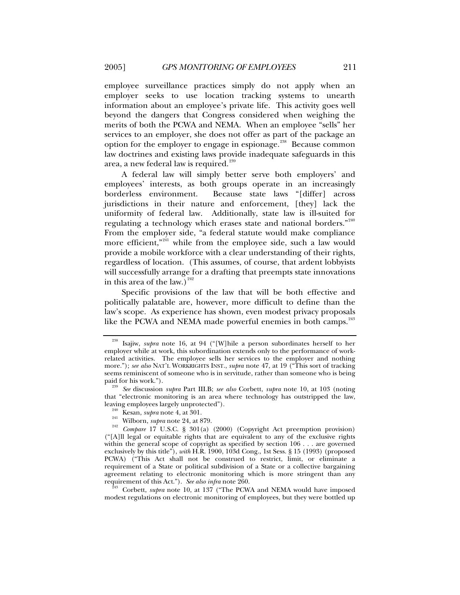employee surveillance practices simply do not apply when an employer seeks to use location tracking systems to unearth information about an employee's private life. This activity goes well beyond the dangers that Congress considered when weighing the merits of both the PCWA and NEMA. When an employee "sells" her services to an employer, she does not offer as part of the package an option for the employer to engage in espionage.<sup>[238](#page-48-0)</sup> Because common law doctrines and existing laws provide inadequate safeguards in this area, a new federal law is required. $239$ 

A federal law will simply better serve both employers' and employees' interests, as both groups operate in an increasingly borderless environment. Because state laws "[differ] across jurisdictions in their nature and enforcement, [they] lack the uniformity of federal law. Additionally, state law is ill-suited for regulating a technology which erases state and national borders." $240$ From the employer side, "a federal statute would make compliance more efficient,"<sup>[241](#page-48-3)</sup> while from the employee side, such a law would provide a mobile workforce with a clear understanding of their rights, regardless of location. (This assumes, of course, that ardent lobbyists will successfully arrange for a drafting that preempts state innovations in this area of the law.)<sup>[242](#page-48-4)</sup>

Specific provisions of the law that will be both effective and politically palatable are, however, more difficult to define than the law's scope. As experience has shown, even modest privacy proposals like the PCWA and NEMA made powerful enemies in both camps.<sup>[243](#page-48-5)</sup>

<span id="page-48-5"></span>modest regulations on electronic monitoring of employees, but they were bottled up

<span id="page-48-0"></span><sup>238</sup> Isajiw, *supra* note 16, at 94 ("[W]hile a person subordinates herself to her employer while at work, this subordination extends only to the performance of workrelated activities. The employee sells her services to the employer and nothing more."); *see also* NAT'L WORKRIGHTS INST., *supra* note 47, at 19 ("This sort of tracking seems reminiscent of someone who is in servitude, rather than someone who is being paid for his work.").

<span id="page-48-1"></span>paid for his work."). 239 *See* discussion *supra* Part III.B; *see also* Corbett, *supra* note 10, at 103 (noting that "electronic monitoring is an area where technology has outstripped the law, leaving employees largely unprotected").

<span id="page-48-4"></span><span id="page-48-3"></span><span id="page-48-2"></span><sup>&</sup>lt;sup>240</sup> Kesan, *supra* note 4, at 301.<br><sup>241</sup> Wilborn, *supra* note 24, at 879.<br><sup>242</sup> *Compare* 17 U.S.C. § 301(a) (2000) (Copyright Act preemption provision) ("[A]ll legal or equitable rights that are equivalent to any of the exclusive rights within the general scope of copyright as specified by section 106 . . . are governed exclusively by this title"), *with* H.R. 1900, 103d Cong., 1st Sess. § 15 (1993) (proposed PCWA) ("This Act shall not be construed to restrict, limit, or eliminate a requirement of a State or political subdivision of a State or a collective bargaining agreement relating to electronic monitoring which is more stringent than any requirement of this Act."). *See also infra* note 260. 243 Corbett, *supra* note 10, at 137 ("The PCWA and NEMA would have imposed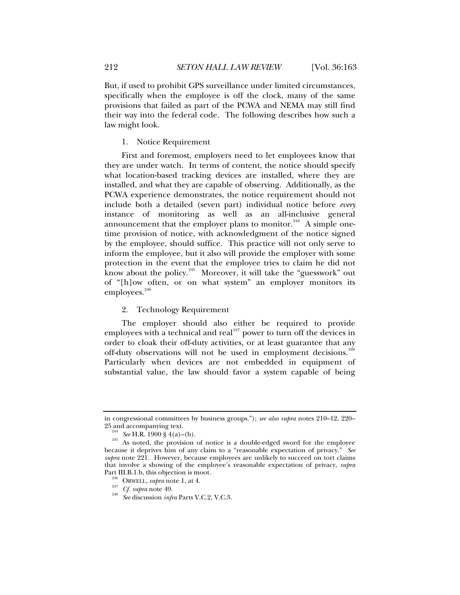<span id="page-49-0"></span>But, if used to prohibit GPS surveillance under limited circumstances, specifically when the employee is off the clock, many of the same provisions that failed as part of the PCWA and NEMA may still find their way into the federal code. The following describes how such a law might look.

### 1. Notice Requirement

First and foremost, employers need to let employees know that they are under watch. In terms of content, the notice should specify what location-based tracking devices are installed, where they are installed, and what they are capable of observing. Additionally, as the PCWA experience demonstrates, the notice requirement should not include both a detailed (seven part) individual notice before *every* instance of monitoring as well as an all-inclusive general announcement that the employer plans to monitor.<sup>[244](#page-49-1)</sup> A simple onetime provision of notice, with acknowledgment of the notice signed by the employee, should suffice. This practice will not only serve to inform the employee, but it also will provide the employer with some protection in the event that the employee tries to claim he did not know about the policy.[245](#page-49-2) Moreover, it will take the "guesswork" out of "[h]ow often, or on what system" an employer monitors its employees.<sup>[246](#page-49-3)</sup>

# 2. Technology Requirement

The employer should also either be required to provide employees with a technical and real<sup>[247](#page-49-4)</sup> power to turn off the devices in order to cloak their off-duty activities, or at least guarantee that any off-duty observations will not be used in employment decisions.<sup>[248](#page-49-5)</sup> Particularly when devices are not embedded in equipment of substantial value, the law should favor a system capable of being

in congressional committees by business groups."); *see also supra* notes 210–12, 220–

<span id="page-49-2"></span><span id="page-49-1"></span><sup>&</sup>lt;sup>244</sup> See H.R. 1900 § 4(a)–(b). <sup>245</sup> As noted, the provision of notice is a double-edged sword for the employee because it deprives him of any claim to a "reasonable expectation of privacy." *See supra* note 221. However, because employees are unlikely to succeed on tort claims that involve a showing of the employee's reasonable expectation of privacy, *supra*  Part III.B.1.b, this objection is moot.<br><sup>246</sup> ORWELL, *supra* note 1, at 4.<br><sup>247</sup> *Cf. supra* note 49.<br><sup>248</sup> See discussion *infra* Parts V.C.2, V.C.3.

<span id="page-49-5"></span><span id="page-49-4"></span><span id="page-49-3"></span>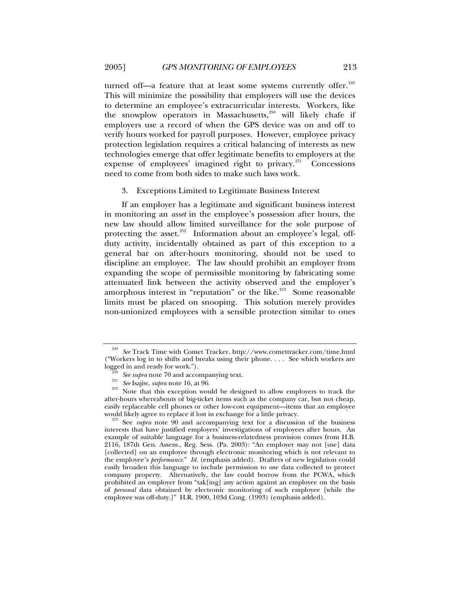<span id="page-50-0"></span>turned off—a feature that at least some systems currently offer. $249$ This will minimize the possibility that employers will use the devices to determine an employee's extracurricular interests. Workers, like the snowplow operators in Massachusetts, $250$  will likely chafe if employers use a record of when the GPS device was on and off to verify hours worked for payroll purposes. However, employee privacy protection legislation requires a critical balancing of interests as new technologies emerge that offer legitimate benefits to employers at the expense of employees' imagined right to privacy. $^{251}$  $^{251}$  $^{251}$  Concessions need to come from both sides to make such laws work.

#### 3. Exceptions Limited to Legitimate Business Interest

If an employer has a legitimate and significant business interest in monitoring an *asset* in the employee's possession after hours, the new law should allow limited surveillance for the sole purpose of protecting the asset. $252$  Information about an employee's legal, offduty activity, incidentally obtained as part of this exception to a general bar on after-hours monitoring, should not be used to discipline an employee. The law should prohibit an employer from expanding the scope of permissible monitoring by fabricating some attenuated link between the activity observed and the employer's amorphous interest in "reputation" or the like.<sup>[253](#page-50-5)</sup> Some reasonable limits must be placed on snooping. This solution merely provides non-unionized employees with a sensible protection similar to ones

<span id="page-50-1"></span><sup>249</sup> *See* Track Time with Comet Tracker, http://www.comettracker.com/time.html ("Workers log in to shifts and breaks using their phone. . . . See which workers are logged in and ready for work.").<br><sup>250</sup> *See supra* note 70 and accompanying text.<br><sup>251</sup> *See* Isajiw, *supra* note 16, at 96. 252 Note that this exception would be designed to allow employers to track the

<span id="page-50-4"></span><span id="page-50-3"></span><span id="page-50-2"></span>after-hours whereabouts of big-ticket items such as the company car, but not cheap, easily replaceable cell phones or other low-cost equipment—items that an employee would likely agree to replace if lost in exchange for a little privacy. 253 See *supra* note 90 and accompanying text for a discussion of the business

<span id="page-50-5"></span>interests that have justified employers' investigations of employees after hours. An example of suitable language for a business-relatedness provision comes from H.B. 2116, 187th Gen. Assem., Reg. Sess. (Pa. 2003): "An employer may not [use] data [collected] on an employee through electronic monitoring which is not relevant to the employee's *performance*." *Id.* (emphasis added). Drafters of new legislation could easily broaden this language to include permission to use data collected to protect company property. Alternatively, the law could borrow from the PCWA, which prohibited an employer from "tak[ing] any action against an employee on the basis of *personal* data obtained by electronic monitoring of such employee [while the employee was off-duty.]" H.R. 1900, 103d Cong. (1993) (emphasis added).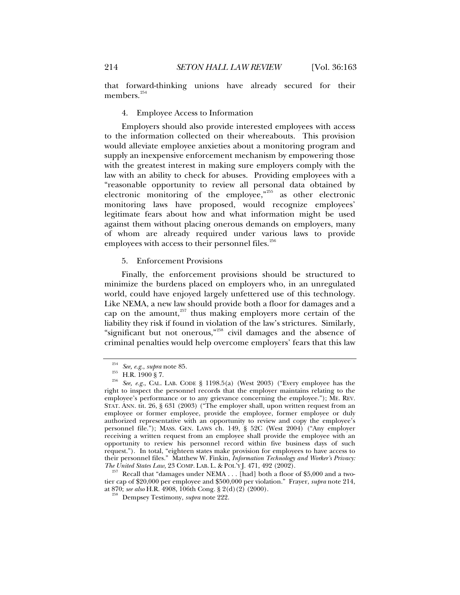that forward-thinking unions have already secured for their members.<sup>[254](#page-51-1)</sup>

## 4. Employee Access to Information

Employers should also provide interested employees with access to the information collected on their whereabouts. This provision would alleviate employee anxieties about a monitoring program and supply an inexpensive enforcement mechanism by empowering those with the greatest interest in making sure employers comply with the law with an ability to check for abuses. Providing employees with a "reasonable opportunity to review all personal data obtained by electronic monitoring of the employee,"<sup>[255](#page-51-2)</sup> as other electronic monitoring laws have proposed, would recognize employees' legitimate fears about how and what information might be used against them without placing onerous demands on employers, many of whom are already required under various laws to provide employees with access to their personnel files.<sup>[256](#page-51-3)</sup>

#### 5. Enforcement Provisions

Finally, the enforcement provisions should be structured to minimize the burdens placed on employers who, in an unregulated world, could have enjoyed largely unfettered use of this technology. Like NEMA, a new law should provide both a floor for damages and a cap on the amount, $257$  thus making employers more certain of the liability they risk if found in violation of the law's strictures. Similarly, "significant but not onerous,"[258](#page-51-5) civil damages and the absence of criminal penalties would help overcome employers' fears that this law

<span id="page-51-5"></span><span id="page-51-4"></span><sup>37</sup> Recall that "damages under NEMA . . . [had] both a floor of \$5,000 and a twotier cap of \$20,000 per employee and \$500,000 per violation." Frayer, *supra* note 214,

<span id="page-51-0"></span>

<span id="page-51-3"></span><span id="page-51-2"></span><span id="page-51-1"></span><sup>&</sup>lt;sup>254</sup> See, e.g., *supra* note 85.<br><sup>255</sup> H.R. 1900 § 7.<br><sup>256</sup> See, e.g., CAL. LAB. CODE § 1198.5(a) (West 2003) ("Every employee has the right to inspect the personnel records that the employer maintains relating to the employee's performance or to any grievance concerning the employee."); ME. REV. STAT. ANN. tit. 26, § 631 (2003) ("The employer shall, upon written request from an employee or former employee, provide the employee, former employee or duly authorized representative with an opportunity to review and copy the employee's personnel file."); MASS. GEN. LAWS ch. 149, § 52C (West 2004) ("Any employer receiving a written request from an employee shall provide the employee with an opportunity to review his personnel record within five business days of such request."). In total, "eighteen states make provision for employees to have access to their personnel files." Matthew W. Finkin, *Information Technology and Worker's Privacy:* 

<sup>&</sup>lt;sup>258</sup> Dempsey Testimony, *supra* note 222.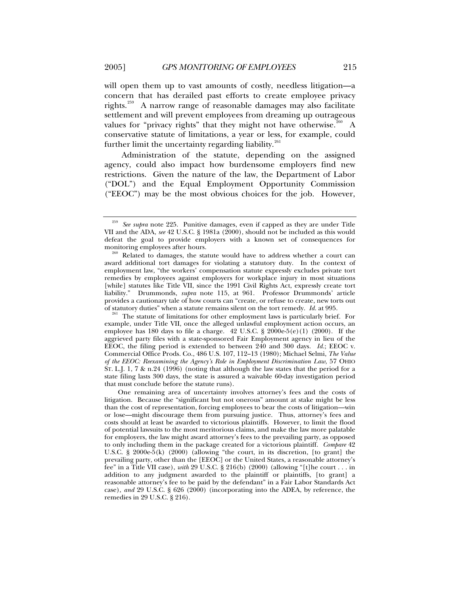will open them up to vast amounts of costly, needless litigation—a concern that has derailed past efforts to create employee privacy rights.<sup>[259](#page-52-0)</sup> A narrow range of reasonable damages may also facilitate settlement and will prevent employees from dreaming up outrageous values for "privacy rights" that they might not have otherwise.<sup>[260](#page-52-1)</sup> A conservative statute of limitations, a year or less, for example, could further limit the uncertainty regarding liability. $261$ 

Administration of the statute, depending on the assigned agency, could also impact how burdensome employers find new restrictions. Given the nature of the law, the Department of Labor ("DOL") and the Equal Employment Opportunity Commission ("EEOC") may be the most obvious choices for the job. However,

<span id="page-52-0"></span><sup>259</sup> *See supra* note 225. Punitive damages, even if capped as they are under Title VII and the ADA, *see* 42 U.S.C. § 1981a (2000), should not be included as this would defeat the goal to provide employers with a known set of consequences for monitoring employees after hours.<br><sup>260</sup> Related to damages, the statute would have to address whether a court can

<span id="page-52-1"></span>award additional tort damages for violating a statutory duty. In the context of employment law, "the workers' compensation statute expressly excludes private tort remedies by employees against employers for workplace injury in most situations [while] statutes like Title VII, since the 1991 Civil Rights Act, expressly create tort liability." Drummonds, *supra* note 115, at 961. Professor Drummonds' article provides a cautionary tale of how courts can "create, or refuse to create, new torts out of statutory duties" when a statute remains silent on the tort remedy. *Id.* at 995.<br><sup>261</sup> The statute of limitations for other employment laws is particularly brief. For

<span id="page-52-2"></span>example, under Title VII, once the alleged unlawful employment action occurs, an employee has 180 days to file a charge. 42 U.S.C.  $\S 2000e-5(e)(1)$  (2000). If the aggrieved party files with a state-sponsored Fair Employment agency in lieu of the EEOC, the filing period is extended to between 240 and 300 days. *Id.*; EEOC v. Commercial Office Prods. Co., 486 U.S. 107, 112–13 (1980); Michael Selmi, *The Value of the EEOC: Reexamining the Agency's Role in Employment Discrimination Law*, 57 OHIO  $\overline{S}$ T. L.J. 1, 7 & n.24 (1996) (noting that although the law states that the period for a state filing lasts 300 days, the state is assured a waivable 60-day investigation period that must conclude before the statute runs).

One remaining area of uncertainty involves attorney's fees and the costs of litigation. Because the "significant but not onerous" amount at stake might be less than the cost of representation, forcing employees to bear the costs of litigation—win or lose—might discourage them from pursuing justice. Thus, attorney's fees and costs should at least be awarded to victorious plaintiffs. However, to limit the flood of potential lawsuits to the most meritorious claims, and make the law more palatable for employers, the law might award attorney's fees to the prevailing party, as opposed to only including them in the package created for a victorious plaintiff. *Compare* 42 U.S.C. § 2000e-5(k) (2000) (allowing "the court, in its discretion, [to grant] the prevailing party, other than the [EEOC] or the United States, a reasonable attorney's fee" in a Title VII case), *with* 29 U.S.C. § 216(b) (2000) (allowing "[t]he court . . . in addition to any judgment awarded to the plaintiff or plaintiffs, [to grant] a reasonable attorney's fee to be paid by the defendant" in a Fair Labor Standards Act case), *and* 29 U.S.C. § 626 (2000) (incorporating into the ADEA, by reference, the remedies in 29 U.S.C. § 216).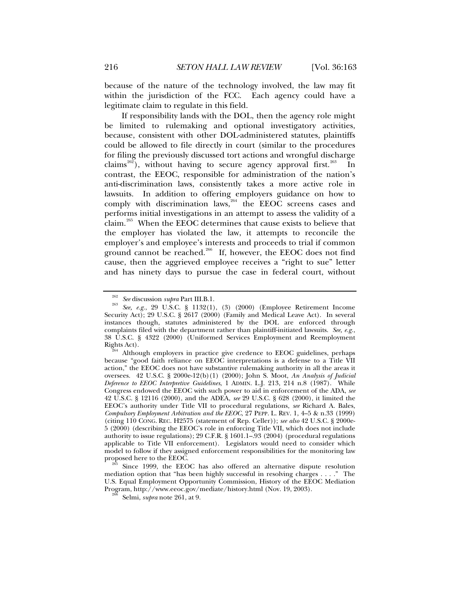because of the nature of the technology involved, the law may fit within the jurisdiction of the FCC. Each agency could have a legitimate claim to regulate in this field.

If responsibility lands with the DOL, then the agency role might be limited to rulemaking and optional investigatory activities, because, consistent with other DOL-administered statutes, plaintiffs could be allowed to file directly in court (similar to the procedures for filing the previously discussed tort actions and wrongful discharge claims<sup>[262](#page-53-0)</sup>), without having to secure agency approval first.<sup>[263](#page-53-1)</sup> In contrast, the EEOC, responsible for administration of the nation's anti-discrimination laws, consistently takes a more active role in lawsuits. In addition to offering employers guidance on how to comply with discrimination laws, $264$  the EEOC screens cases and performs initial investigations in an attempt to assess the validity of a claim.[265](#page-53-3) When the EEOC determines that cause exists to believe that the employer has violated the law, it attempts to reconcile the employer's and employee's interests and proceeds to trial if common ground cannot be reached.<sup>[266](#page-53-4)</sup> If, however, the EEOC does not find cause, then the aggrieved employee receives a "right to sue" letter and has ninety days to pursue the case in federal court, without

<span id="page-53-1"></span><span id="page-53-0"></span><sup>262</sup> *See* discussion *supra* Part III.B.1. 263 *See, e.g.*, 29 U.S.C. § 1132(1), (3) (2000) (Employee Retirement Income Security Act); 29 U.S.C. § 2617 (2000) (Family and Medical Leave Act). In several instances though, statutes administered by the DOL are enforced through complaints filed with the department rather than plaintiff-initiated lawsuits. *See, e.g.*, 38 U.S.C. § 4322 (2000) (Uniformed Services Employment and Reemployment

<span id="page-53-2"></span>Rights Act).<br><sup>264</sup> Although employers in practice give credence to EEOC guidelines, perhaps because "good faith reliance on EEOC interpretations is a defense to a Title VII action," the EEOC does not have substantive rulemaking authority in all the areas it oversees. 42 U.S.C. § 2000e-12(b)(1) (2000); John S. Moot, *An Analysis of Judicial Deference to EEOC Interpretive Guidelines*, 1 ADMIN. L.J. 213, 214 n.8 (1987). While Congress endowed the EEOC with such power to aid in enforcement of the ADA, *see*  42 U.S.C. § 12116 (2000), and the ADEA, *see* 29 U.S.C. § 628 (2000), it limited the EEOC's authority under Title VII to procedural regulations, *see* Richard A. Bales, *Compulsory Employment Arbitration and the EEOC*, 27 PEPP. L. REV. 1, 4–5 & n.33 (1999) (citing 110 CONG. REC. H2575 (statement of Rep. Celler)); *see also* 42 U.S.C. § 2000e-5 (2000) (describing the EEOC's role in enforcing Title VII, which does not include authority to issue regulations); 29 C.F.R. § 1601.1–.93 (2004) (procedural regulations applicable to Title VII enforcement). Legislators would need to consider which model to follow if they assigned enforcement responsibilities for the monitoring law proposed here to the EEOC.

<span id="page-53-4"></span><span id="page-53-3"></span>Since 1999, the EEOC has also offered an alternative dispute resolution mediation option that "has been highly successful in resolving charges . . . ." The U.S. Equal Employment Opportunity Commission, History of the EEOC Mediation Program, http://www.eeoc.gov/mediate/history.html (Nov. 19, 2003). 266 Selmi, *supra* note 261, at 9.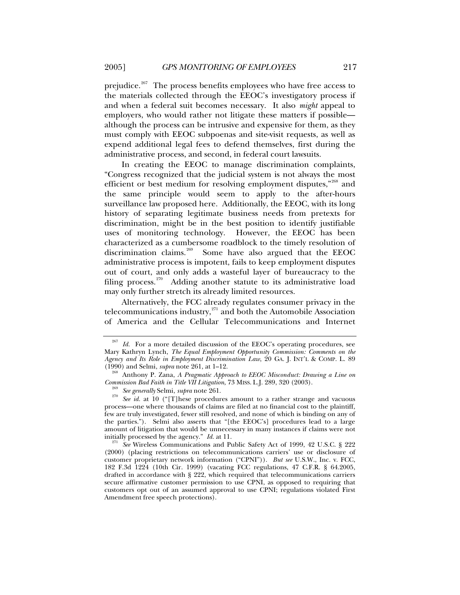prejudice.<sup>[267](#page-54-0)</sup> The process benefits employees who have free access to the materials collected through the EEOC's investigatory process if and when a federal suit becomes necessary. It also *might* appeal to employers, who would rather not litigate these matters if possible although the process can be intrusive and expensive for them, as they must comply with EEOC subpoenas and site-visit requests, as well as expend additional legal fees to defend themselves, first during the administrative process, and second, in federal court lawsuits.

In creating the EEOC to manage discrimination complaints, "Congress recognized that the judicial system is not always the most efficient or best medium for resolving employment disputes,"<sup>[268](#page-54-1)</sup> and the same principle would seem to apply to the after-hours surveillance law proposed here. Additionally, the EEOC, with its long history of separating legitimate business needs from pretexts for discrimination, might be in the best position to identify justifiable uses of monitoring technology. However, the EEOC has been characterized as a cumbersome roadblock to the timely resolution of discrimination claims.<sup>[269](#page-54-2)</sup> Some have also argued that the EEOC administrative process is impotent, fails to keep employment disputes out of court, and only adds a wasteful layer of bureaucracy to the filing process.<sup>[270](#page-54-3)</sup> Adding another statute to its administrative load may only further stretch its already limited resources.

Alternatively, the FCC already regulates consumer privacy in the telecommunications industry, $271$  and both the Automobile Association of America and the Cellular Telecommunications and Internet

<span id="page-54-0"></span>Id. For a more detailed discussion of the EEOC's operating procedures, see Mary Kathryn Lynch, *The Equal Employment Opportunity Commission: Comments on the Agency and Its Role in Employment Discrimination Law*, 20 GA. J. INT'L & COMP. L. 89 (1990) and Selmi, *supra* note 261, at 1–12.

<sup>&</sup>lt;sup>208</sup> Anthony P. Zana, *A Pragmatic Approach to EEOC Misconduct: Drawing a Line on* 

<span id="page-54-3"></span><span id="page-54-2"></span><span id="page-54-1"></span>*Commission Bad Faith in Title VII Litigation, 73 MISS. L.J. 289, 320 (2003).*<br><sup>269</sup> *See generally Selmi, supra* note 261.<br><sup>270</sup> *See id.* at 10 ("[T]hese procedures amount to a rather strange and vacuous process—one where thousands of claims are filed at no financial cost to the plaintiff, few are truly investigated, fewer still resolved, and none of which is binding on any of the parties."). Selmi also asserts that "[the EEOC's] procedures lead to a large amount of litigation that would be unnecessary in many instances if claims were not initially processed by the agency." *Id.* at 11.<br><sup>271</sup> See Wireless Communications and Public Safety Act of 1999, 42 U.S.C. § 222

<span id="page-54-4"></span><sup>(2000) (</sup>placing restrictions on telecommunications carriers' use or disclosure of customer proprietary network information ("CPNI")). *But see* U.S.W., Inc. v. FCC, 182 F.3d 1224 (10th Cir. 1999) (vacating FCC regulations, 47 C.F.R. § 64.2005, drafted in accordance with § 222, which required that telecommunications carriers secure affirmative customer permission to use CPNI, as opposed to requiring that customers opt out of an assumed approval to use CPNI; regulations violated First Amendment free speech protections).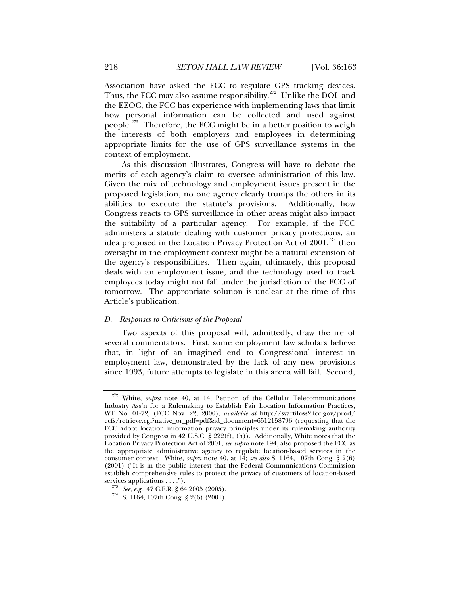<span id="page-55-0"></span>Association have asked the FCC to regulate GPS tracking devices. Thus, the FCC may also assume responsibility.<sup>[272](#page-55-1)</sup> Unlike the DOL and the EEOC, the FCC has experience with implementing laws that limit how personal information can be collected and used against people.<sup>[273](#page-55-2)</sup> Therefore, the FCC might be in a better position to weigh the interests of both employers and employees in determining appropriate limits for the use of GPS surveillance systems in the context of employment.

As this discussion illustrates, Congress will have to debate the merits of each agency's claim to oversee administration of this law. Given the mix of technology and employment issues present in the proposed legislation, no one agency clearly trumps the others in its abilities to execute the statute's provisions. Additionally, how Congress reacts to GPS surveillance in other areas might also impact the suitability of a particular agency. For example, if the FCC administers a statute dealing with customer privacy protections, an idea proposed in the Location Privacy Protection Act of  $2001$ ,<sup>[274](#page-55-3)</sup> then oversight in the employment context might be a natural extension of the agency's responsibilities. Then again, ultimately, this proposal deals with an employment issue, and the technology used to track employees today might not fall under the jurisdiction of the FCC of tomorrow. The appropriate solution is unclear at the time of this Article's publication.

#### *D. Responses to Criticisms of the Proposal*

Two aspects of this proposal will, admittedly, draw the ire of several commentators. First, some employment law scholars believe that, in light of an imagined end to Congressional interest in employment law, demonstrated by the lack of any new provisions since 1993, future attempts to legislate in this arena will fail. Second,

<span id="page-55-1"></span><sup>272</sup> White, *supra* note 40, at 14; Petition of the Cellular Telecommunications Industry Ass'n for a Rulemaking to Establish Fair Location Information Practices, WT No. 01-72, (FCC Nov. 22, 2000), *available at* http://svartifoss2.fcc.gov/prod/ ecfs/retrieve.cgi?native\_or\_pdf=pdf&id\_document=6512158796 (requesting that the FCC adopt location information privacy principles under its rulemaking authority provided by Congress in 42 U.S.C. §  $222(f)$ , (h)). Additionally, White notes that the Location Privacy Protection Act of 2001, *see supra* note 194, also proposed the FCC as the appropriate administrative agency to regulate location-based services in the consumer context. White, *supra* note 40, at 14; *see also* S. 1164, 107th Cong. § 2(6) (2001) ("It is in the public interest that the Federal Communications Commission establish comprehensive rules to protect the privacy of customers of location-based services applications . . . .").

<span id="page-55-3"></span><span id="page-55-2"></span><sup>&</sup>lt;sup>273</sup> See, e.g., 47 C.F.R. § 64.2005 (2005).<br><sup>274</sup> S. 1164, 107th Cong. § 2(6) (2001).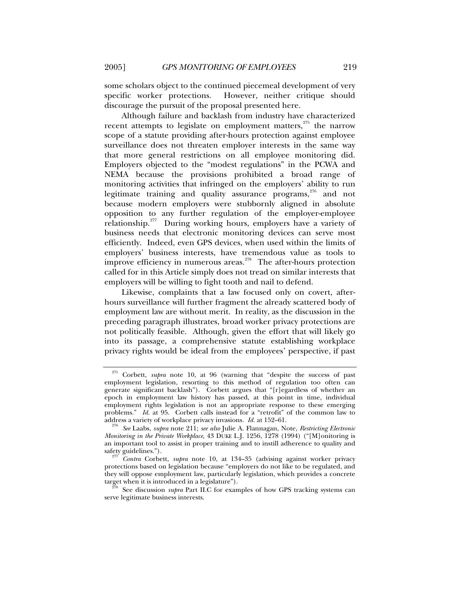some scholars object to the continued piecemeal development of very specific worker protections. However, neither critique should

discourage the pursuit of the proposal presented here. Although failure and backlash from industry have characterized recent attempts to legislate on employment matters,<sup>[275](#page-56-0)</sup> the narrow scope of a statute providing after-hours protection against employee surveillance does not threaten employer interests in the same way that more general restrictions on all employee monitoring did. Employers objected to the "modest regulations" in the PCWA and NEMA because the provisions prohibited a broad range of monitoring activities that infringed on the employers' ability to run legitimate training and quality assurance programs,<sup>[276](#page-56-1)</sup> and not because modern employers were stubbornly aligned in absolute opposition to any further regulation of the employer-employee relationship. $277$  During working hours, employers have a variety of business needs that electronic monitoring devices can serve most efficiently. Indeed, even GPS devices, when used within the limits of employers' business interests, have tremendous value as tools to improve efficiency in numerous areas. $278$  The after-hours protection called for in this Article simply does not tread on similar interests that employers will be willing to fight tooth and nail to defend.

Likewise, complaints that a law focused only on covert, afterhours surveillance will further fragment the already scattered body of employment law are without merit. In reality, as the discussion in the preceding paragraph illustrates, broad worker privacy protections are not politically feasible. Although, given the effort that will likely go into its passage, a comprehensive statute establishing workplace privacy rights would be ideal from the employees' perspective, if past

<span id="page-56-0"></span><sup>275</sup> Corbett, *supra* note 10, at 96 (warning that "despite the success of past employment legislation, resorting to this method of regulation too often can generate significant backlash"). Corbett argues that "[r]egardless of whether an epoch in employment law history has passed, at this point in time, individual employment rights legislation is not an appropriate response to these emerging problems." *Id.* at 95. Corbett calls instead for a "retrofit" of the common law to address a variety of workplace privacy invasions. *Id.* at 152–61.

<span id="page-56-1"></span>address a variety of workplace privacy invasions. *Id.* at 152–61. 276 *See* Laabs, *supra* note 211; *see also* Julie A. Flannagan, Note, *Restricting Electronic Monitoring in the Private Workplace*, 43 DUKE L.J. 1256, 1278 (1994) ("[M]onitoring is an important tool to assist in proper training and to instill adherence to quality and safety guidelines.").

<span id="page-56-2"></span>Contra Corbett, *supra* note 10, at 134–35 (advising against worker privacy protections based on legislation because "employers do not like to be regulated, and they will oppose employment law, particularly legislation, which provides a concrete target when it is introduced in a legislature"). 278 See discussion *supra* Part II.C for examples of how GPS tracking systems can

<span id="page-56-3"></span>serve legitimate business interests.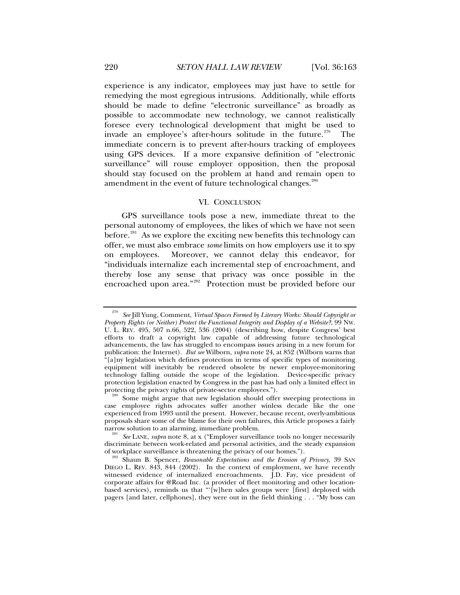<span id="page-57-0"></span>experience is any indicator, employees may just have to settle for remedying the most egregious intrusions. Additionally, while efforts should be made to define "electronic surveillance" as broadly as possible to accommodate new technology, we cannot realistically foresee every technological development that might be used to invade an employee's after-hours solitude in the future.<sup>[279](#page-57-1)</sup> The immediate concern is to prevent after-hours tracking of employees using GPS devices. If a more expansive definition of "electronic surveillance" will rouse employer opposition, then the proposal should stay focused on the problem at hand and remain open to amendment in the event of future technological changes.<sup>[280](#page-57-2)</sup>

#### VI. CONCLUSION

GPS surveillance tools pose a new, immediate threat to the personal autonomy of employees, the likes of which we have not seen before.<sup>[281](#page-57-3)</sup> As we explore the exciting new benefits this technology can offer, we must also embrace *some* limits on how employers use it to spy on employees. Moreover, we cannot delay this endeavor, for "individuals internalize each incremental step of encroachment, and thereby lose any sense that privacy was once possible in the encroached upon area."<sup>[282](#page-57-4)</sup> Protection must be provided before our

<span id="page-57-1"></span><sup>279</sup> *See* Jill Yung, Comment, *Virtual Spaces Formed by Literary Works: Should Copyright or Property Rights (or Neither) Protect the Functional Integrity and Display of a Website?*, 99 NW. U. L. REV. 495, 507 n.66, 522, 536 (2004) (describing how, despite Congress' best efforts to draft a copyright law capable of addressing future technological advancements, the law has struggled to encompass issues arising in a new forum for publication: the Internet). *But see* Wilborn, *supra* note 24, at 852 (Wilborn warns that "[a]ny legislation which defines protection in terms of specific types of monitoring equipment will inevitably be rendered obsolete by newer employee-monitoring technology falling outside the scope of the legislation. Device-specific privacy protection legislation enacted by Congress in the past has had only a limited effect in protecting the privacy rights of private-sector employees.").<br><sup>280</sup> Some might argue that new legislation should offer sweeping protections in

<span id="page-57-2"></span>case employee rights advocates suffer another winless decade like the one experienced from 1993 until the present. However, because recent, overly-ambitious proposals share some of the blame for their own failures, this Article proposes a fairly

<span id="page-57-3"></span><sup>&</sup>lt;sup>281</sup> See LANE, *supra* note 8, at x ("Employer surveillance tools no longer necessarily discriminate between work-related and personal activities, and the steady expansion

<span id="page-57-4"></span>of workplace surveillance is threatening the privacy of our homes."). 282 Shaun B. Spencer, *Reasonable Expectations and the Erosion of Privacy*, 39 SAN DIEGO L. REV. 843, 844 (2002). In the context of employment, we have recently witnessed evidence of internalized encroachments. J.D. Fay, vice president of corporate affairs for @Road Inc. (a provider of fleet monitoring and other locationbased services), reminds us that " $[w]$ hen sales groups were [first] deployed with pagers [and later, cellphones], they were out in the field thinking . . . "My boss can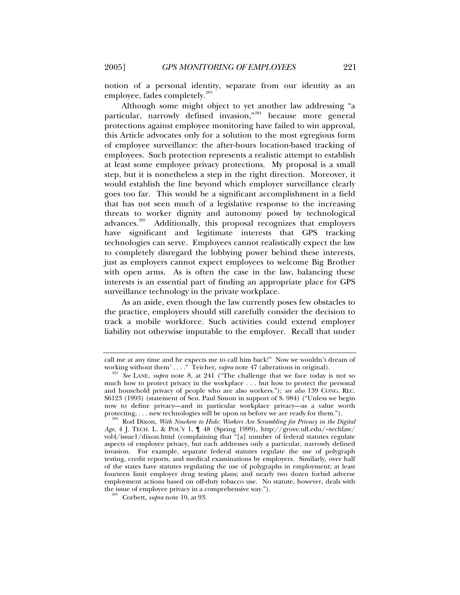notion of a personal identity, separate from our identity as an employee, fades completely.<sup>[283](#page-58-0)</sup>

Although some might object to yet another law addressing "a particular, narrowly defined invasion,"[284](#page-58-1) because more general protections against employee monitoring have failed to win approval, this Article advocates only for a solution to the most egregious form of employee surveillance: the after-hours location-based tracking of employees. Such protection represents a realistic attempt to establish at least some employee privacy protections. My proposal is a small step, but it is nonetheless a step in the right direction. Moreover, it would establish the line beyond which employer surveillance clearly goes too far. This would be a significant accomplishment in a field that has not seen much of a legislative response to the increasing threats to worker dignity and autonomy posed by technological advances.<sup>[285](#page-58-2)</sup> Additionally, this proposal recognizes that employers have significant and legitimate interests that GPS tracking technologies can serve. Employees cannot realistically expect the law to completely disregard the lobbying power behind these interests, just as employers cannot expect employees to welcome Big Brother with open arms. As is often the case in the law, balancing these interests is an essential part of finding an appropriate place for GPS surveillance technology in the private workplace.

As an aside, even though the law currently poses few obstacles to the practice, employers should still carefully consider the decision to track a mobile workforce. Such activities could extend employer liability not otherwise imputable to the employer. Recall that under

call me at any time and he expects me to call him back!" Now we wouldn't dream of working without them'...." Teicher, *supra* note 47 (alterations in original).

<span id="page-58-0"></span><sup>&</sup>lt;sup>283</sup> See LANE, *supra* note 8, at 241 ("The challenge that we face today is not so much how to protect privacy in the workplace . . . but how to protect the personal and household privacy of people who are also workers."); *see also* 139 CONG. REC. S6123 (1993) (statement of Sen. Paul Simon in support of S. 984) ("Unless we begin now to define privacy—and in particular workplace privacy—as a value worth protecting, . . . new technologies will be upon us before we are ready for them.").

<span id="page-58-1"></span><sup>&</sup>lt;sup>1</sup> Rod Dixon, *With Nowhere to Hide: Workers Are Scrambling for Privacy in the Digital Age*, 4 J. TECH. L. & POL'Y 1, ¶ 48 (Spring 1999), http://grove.ufl.edu/~techlaw/ vol4/issue1/dixon.html (complaining that "[a] number of federal statutes regulate aspects of employee privacy, but each addresses only a particular, narrowly defined invasion. For example, separate federal statutes regulate the use of polygraph testing, credit reports, and medical examinations by employers. Similarly, over half of the states have statutes regulating the use of polygraphs in employment; at least fourteen limit employer drug testing plans; and nearly two dozen forbid adverse employment actions based on off-duty tobacco use. No statute, however, deals with the issue of employee privacy in a comprehensive way."). 285 Corbett, *supra* note 10, at 93.

<span id="page-58-2"></span>